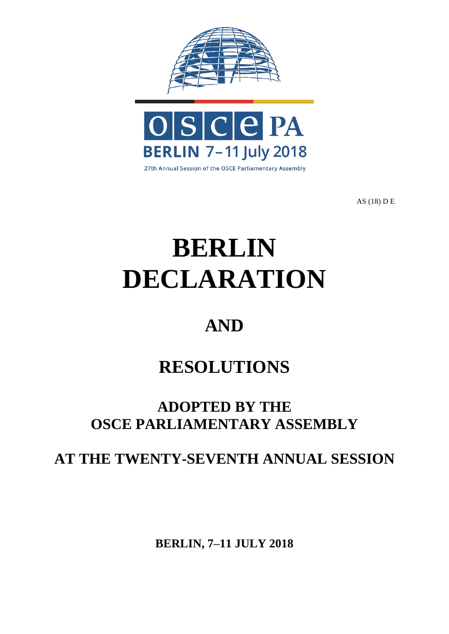



AS (18) D E

# **BERLIN DECLARATION**

# **AND**

## **RESOLUTIONS**

### **ADOPTED BY THE OSCE PARLIAMENTARY ASSEMBLY**

### **AT THE TWENTY-SEVENTH ANNUAL SESSION**

**BERLIN, 7–11 JULY 2018**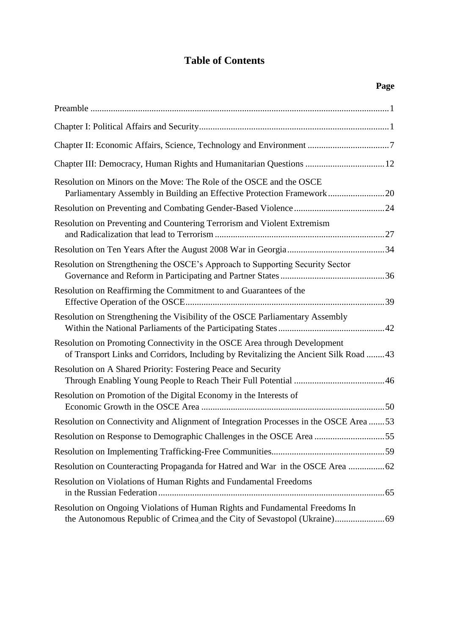#### **Table of Contents**

**Page**

| Chapter II: Economic Affairs, Science, Technology and Environment 7                                                                                               |
|-------------------------------------------------------------------------------------------------------------------------------------------------------------------|
| Chapter III: Democracy, Human Rights and Humanitarian Questions 12                                                                                                |
| Resolution on Minors on the Move: The Role of the OSCE and the OSCE<br>Parliamentary Assembly in Building an Effective Protection Framework20                     |
|                                                                                                                                                                   |
| Resolution on Preventing and Countering Terrorism and Violent Extremism                                                                                           |
|                                                                                                                                                                   |
| Resolution on Strengthening the OSCE's Approach to Supporting Security Sector                                                                                     |
| Resolution on Reaffirming the Commitment to and Guarantees of the                                                                                                 |
| Resolution on Strengthening the Visibility of the OSCE Parliamentary Assembly                                                                                     |
| Resolution on Promoting Connectivity in the OSCE Area through Development<br>of Transport Links and Corridors, Including by Revitalizing the Ancient Silk Road 43 |
| Resolution on A Shared Priority: Fostering Peace and Security                                                                                                     |
| Resolution on Promotion of the Digital Economy in the Interests of                                                                                                |
| Resolution on Connectivity and Alignment of Integration Processes in the OSCE Area 53                                                                             |
| Resolution on Response to Demographic Challenges in the OSCE Area 55                                                                                              |
|                                                                                                                                                                   |
| Resolution on Counteracting Propaganda for Hatred and War in the OSCE Area                                                                                        |
| Resolution on Violations of Human Rights and Fundamental Freedoms                                                                                                 |
| Resolution on Ongoing Violations of Human Rights and Fundamental Freedoms In<br>the Autonomous Republic of Crimea_and the City of Sevastopol (Ukraine) 69         |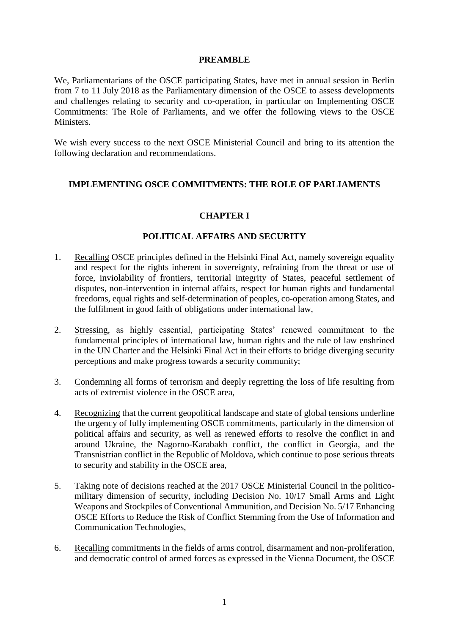#### **PREAMBLE**

<span id="page-2-0"></span>We, Parliamentarians of the OSCE participating States, have met in annual session in Berlin from 7 to 11 July 2018 as the Parliamentary dimension of the OSCE to assess developments and challenges relating to security and co-operation, in particular on Implementing OSCE Commitments: The Role of Parliaments, and we offer the following views to the OSCE **Ministers** 

We wish every success to the next OSCE Ministerial Council and bring to its attention the following declaration and recommendations.

#### <span id="page-2-1"></span>**IMPLEMENTING OSCE COMMITMENTS: THE ROLE OF PARLIAMENTS**

#### **CHAPTER I**

#### **POLITICAL AFFAIRS AND SECURITY**

- <span id="page-2-2"></span>1. Recalling OSCE principles defined in the Helsinki Final Act, namely sovereign equality and respect for the rights inherent in sovereignty, refraining from the threat or use of force, inviolability of frontiers, territorial integrity of States, peaceful settlement of disputes, non-intervention in internal affairs, respect for human rights and fundamental freedoms, equal rights and self-determination of peoples, co-operation among States, and the fulfilment in good faith of obligations under international law,
- 2. Stressing, as highly essential, participating States' renewed commitment to the fundamental principles of international law, human rights and the rule of law enshrined in the UN Charter and the Helsinki Final Act in their efforts to bridge diverging security perceptions and make progress towards a security community;
- 3. Condemning all forms of terrorism and deeply regretting the loss of life resulting from acts of extremist violence in the OSCE area,
- 4. Recognizing that the current geopolitical landscape and state of global tensions underline the urgency of fully implementing OSCE commitments, particularly in the dimension of political affairs and security, as well as renewed efforts to resolve the conflict in and around Ukraine, the Nagorno-Karabakh conflict, the conflict in Georgia, and the Transnistrian conflict in the Republic of Moldova, which continue to pose serious threats to security and stability in the OSCE area,
- 5. Taking note of decisions reached at the 2017 OSCE Ministerial Council in the politicomilitary dimension of security, including Decision No. 10/17 Small Arms and Light Weapons and Stockpiles of Conventional Ammunition, and Decision No. 5/17 Enhancing OSCE Efforts to Reduce the Risk of Conflict Stemming from the Use of Information and Communication Technologies,
- 6. Recalling commitments in the fields of arms control, disarmament and non-proliferation, and democratic control of armed forces as expressed in the Vienna Document, the OSCE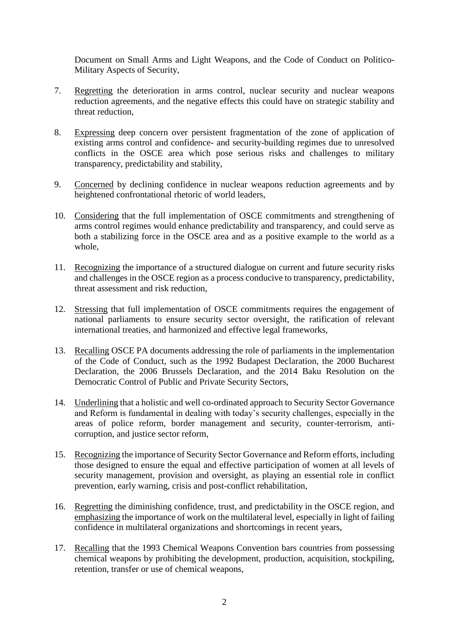Document on Small Arms and Light Weapons, and the Code of Conduct on Politico-Military Aspects of Security,

- 7. Regretting the deterioration in arms control, nuclear security and nuclear weapons reduction agreements, and the negative effects this could have on strategic stability and threat reduction,
- 8. Expressing deep concern over persistent fragmentation of the zone of application of existing arms control and confidence- and security-building regimes due to unresolved conflicts in the OSCE area which pose serious risks and challenges to military transparency, predictability and stability,
- 9. Concerned by declining confidence in nuclear weapons reduction agreements and by heightened confrontational rhetoric of world leaders,
- 10. Considering that the full implementation of OSCE commitments and strengthening of arms control regimes would enhance predictability and transparency, and could serve as both a stabilizing force in the OSCE area and as a positive example to the world as a whole,
- 11. Recognizing the importance of a structured dialogue on current and future security risks and challenges in the OSCE region as a process conducive to transparency, predictability, threat assessment and risk reduction,
- 12. Stressing that full implementation of OSCE commitments requires the engagement of national parliaments to ensure security sector oversight, the ratification of relevant international treaties, and harmonized and effective legal frameworks,
- 13. Recalling OSCE PA documents addressing the role of parliaments in the implementation of the Code of Conduct, such as the 1992 Budapest Declaration, the 2000 Bucharest Declaration, the 2006 Brussels Declaration, and the 2014 Baku Resolution on the Democratic Control of Public and Private Security Sectors,
- 14. Underlining that a holistic and well co-ordinated approach to Security Sector Governance and Reform is fundamental in dealing with today's security challenges, especially in the areas of police reform, border management and security, counter-terrorism, anticorruption, and justice sector reform,
- 15. Recognizing the importance of Security Sector Governance and Reform efforts, including those designed to ensure the equal and effective participation of women at all levels of security management, provision and oversight, as playing an essential role in conflict prevention, early warning, crisis and post-conflict rehabilitation,
- 16. Regretting the diminishing confidence, trust, and predictability in the OSCE region, and emphasizing the importance of work on the multilateral level, especially in light of failing confidence in multilateral organizations and shortcomings in recent years,
- 17. Recalling that the 1993 Chemical Weapons Convention bars countries from possessing chemical weapons by prohibiting the development, production, acquisition, stockpiling, retention, transfer or use of chemical weapons,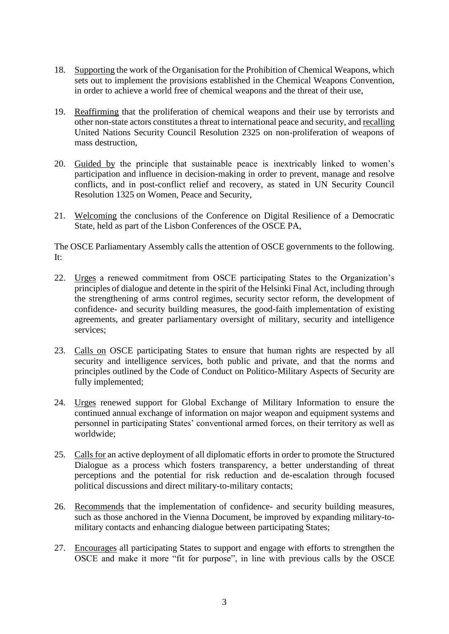- 18. Supporting the work of the Organisation for the Prohibition of Chemical Weapons, which sets out to implement the provisions established in the Chemical Weapons Convention, in order to achieve a world free of chemical weapons and the threat of their use,
- 19. Reaffirming that the proliferation of chemical weapons and their use by terrorists and other non-state actors constitutes a threat to international peace and security, and recalling United Nations Security Council Resolution 2325 on non-proliferation of weapons of mass destruction,
- 20. Guided by the principle that sustainable peace is inextricably linked to women's participation and influence in decision-making in order to prevent, manage and resolve conflicts, and in post-conflict relief and recovery, as stated in UN Security Council Resolution 1325 on Women, Peace and Security,
- 21. Welcoming the conclusions of the Conference on Digital Resilience of a Democratic State, held as part of the Lisbon Conferences of the OSCE PA,

The OSCE Parliamentary Assembly calls the attention of OSCE governments to the following. It:

- 22. Urges a renewed commitment from OSCE participating States to the Organization's principles of dialogue and detente in the spirit of the Helsinki Final Act, including through the strengthening of arms control regimes, security sector reform, the development of confidence- and security building measures, the good-faith implementation of existing agreements, and greater parliamentary oversight of military, security and intelligence services;
- 23. Calls on OSCE participating States to ensure that human rights are respected by all security and intelligence services, both public and private, and that the norms and principles outlined by the Code of Conduct on Politico-Military Aspects of Security are fully implemented;
- 24. Urges renewed support for Global Exchange of Military Information to ensure the continued annual exchange of information on major weapon and equipment systems and personnel in participating States' conventional armed forces, on their territory as well as worldwide;
- 25. Calls for an active deployment of all diplomatic efforts in order to promote the Structured Dialogue as a process which fosters transparency, a better understanding of threat perceptions and the potential for risk reduction and de-escalation through focused political discussions and direct military-to-military contacts;
- 26. Recommends that the implementation of confidence- and security building measures, such as those anchored in the Vienna Document, be improved by expanding military-tomilitary contacts and enhancing dialogue between participating States;
- 27. Encourages all participating States to support and engage with efforts to strengthen the OSCE and make it more "fit for purpose", in line with previous calls by the OSCE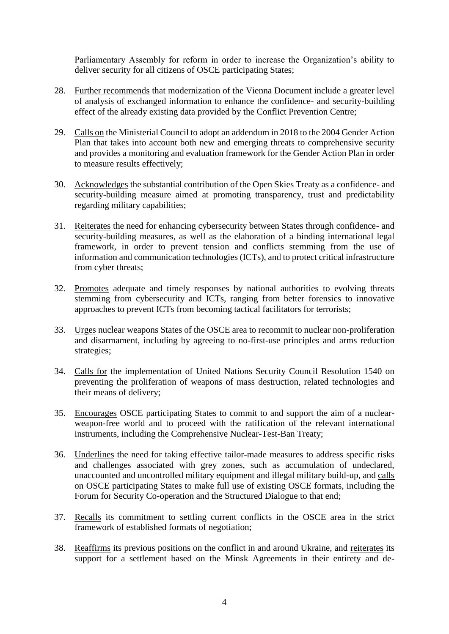Parliamentary Assembly for reform in order to increase the Organization's ability to deliver security for all citizens of OSCE participating States;

- 28. Further recommends that modernization of the Vienna Document include a greater level of analysis of exchanged information to enhance the confidence- and security-building effect of the already existing data provided by the Conflict Prevention Centre;
- 29. Calls on the Ministerial Council to adopt an addendum in 2018 to the 2004 Gender Action Plan that takes into account both new and emerging threats to comprehensive security and provides a monitoring and evaluation framework for the Gender Action Plan in order to measure results effectively;
- 30. Acknowledges the substantial contribution of the Open Skies Treaty as a confidence- and security-building measure aimed at promoting transparency, trust and predictability regarding military capabilities;
- 31. Reiterates the need for enhancing cybersecurity between States through confidence- and security-building measures, as well as the elaboration of a binding international legal framework, in order to prevent tension and conflicts stemming from the use of information and communication technologies (ICTs), and to protect critical infrastructure from cyber threats;
- 32. Promotes adequate and timely responses by national authorities to evolving threats stemming from cybersecurity and ICTs, ranging from better forensics to innovative approaches to prevent ICTs from becoming tactical facilitators for terrorists;
- 33. Urges nuclear weapons States of the OSCE area to recommit to nuclear non-proliferation and disarmament, including by agreeing to no-first-use principles and arms reduction strategies;
- 34. Calls for the implementation of United Nations Security Council Resolution 1540 on preventing the proliferation of weapons of mass destruction, related technologies and their means of delivery;
- 35. Encourages OSCE participating States to commit to and support the aim of a nuclearweapon-free world and to proceed with the ratification of the relevant international instruments, including the Comprehensive Nuclear-Test-Ban Treaty;
- 36. Underlines the need for taking effective tailor-made measures to address specific risks and challenges associated with grey zones, such as accumulation of undeclared, unaccounted and uncontrolled military equipment and illegal military build-up, and calls on OSCE participating States to make full use of existing OSCE formats, including the Forum for Security Co-operation and the Structured Dialogue to that end;
- 37. Recalls its commitment to settling current conflicts in the OSCE area in the strict framework of established formats of negotiation;
- 38. Reaffirms its previous positions on the conflict in and around Ukraine, and reiterates its support for a settlement based on the Minsk Agreements in their entirety and de-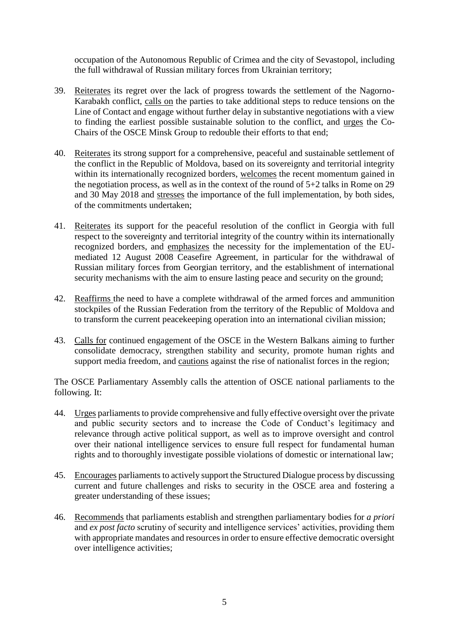occupation of the Autonomous Republic of Crimea and the city of Sevastopol, including the full withdrawal of Russian military forces from Ukrainian territory;

- 39. Reiterates its regret over the lack of progress towards the settlement of the Nagorno-Karabakh conflict, calls on the parties to take additional steps to reduce tensions on the Line of Contact and engage without further delay in substantive negotiations with a view to finding the earliest possible sustainable solution to the conflict, and urges the Co-Chairs of the OSCE Minsk Group to redouble their efforts to that end;
- 40. Reiterates its strong support for a comprehensive, peaceful and sustainable settlement of the conflict in the Republic of Moldova, based on its sovereignty and territorial integrity within its internationally recognized borders, welcomes the recent momentum gained in the negotiation process, as well as in the context of the round of 5+2 talks in Rome on 29 and 30 May 2018 and stresses the importance of the full implementation, by both sides, of the commitments undertaken;
- 41. Reiterates its support for the peaceful resolution of the conflict in Georgia with full respect to the sovereignty and territorial integrity of the country within its internationally recognized borders, and emphasizes the necessity for the implementation of the EUmediated 12 August 2008 Ceasefire Agreement, in particular for the withdrawal of Russian military forces from Georgian territory, and the establishment of international security mechanisms with the aim to ensure lasting peace and security on the ground;
- 42. Reaffirms the need to have a complete withdrawal of the armed forces and ammunition stockpiles of the Russian Federation from the territory of the Republic of Moldova and to transform the current peacekeeping operation into an international civilian mission;
- 43. Calls for continued engagement of the OSCE in the Western Balkans aiming to further consolidate democracy, strengthen stability and security, promote human rights and support media freedom, and cautions against the rise of nationalist forces in the region;

The OSCE Parliamentary Assembly calls the attention of OSCE national parliaments to the following. It:

- 44. Urges parliaments to provide comprehensive and fully effective oversight over the private and public security sectors and to increase the Code of Conduct's legitimacy and relevance through active political support, as well as to improve oversight and control over their national intelligence services to ensure full respect for fundamental human rights and to thoroughly investigate possible violations of domestic or international law;
- 45. Encourages parliaments to actively support the Structured Dialogue process by discussing current and future challenges and risks to security in the OSCE area and fostering a greater understanding of these issues;
- 46. Recommends that parliaments establish and strengthen parliamentary bodies for *a priori*  and *ex post facto* scrutiny of security and intelligence services' activities, providing them with appropriate mandates and resources in order to ensure effective democratic oversight over intelligence activities;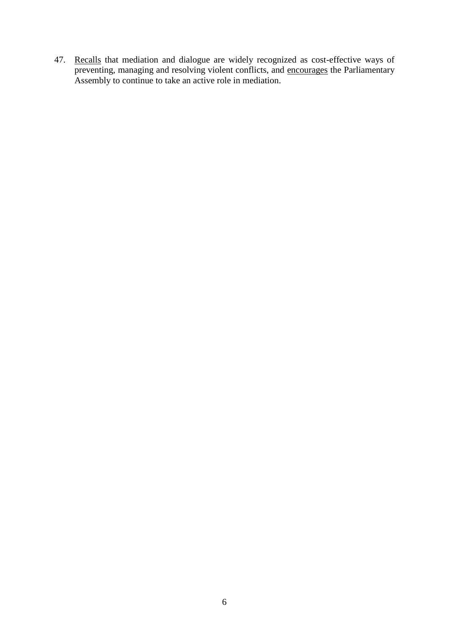47. Recalls that mediation and dialogue are widely recognized as cost-effective ways of preventing, managing and resolving violent conflicts, and encourages the Parliamentary Assembly to continue to take an active role in mediation.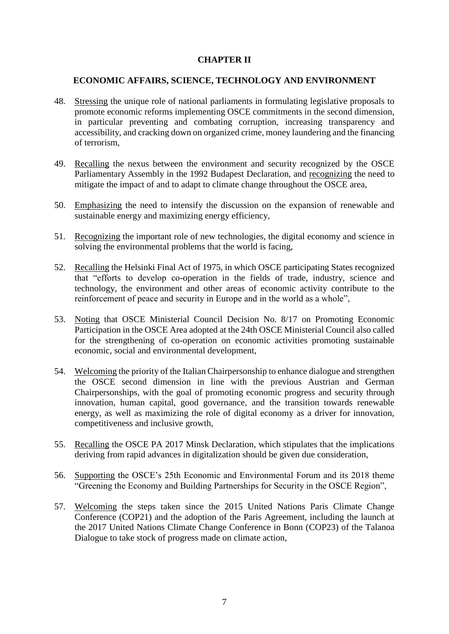#### **CHAPTER II**

#### <span id="page-8-1"></span><span id="page-8-0"></span>**ECONOMIC AFFAIRS, SCIENCE, TECHNOLOGY AND ENVIRONMENT**

- 48. Stressing the unique role of national parliaments in formulating legislative proposals to promote economic reforms implementing OSCE commitments in the second dimension, in particular preventing and combating corruption, increasing transparency and accessibility, and cracking down on organized crime, money laundering and the financing of terrorism,
- 49. Recalling the nexus between the environment and security recognized by the OSCE Parliamentary Assembly in the 1992 Budapest Declaration, and recognizing the need to mitigate the impact of and to adapt to climate change throughout the OSCE area,
- 50. Emphasizing the need to intensify the discussion on the expansion of renewable and sustainable energy and maximizing energy efficiency,
- 51. Recognizing the important role of new technologies, the digital economy and science in solving the environmental problems that the world is facing,
- 52. Recalling the Helsinki Final Act of 1975, in which OSCE participating States recognized that "efforts to develop co-operation in the fields of trade, industry, science and technology, the environment and other areas of economic activity contribute to the reinforcement of peace and security in Europe and in the world as a whole",
- 53. Noting that OSCE Ministerial Council Decision No. 8/17 on Promoting Economic Participation in the OSCE Area adopted at the 24th OSCE Ministerial Council also called for the strengthening of co-operation on economic activities promoting sustainable economic, social and environmental development,
- 54. Welcoming the priority of the Italian Chairpersonship to enhance dialogue and strengthen the OSCE second dimension in line with the previous Austrian and German Chairpersonships, with the goal of promoting economic progress and security through innovation, human capital, good governance, and the transition towards renewable energy, as well as maximizing the role of digital economy as a driver for innovation, competitiveness and inclusive growth,
- 55. Recalling the OSCE PA 2017 Minsk Declaration, which stipulates that the implications deriving from rapid advances in digitalization should be given due consideration,
- 56. Supporting the OSCE's 25th Economic and Environmental Forum and its 2018 theme "Greening the Economy and Building Partnerships for Security in the OSCE Region",
- 57. Welcoming the steps taken since the 2015 United Nations Paris Climate Change Conference (COP21) and the adoption of the Paris Agreement, including the launch at the 2017 United Nations Climate Change Conference in Bonn (COP23) of the Talanoa Dialogue to take stock of progress made on climate action,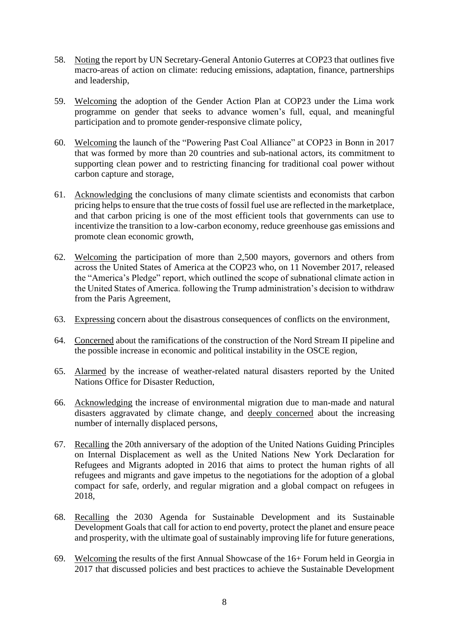- 58. Noting the report by UN Secretary-General Antonio Guterres at COP23 that outlines five macro-areas of action on climate: reducing emissions, adaptation, finance, partnerships and leadership,
- 59. Welcoming the adoption of the Gender Action Plan at COP23 under the Lima work programme on gender that seeks to advance women's full, equal, and meaningful participation and to promote gender-responsive climate policy,
- 60. Welcoming the launch of the "Powering Past Coal Alliance" at COP23 in Bonn in 2017 that was formed by more than 20 countries and sub-national actors, its commitment to supporting clean power and to restricting financing for traditional coal power without carbon capture and storage,
- 61. Acknowledging the conclusions of many climate scientists and economists that carbon pricing helps to ensure that the true costs of fossil fuel use are reflected in the marketplace, and that carbon pricing is one of the most efficient tools that governments can use to incentivize the transition to a low-carbon economy, reduce greenhouse gas emissions and promote clean economic growth,
- 62. Welcoming the participation of more than 2,500 mayors, governors and others from across the United States of America at the COP23 who, on 11 November 2017, released the "America's Pledge" report, which outlined the scope of subnational climate action in the United States of America. following the Trump administration's decision to withdraw from the Paris Agreement,
- 63. Expressing concern about the disastrous consequences of conflicts on the environment,
- 64. Concerned about the ramifications of the construction of the Nord Stream II pipeline and the possible increase in economic and political instability in the OSCE region,
- 65. Alarmed by the increase of weather-related natural disasters reported by the United Nations Office for Disaster Reduction,
- 66. Acknowledging the increase of environmental migration due to man-made and natural disasters aggravated by climate change, and deeply concerned about the increasing number of internally displaced persons,
- 67. Recalling the 20th anniversary of the adoption of the United Nations Guiding Principles on Internal Displacement as well as the United Nations New York Declaration for Refugees and Migrants adopted in 2016 that aims to protect the human rights of all refugees and migrants and gave impetus to the negotiations for the adoption of a global compact for safe, orderly, and regular migration and a global compact on refugees in 2018,
- 68. Recalling the 2030 Agenda for Sustainable Development and its Sustainable Development Goals that call for action to end poverty, protect the planet and ensure peace and prosperity, with the ultimate goal of sustainably improving life for future generations,
- 69. Welcoming the results of the first Annual Showcase of the 16+ Forum held in Georgia in 2017 that discussed policies and best practices to achieve the Sustainable Development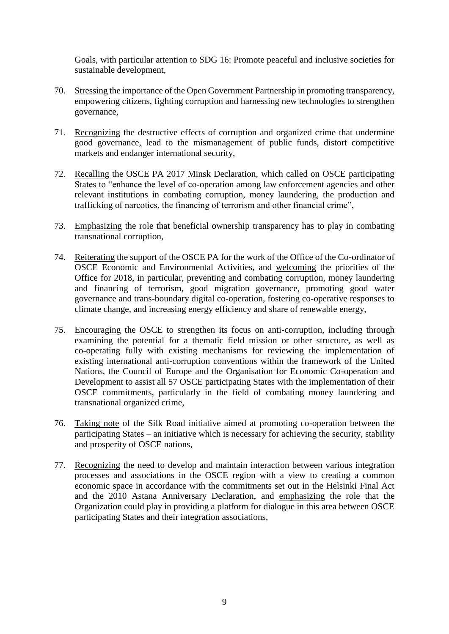Goals, with particular attention to SDG 16: Promote peaceful and inclusive societies for sustainable development,

- 70. Stressing the importance of the Open Government Partnership in promoting transparency, empowering citizens, fighting corruption and harnessing new technologies to strengthen governance,
- 71. Recognizing the destructive effects of corruption and organized crime that undermine good governance, lead to the mismanagement of public funds, distort competitive markets and endanger international security,
- 72. Recalling the OSCE PA 2017 Minsk Declaration, which called on OSCE participating States to "enhance the level of co-operation among law enforcement agencies and other relevant institutions in combating corruption, money laundering, the production and trafficking of narcotics, the financing of terrorism and other financial crime",
- 73. Emphasizing the role that beneficial ownership transparency has to play in combating transnational corruption,
- 74. Reiterating the support of the OSCE PA for the work of the Office of the Co-ordinator of OSCE Economic and Environmental Activities, and welcoming the priorities of the Office for 2018, in particular, preventing and combating corruption, money laundering and financing of terrorism, good migration governance, promoting good water governance and trans-boundary digital co-operation, fostering co-operative responses to climate change, and increasing energy efficiency and share of renewable energy,
- 75. Encouraging the OSCE to strengthen its focus on anti-corruption, including through examining the potential for a thematic field mission or other structure, as well as co-operating fully with existing mechanisms for reviewing the implementation of existing international anti-corruption conventions within the framework of the United Nations, the Council of Europe and the Organisation for Economic Co-operation and Development to assist all 57 OSCE participating States with the implementation of their OSCE commitments, particularly in the field of combating money laundering and transnational organized crime,
- 76. Taking note of the Silk Road initiative aimed at promoting co-operation between the participating States – an initiative which is necessary for achieving the security, stability and prosperity of OSCE nations,
- 77. Recognizing the need to develop and maintain interaction between various integration processes and associations in the OSCE region with a view to creating a common economic space in accordance with the commitments set out in the Helsinki Final Act and the 2010 Astana Anniversary Declaration, and emphasizing the role that the Organization could play in providing a platform for dialogue in this area between OSCE participating States and their integration associations,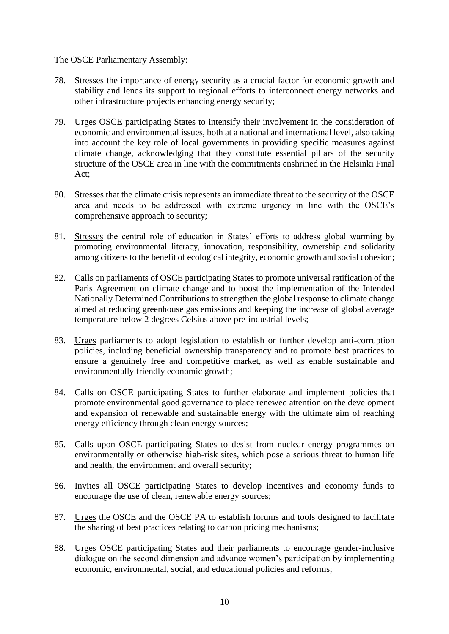- 78. Stresses the importance of energy security as a crucial factor for economic growth and stability and lends its support to regional efforts to interconnect energy networks and other infrastructure projects enhancing energy security;
- 79. Urges OSCE participating States to intensify their involvement in the consideration of economic and environmental issues, both at a national and international level, also taking into account the key role of local governments in providing specific measures against climate change, acknowledging that they constitute essential pillars of the security structure of the OSCE area in line with the commitments enshrined in the Helsinki Final Act;
- 80. Stresses that the climate crisis represents an immediate threat to the security of the OSCE area and needs to be addressed with extreme urgency in line with the OSCE's comprehensive approach to security;
- 81. Stresses the central role of education in States' efforts to address global warming by promoting environmental literacy, innovation, responsibility, ownership and solidarity among citizens to the benefit of ecological integrity, economic growth and social cohesion;
- 82. Calls on parliaments of OSCE participating States to promote universal ratification of the Paris Agreement on climate change and to boost the implementation of the Intended Nationally Determined Contributions to strengthen the global response to climate change aimed at reducing greenhouse gas emissions and keeping the increase of global average temperature below 2 degrees Celsius above pre-industrial levels;
- 83. Urges parliaments to adopt legislation to establish or further develop anti-corruption policies, including beneficial ownership transparency and to promote best practices to ensure a genuinely free and competitive market, as well as enable sustainable and environmentally friendly economic growth;
- 84. Calls on OSCE participating States to further elaborate and implement policies that promote environmental good governance to place renewed attention on the development and expansion of renewable and sustainable energy with the ultimate aim of reaching energy efficiency through clean energy sources;
- 85. Calls upon OSCE participating States to desist from nuclear energy programmes on environmentally or otherwise high-risk sites, which pose a serious threat to human life and health, the environment and overall security;
- 86. Invites all OSCE participating States to develop incentives and economy funds to encourage the use of clean, renewable energy sources;
- 87. Urges the OSCE and the OSCE PA to establish forums and tools designed to facilitate the sharing of best practices relating to carbon pricing mechanisms;
- 88. Urges OSCE participating States and their parliaments to encourage gender-inclusive dialogue on the second dimension and advance women's participation by implementing economic, environmental, social, and educational policies and reforms;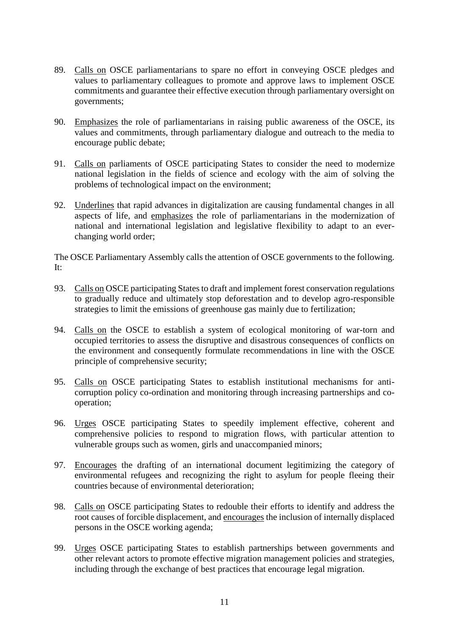- 89. Calls on OSCE parliamentarians to spare no effort in conveying OSCE pledges and values to parliamentary colleagues to promote and approve laws to implement OSCE commitments and guarantee their effective execution through parliamentary oversight on governments;
- 90. Emphasizes the role of parliamentarians in raising public awareness of the OSCE, its values and commitments, through parliamentary dialogue and outreach to the media to encourage public debate;
- 91. Calls on parliaments of OSCE participating States to consider the need to modernize national legislation in the fields of science and ecology with the aim of solving the problems of technological impact on the environment;
- 92. Underlines that rapid advances in digitalization are causing fundamental changes in all aspects of life, and emphasizes the role of parliamentarians in the modernization of national and international legislation and legislative flexibility to adapt to an everchanging world order;

The OSCE Parliamentary Assembly calls the attention of OSCE governments to the following. It:

- 93. Calls on OSCE participating States to draft and implement forest conservation regulations to gradually reduce and ultimately stop deforestation and to develop agro-responsible strategies to limit the emissions of greenhouse gas mainly due to fertilization;
- 94. Calls on the OSCE to establish a system of ecological monitoring of war-torn and occupied territories to assess the disruptive and disastrous consequences of conflicts on the environment and consequently formulate recommendations in line with the OSCE principle of comprehensive security;
- 95. Calls on OSCE participating States to establish institutional mechanisms for anticorruption policy co-ordination and monitoring through increasing partnerships and cooperation;
- 96. Urges OSCE participating States to speedily implement effective, coherent and comprehensive policies to respond to migration flows, with particular attention to vulnerable groups such as women, girls and unaccompanied minors;
- 97. Encourages the drafting of an international document legitimizing the category of environmental refugees and recognizing the right to asylum for people fleeing their countries because of environmental deterioration;
- 98. Calls on OSCE participating States to redouble their efforts to identify and address the root causes of forcible displacement, and encourages the inclusion of internally displaced persons in the OSCE working agenda;
- 99. Urges OSCE participating States to establish partnerships between governments and other relevant actors to promote effective migration management policies and strategies, including through the exchange of best practices that encourage legal migration.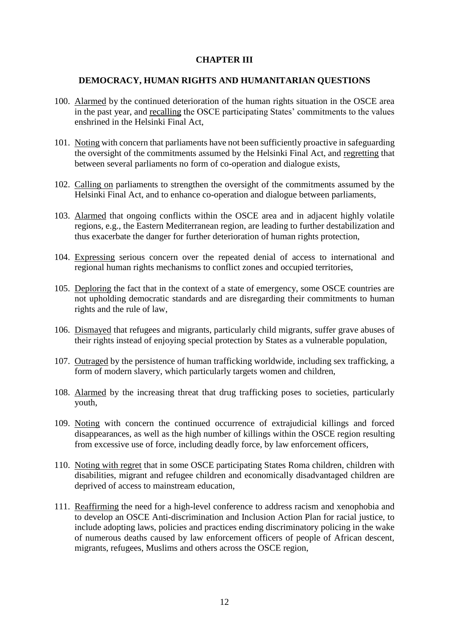#### **CHAPTER III**

#### <span id="page-13-0"></span>**DEMOCRACY, HUMAN RIGHTS AND HUMANITARIAN QUESTIONS**

- <span id="page-13-1"></span>100. Alarmed by the continued deterioration of the human rights situation in the OSCE area in the past year, and recalling the OSCE participating States' commitments to the values enshrined in the Helsinki Final Act,
- 101. Noting with concern that parliaments have not been sufficiently proactive in safeguarding the oversight of the commitments assumed by the Helsinki Final Act, and regretting that between several parliaments no form of co-operation and dialogue exists,
- 102. Calling on parliaments to strengthen the oversight of the commitments assumed by the Helsinki Final Act, and to enhance co-operation and dialogue between parliaments,
- 103. Alarmed that ongoing conflicts within the OSCE area and in adjacent highly volatile regions, e.g., the Eastern Mediterranean region, are leading to further destabilization and thus exacerbate the danger for further deterioration of human rights protection,
- 104. Expressing serious concern over the repeated denial of access to international and regional human rights mechanisms to conflict zones and occupied territories,
- 105. Deploring the fact that in the context of a state of emergency, some OSCE countries are not upholding democratic standards and are disregarding their commitments to human rights and the rule of law,
- 106. Dismayed that refugees and migrants, particularly child migrants, suffer grave abuses of their rights instead of enjoying special protection by States as a vulnerable population,
- 107. Outraged by the persistence of human trafficking worldwide, including sex trafficking, a form of modern slavery, which particularly targets women and children,
- 108. Alarmed by the increasing threat that drug trafficking poses to societies, particularly youth,
- 109. Noting with concern the continued occurrence of extrajudicial killings and forced disappearances, as well as the high number of killings within the OSCE region resulting from excessive use of force, including deadly force, by law enforcement officers,
- 110. Noting with regret that in some OSCE participating States Roma children, children with disabilities, migrant and refugee children and economically disadvantaged children are deprived of access to mainstream education,
- 111. Reaffirming the need for a high-level conference to address racism and xenophobia and to develop an OSCE Anti-discrimination and Inclusion Action Plan for racial justice, to include adopting laws, policies and practices ending discriminatory policing in the wake of numerous deaths caused by law enforcement officers of people of African descent, migrants, refugees, Muslims and others across the OSCE region,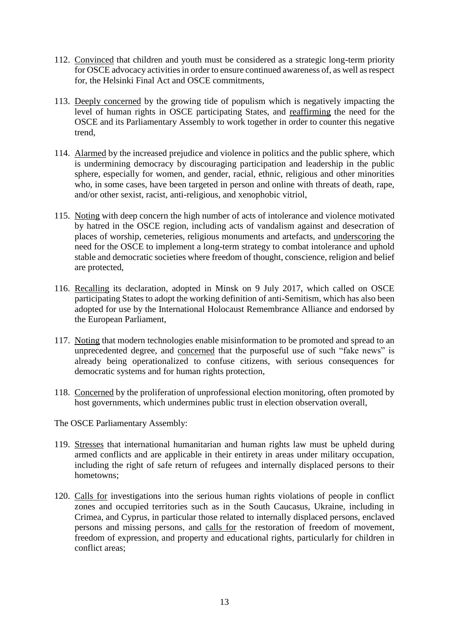- 112. Convinced that children and youth must be considered as a strategic long-term priority for OSCE advocacy activities in order to ensure continued awareness of, as well as respect for, the Helsinki Final Act and OSCE commitments,
- 113. Deeply concerned by the growing tide of populism which is negatively impacting the level of human rights in OSCE participating States, and reaffirming the need for the OSCE and its Parliamentary Assembly to work together in order to counter this negative trend,
- 114. Alarmed by the increased prejudice and violence in politics and the public sphere, which is undermining democracy by discouraging participation and leadership in the public sphere, especially for women, and gender, racial, ethnic, religious and other minorities who, in some cases, have been targeted in person and online with threats of death, rape, and/or other sexist, racist, anti-religious, and xenophobic vitriol,
- 115. Noting with deep concern the high number of acts of intolerance and violence motivated by hatred in the OSCE region, including acts of vandalism against and desecration of places of worship, cemeteries, religious monuments and artefacts, and underscoring the need for the OSCE to implement a long-term strategy to combat intolerance and uphold stable and democratic societies where freedom of thought, conscience, religion and belief are protected,
- 116. Recalling its declaration, adopted in Minsk on 9 July 2017, which called on OSCE participating States to adopt the working definition of anti-Semitism, which has also been adopted for use by the International Holocaust Remembrance Alliance and endorsed by the European Parliament,
- 117. Noting that modern technologies enable misinformation to be promoted and spread to an unprecedented degree, and concerned that the purposeful use of such "fake news" is already being operationalized to confuse citizens, with serious consequences for democratic systems and for human rights protection,
- 118. Concerned by the proliferation of unprofessional election monitoring, often promoted by host governments, which undermines public trust in election observation overall,

- 119. Stresses that international humanitarian and human rights law must be upheld during armed conflicts and are applicable in their entirety in areas under military occupation, including the right of safe return of refugees and internally displaced persons to their hometowns;
- 120. Calls for investigations into the serious human rights violations of people in conflict zones and occupied territories such as in the South Caucasus, Ukraine, including in Crimea, and Cyprus, in particular those related to internally displaced persons, enclaved persons and missing persons, and calls for the restoration of freedom of movement, freedom of expression, and property and educational rights, particularly for children in conflict areas;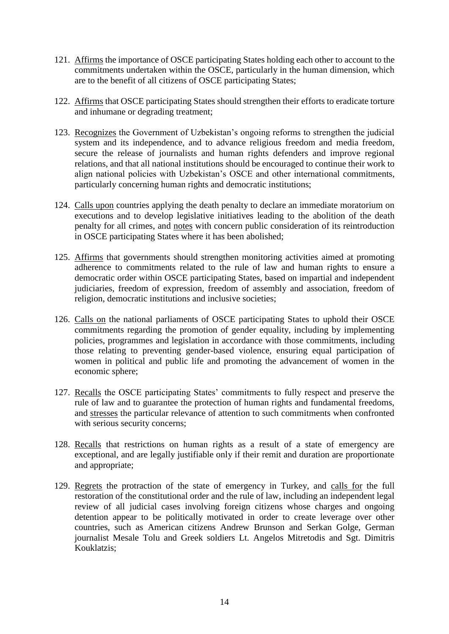- 121. Affirms the importance of OSCE participating States holding each other to account to the commitments undertaken within the OSCE, particularly in the human dimension, which are to the benefit of all citizens of OSCE participating States;
- 122. Affirms that OSCE participating States should strengthen their efforts to eradicate torture and inhumane or degrading treatment;
- 123. Recognizes the Government of Uzbekistan's ongoing reforms to strengthen the judicial system and its independence, and to advance religious freedom and media freedom, secure the release of journalists and human rights defenders and improve regional relations, and that all national institutions should be encouraged to continue their work to align national policies with Uzbekistan's OSCE and other international commitments, particularly concerning human rights and democratic institutions;
- 124. Calls upon countries applying the death penalty to declare an immediate moratorium on executions and to develop legislative initiatives leading to the abolition of the death penalty for all crimes, and notes with concern public consideration of its reintroduction in OSCE participating States where it has been abolished;
- 125. Affirms that governments should strengthen monitoring activities aimed at promoting adherence to commitments related to the rule of law and human rights to ensure a democratic order within OSCE participating States, based on impartial and independent judiciaries, freedom of expression, freedom of assembly and association, freedom of religion, democratic institutions and inclusive societies;
- 126. Calls on the national parliaments of OSCE participating States to uphold their OSCE commitments regarding the promotion of gender equality, including by implementing policies, programmes and legislation in accordance with those commitments, including those relating to preventing gender-based violence, ensuring equal participation of women in political and public life and promoting the advancement of women in the economic sphere;
- 127. Recalls the OSCE participating States' commitments to fully respect and preserve the rule of law and to guarantee the protection of human rights and fundamental freedoms, and stresses the particular relevance of attention to such commitments when confronted with serious security concerns;
- 128. Recalls that restrictions on human rights as a result of a state of emergency are exceptional, and are legally justifiable only if their remit and duration are proportionate and appropriate;
- 129. Regrets the protraction of the state of emergency in Turkey, and calls for the full restoration of the constitutional order and the rule of law, including an independent legal review of all judicial cases involving foreign citizens whose charges and ongoing detention appear to be politically motivated in order to create leverage over other countries, such as American citizens Andrew Brunson and Serkan Golge, German journalist Mesale Tolu and Greek soldiers Lt. Angelos Mitretodis and Sgt. Dimitris Kouklatzis;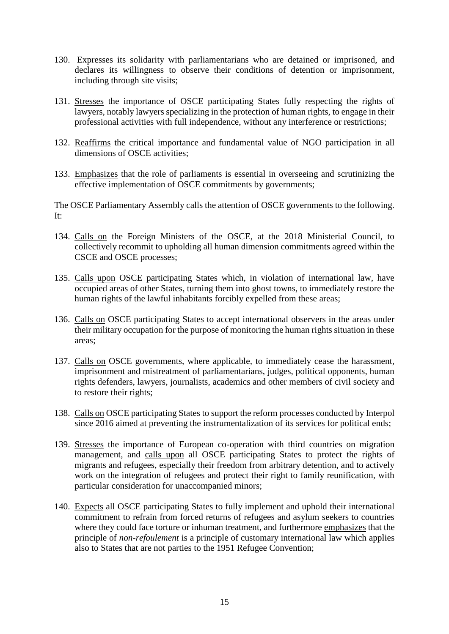- 130. Expresses its solidarity with parliamentarians who are detained or imprisoned, and declares its willingness to observe their conditions of detention or imprisonment, including through site visits;
- 131. Stresses the importance of OSCE participating States fully respecting the rights of lawyers, notably lawyers specializing in the protection of human rights, to engage in their professional activities with full independence, without any interference or restrictions;
- 132. Reaffirms the critical importance and fundamental value of NGO participation in all dimensions of OSCE activities;
- 133. Emphasizes that the role of parliaments is essential in overseeing and scrutinizing the effective implementation of OSCE commitments by governments;

The OSCE Parliamentary Assembly calls the attention of OSCE governments to the following. It:

- 134. Calls on the Foreign Ministers of the OSCE, at the 2018 Ministerial Council, to collectively recommit to upholding all human dimension commitments agreed within the CSCE and OSCE processes;
- 135. Calls upon OSCE participating States which, in violation of international law, have occupied areas of other States, turning them into ghost towns, to immediately restore the human rights of the lawful inhabitants forcibly expelled from these areas;
- 136. Calls on OSCE participating States to accept international observers in the areas under their military occupation for the purpose of monitoring the human rights situation in these areas;
- 137. Calls on OSCE governments, where applicable, to immediately cease the harassment, imprisonment and mistreatment of parliamentarians, judges, political opponents, human rights defenders, lawyers, journalists, academics and other members of civil society and to restore their rights;
- 138. Calls on OSCE participating States to support the reform processes conducted by Interpol since 2016 aimed at preventing the instrumentalization of its services for political ends;
- 139. Stresses the importance of European co-operation with third countries on migration management, and calls upon all OSCE participating States to protect the rights of migrants and refugees, especially their freedom from arbitrary detention, and to actively work on the integration of refugees and protect their right to family reunification, with particular consideration for unaccompanied minors;
- 140. Expects all OSCE participating States to fully implement and uphold their international commitment to refrain from forced returns of refugees and asylum seekers to countries where they could face torture or inhuman treatment, and furthermore emphasizes that the principle of *non-refoulement* is a principle of customary international law which applies also to States that are not parties to the 1951 Refugee Convention;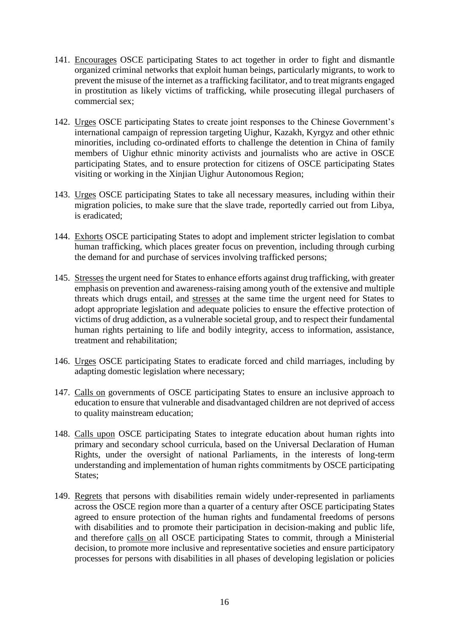- 141. Encourages OSCE participating States to act together in order to fight and dismantle organized criminal networks that exploit human beings, particularly migrants, to work to prevent the misuse of the internet as a trafficking facilitator, and to treat migrants engaged in prostitution as likely victims of trafficking, while prosecuting illegal purchasers of commercial sex;
- 142. Urges OSCE participating States to create joint responses to the Chinese Government's international campaign of repression targeting Uighur, Kazakh, Kyrgyz and other ethnic minorities, including co-ordinated efforts to challenge the detention in China of family members of Uighur ethnic minority activists and journalists who are active in OSCE participating States, and to ensure protection for citizens of OSCE participating States visiting or working in the Xinjian Uighur Autonomous Region;
- 143. Urges OSCE participating States to take all necessary measures, including within their migration policies, to make sure that the slave trade, reportedly carried out from Libya, is eradicated;
- 144. Exhorts OSCE participating States to adopt and implement stricter legislation to combat human trafficking, which places greater focus on prevention, including through curbing the demand for and purchase of services involving trafficked persons;
- 145. Stresses the urgent need for States to enhance efforts against drug trafficking, with greater emphasis on prevention and awareness-raising among youth of the extensive and multiple threats which drugs entail, and stresses at the same time the urgent need for States to adopt appropriate legislation and adequate policies to ensure the effective protection of victims of drug addiction, as a vulnerable societal group, and to respect their fundamental human rights pertaining to life and bodily integrity, access to information, assistance, treatment and rehabilitation;
- 146. Urges OSCE participating States to eradicate forced and child marriages, including by adapting domestic legislation where necessary;
- 147. Calls on governments of OSCE participating States to ensure an inclusive approach to education to ensure that vulnerable and disadvantaged children are not deprived of access to quality mainstream education;
- 148. Calls upon OSCE participating States to integrate education about human rights into primary and secondary school curricula, based on the Universal Declaration of Human Rights, under the oversight of national Parliaments, in the interests of long-term understanding and implementation of human rights commitments by OSCE participating States;
- 149. Regrets that persons with disabilities remain widely under-represented in parliaments across the OSCE region more than a quarter of a century after OSCE participating States agreed to ensure protection of the human rights and fundamental freedoms of persons with disabilities and to promote their participation in decision-making and public life, and therefore calls on all OSCE participating States to commit, through a Ministerial decision, to promote more inclusive and representative societies and ensure participatory processes for persons with disabilities in all phases of developing legislation or policies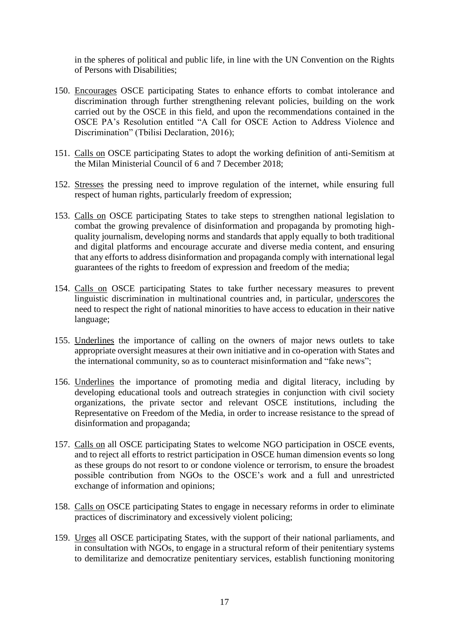in the spheres of political and public life, in line with the UN Convention on the Rights of Persons with Disabilities;

- 150. Encourages OSCE participating States to enhance efforts to combat intolerance and discrimination through further strengthening relevant policies, building on the work carried out by the OSCE in this field, and upon the recommendations contained in the OSCE PA's Resolution entitled "A Call for OSCE Action to Address Violence and Discrimination" (Tbilisi Declaration, 2016);
- 151. Calls on OSCE participating States to adopt the working definition of anti-Semitism at the Milan Ministerial Council of 6 and 7 December 2018;
- 152. Stresses the pressing need to improve regulation of the internet, while ensuring full respect of human rights, particularly freedom of expression;
- 153. Calls on OSCE participating States to take steps to strengthen national legislation to combat the growing prevalence of disinformation and propaganda by promoting highquality journalism, developing norms and standards that apply equally to both traditional and digital platforms and encourage accurate and diverse media content, and ensuring that any efforts to address disinformation and propaganda comply with international legal guarantees of the rights to freedom of expression and freedom of the media;
- 154. Calls on OSCE participating States to take further necessary measures to prevent linguistic discrimination in multinational countries and, in particular, underscores the need to respect the right of national minorities to have access to education in their native language;
- 155. Underlines the importance of calling on the owners of major news outlets to take appropriate oversight measures at their own initiative and in co-operation with States and the international community, so as to counteract misinformation and "fake news";
- 156. Underlines the importance of promoting media and digital literacy, including by developing educational tools and outreach strategies in conjunction with civil society organizations, the private sector and relevant OSCE institutions, including the Representative on Freedom of the Media, in order to increase resistance to the spread of disinformation and propaganda;
- 157. Calls on all OSCE participating States to welcome NGO participation in OSCE events, and to reject all efforts to restrict participation in OSCE human dimension events so long as these groups do not resort to or condone violence or terrorism, to ensure the broadest possible contribution from NGOs to the OSCE's work and a full and unrestricted exchange of information and opinions;
- 158. Calls on OSCE participating States to engage in necessary reforms in order to eliminate practices of discriminatory and excessively violent policing;
- 159. Urges all OSCE participating States, with the support of their national parliaments, and in consultation with NGOs, to engage in a structural reform of their penitentiary systems to demilitarize and democratize penitentiary services, establish functioning monitoring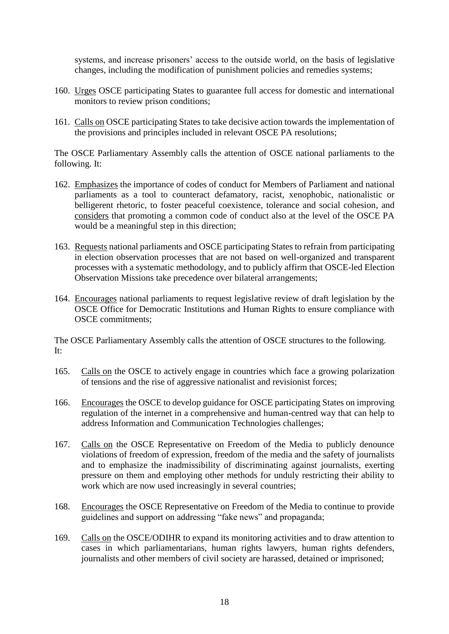systems, and increase prisoners' access to the outside world, on the basis of legislative changes, including the modification of punishment policies and remedies systems;

- 160. Urges OSCE participating States to guarantee full access for domestic and international monitors to review prison conditions;
- 161. Calls on OSCE participating States to take decisive action towards the implementation of the provisions and principles included in relevant OSCE PA resolutions;

The OSCE Parliamentary Assembly calls the attention of OSCE national parliaments to the following. It:

- 162. Emphasizes the importance of codes of conduct for Members of Parliament and national parliaments as a tool to counteract defamatory, racist, xenophobic, nationalistic or belligerent rhetoric, to foster peaceful coexistence, tolerance and social cohesion, and considers that promoting a common code of conduct also at the level of the OSCE PA would be a meaningful step in this direction;
- 163. Requests national parliaments and OSCE participating States to refrain from participating in election observation processes that are not based on well-organized and transparent processes with a systematic methodology, and to publicly affirm that OSCE-led Election Observation Missions take precedence over bilateral arrangements;
- 164. Encourages national parliaments to request legislative review of draft legislation by the OSCE Office for Democratic Institutions and Human Rights to ensure compliance with OSCE commitments;

The OSCE Parliamentary Assembly calls the attention of OSCE structures to the following. It:

- 165. Calls on the OSCE to actively engage in countries which face a growing polarization of tensions and the rise of aggressive nationalist and revisionist forces;
- 166. Encourages the OSCE to develop guidance for OSCE participating States on improving regulation of the internet in a comprehensive and human-centred way that can help to address Information and Communication Technologies challenges;
- 167. Calls on the OSCE Representative on Freedom of the Media to publicly denounce violations of freedom of expression, freedom of the media and the safety of journalists and to emphasize the inadmissibility of discriminating against journalists, exerting pressure on them and employing other methods for unduly restricting their ability to work which are now used increasingly in several countries;
- 168. Encourages the OSCE Representative on Freedom of the Media to continue to provide guidelines and support on addressing "fake news" and propaganda;
- 169. Calls on the OSCE/ODIHR to expand its monitoring activities and to draw attention to cases in which parliamentarians, human rights lawyers, human rights defenders, journalists and other members of civil society are harassed, detained or imprisoned;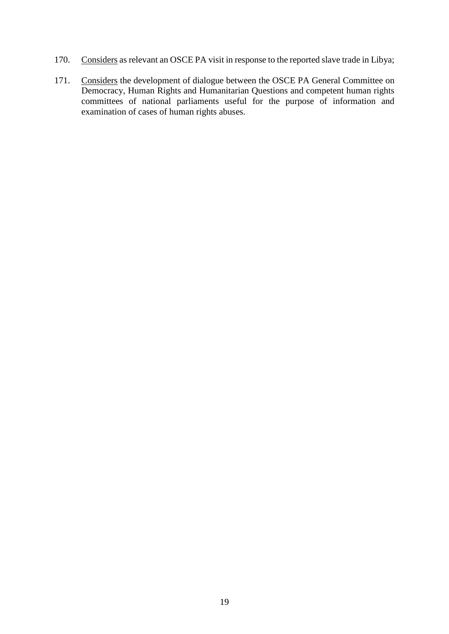- 170. Considers as relevant an OSCE PA visit in response to the reported slave trade in Libya;
- 171. Considers the development of dialogue between the OSCE PA General Committee on Democracy, Human Rights and Humanitarian Questions and competent human rights committees of national parliaments useful for the purpose of information and examination of cases of human rights abuses.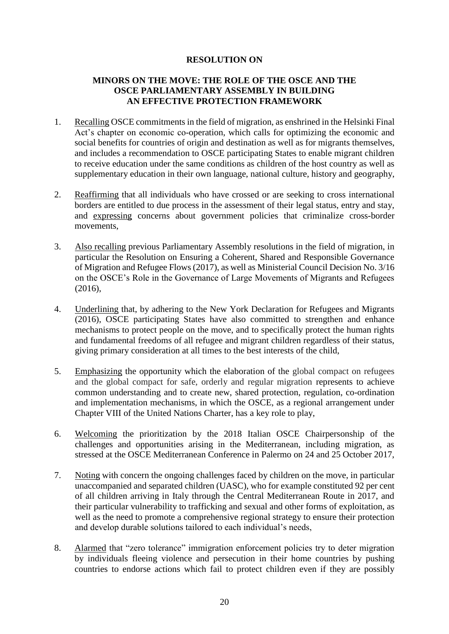#### **RESOLUTION ON**

#### <span id="page-21-1"></span><span id="page-21-0"></span>**MINORS ON THE MOVE: THE ROLE OF THE OSCE AND THE OSCE PARLIAMENTARY ASSEMBLY IN BUILDING AN EFFECTIVE PROTECTION FRAMEWORK**

- 1. Recalling OSCE commitments in the field of migration, as enshrined in the Helsinki Final Act's chapter on economic co-operation, which calls for optimizing the economic and social benefits for countries of origin and destination as well as for migrants themselves, and includes a recommendation to OSCE participating States to enable migrant children to receive education under the same conditions as children of the host country as well as supplementary education in their own language, national culture, history and geography,
- 2. Reaffirming that all individuals who have crossed or are seeking to cross international borders are entitled to due process in the assessment of their legal status, entry and stay, and expressing concerns about government policies that criminalize cross-border movements,
- 3. Also recalling previous Parliamentary Assembly resolutions in the field of migration, in particular the Resolution on Ensuring a Coherent, Shared and Responsible Governance of Migration and Refugee Flows (2017), as well as Ministerial Council Decision No. 3/16 on the OSCE's Role in the Governance of Large Movements of Migrants and Refugees (2016),
- 4. Underlining that, by adhering to the New York Declaration for Refugees and Migrants (2016), OSCE participating States have also committed to strengthen and enhance mechanisms to protect people on the move, and to specifically protect the human rights and fundamental freedoms of all refugee and migrant children regardless of their status, giving primary consideration at all times to the best interests of the child,
- 5. Emphasizing the opportunity which the elaboration of the global compact on refugees and the global compact for safe, orderly and regular migration represents to achieve common understanding and to create new, shared protection, regulation, co-ordination and implementation mechanisms, in which the OSCE, as a regional arrangement under Chapter VIII of the United Nations Charter, has a key role to play,
- 6. Welcoming the prioritization by the 2018 Italian OSCE Chairpersonship of the challenges and opportunities arising in the Mediterranean, including migration, as stressed at the OSCE Mediterranean Conference in Palermo on 24 and 25 October 2017,
- 7. Noting with concern the ongoing challenges faced by children on the move, in particular unaccompanied and separated children (UASC), who for example constituted 92 per cent of all children arriving in Italy through the Central Mediterranean Route in 2017, and their particular vulnerability to trafficking and sexual and other forms of exploitation, as well as the need to promote a comprehensive regional strategy to ensure their protection and develop durable solutions tailored to each individual's needs,
- 8. Alarmed that "zero tolerance" immigration enforcement policies try to deter migration by individuals fleeing violence and persecution in their home countries by pushing countries to endorse actions which fail to protect children even if they are possibly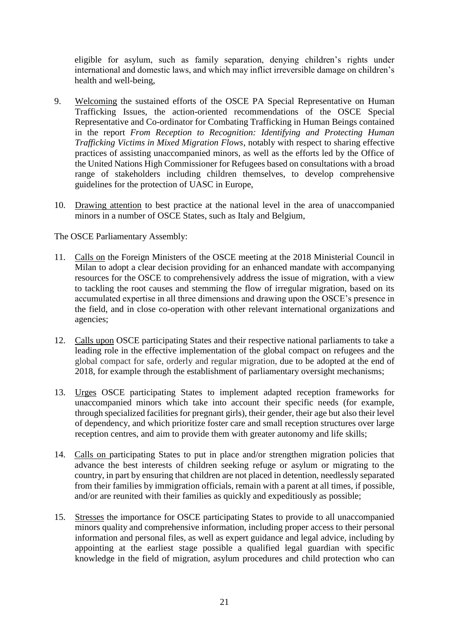eligible for asylum, such as family separation, denying children's rights under international and domestic laws, and which may inflict irreversible damage on children's health and well-being,

- 9. Welcoming the sustained efforts of the OSCE PA Special Representative on Human Trafficking Issues, the action-oriented recommendations of the OSCE Special Representative and Co-ordinator for Combating Trafficking in Human Beings contained in the report *From Reception to Recognition: Identifying and Protecting Human Trafficking Victims in Mixed Migration Flows*, notably with respect to sharing effective practices of assisting unaccompanied minors, as well as the efforts led by the Office of the United Nations High Commissioner for Refugees based on consultations with a broad range of stakeholders including children themselves, to develop comprehensive guidelines for the protection of UASC in Europe,
- 10. Drawing attention to best practice at the national level in the area of unaccompanied minors in a number of OSCE States, such as Italy and Belgium,

- 11. Calls on the Foreign Ministers of the OSCE meeting at the 2018 Ministerial Council in Milan to adopt a clear decision providing for an enhanced mandate with accompanying resources for the OSCE to comprehensively address the issue of migration, with a view to tackling the root causes and stemming the flow of irregular migration, based on its accumulated expertise in all three dimensions and drawing upon the OSCE's presence in the field, and in close co-operation with other relevant international organizations and agencies;
- 12. Calls upon OSCE participating States and their respective national parliaments to take a leading role in the effective implementation of the global compact on refugees and the global compact for safe, orderly and regular migration, due to be adopted at the end of 2018, for example through the establishment of parliamentary oversight mechanisms;
- 13. Urges OSCE participating States to implement adapted reception frameworks for unaccompanied minors which take into account their specific needs (for example, through specialized facilities for pregnant girls), their gender, their age but also their level of dependency, and which prioritize foster care and small reception structures over large reception centres, and aim to provide them with greater autonomy and life skills;
- 14. Calls on participating States to put in place and/or strengthen migration policies that advance the best interests of children seeking refuge or asylum or migrating to the country, in part by ensuring that children are not placed in detention, needlessly separated from their families by immigration officials, remain with a parent at all times, if possible, and/or are reunited with their families as quickly and expeditiously as possible;
- 15. Stresses the importance for OSCE participating States to provide to all unaccompanied minors quality and comprehensive information, including proper access to their personal information and personal files, as well as expert guidance and legal advice, including by appointing at the earliest stage possible a qualified legal guardian with specific knowledge in the field of migration, asylum procedures and child protection who can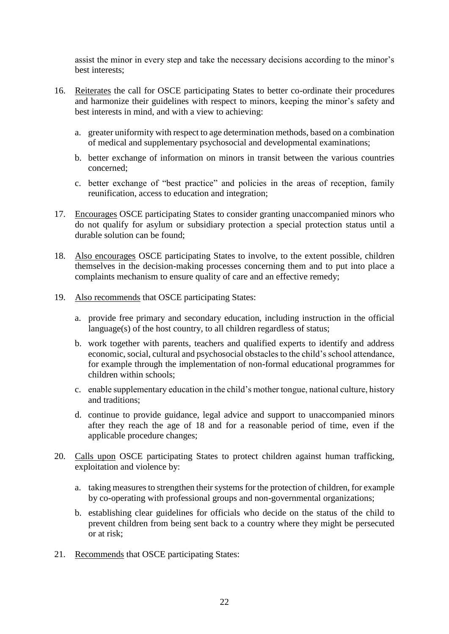assist the minor in every step and take the necessary decisions according to the minor's best interests;

- 16. Reiterates the call for OSCE participating States to better co-ordinate their procedures and harmonize their guidelines with respect to minors, keeping the minor's safety and best interests in mind, and with a view to achieving:
	- a. greater uniformity with respect to age determination methods, based on a combination of medical and supplementary psychosocial and developmental examinations;
	- b. better exchange of information on minors in transit between the various countries concerned;
	- c. better exchange of "best practice" and policies in the areas of reception, family reunification, access to education and integration;
- 17. Encourages OSCE participating States to consider granting unaccompanied minors who do not qualify for asylum or subsidiary protection a special protection status until a durable solution can be found;
- 18. Also encourages OSCE participating States to involve, to the extent possible, children themselves in the decision-making processes concerning them and to put into place a complaints mechanism to ensure quality of care and an effective remedy;
- 19. Also recommends that OSCE participating States:
	- a. provide free primary and secondary education, including instruction in the official language(s) of the host country, to all children regardless of status;
	- b. work together with parents, teachers and qualified experts to identify and address economic, social, cultural and psychosocial obstacles to the child's school attendance, for example through the implementation of non-formal educational programmes for children within schools;
	- c. enable supplementary education in the child's mother tongue, national culture, history and traditions;
	- d. continue to provide guidance, legal advice and support to unaccompanied minors after they reach the age of 18 and for a reasonable period of time, even if the applicable procedure changes;
- 20. Calls upon OSCE participating States to protect children against human trafficking, exploitation and violence by:
	- a. taking measures to strengthen their systems for the protection of children, for example by co-operating with professional groups and non-governmental organizations;
	- b. establishing clear guidelines for officials who decide on the status of the child to prevent children from being sent back to a country where they might be persecuted or at risk;
- 21. Recommends that OSCE participating States: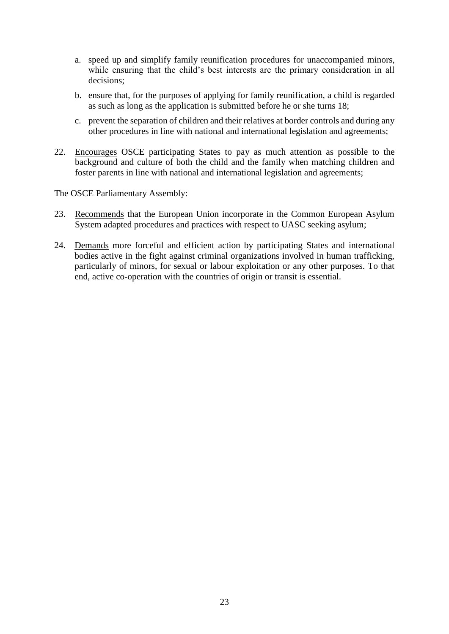- a. speed up and simplify family reunification procedures for unaccompanied minors, while ensuring that the child's best interests are the primary consideration in all decisions;
- b. ensure that, for the purposes of applying for family reunification, a child is regarded as such as long as the application is submitted before he or she turns 18;
- c. prevent the separation of children and their relatives at border controls and during any other procedures in line with national and international legislation and agreements;
- 22. Encourages OSCE participating States to pay as much attention as possible to the background and culture of both the child and the family when matching children and foster parents in line with national and international legislation and agreements;

- 23. Recommends that the European Union incorporate in the Common European Asylum System adapted procedures and practices with respect to UASC seeking asylum;
- 24. Demands more forceful and efficient action by participating States and international bodies active in the fight against criminal organizations involved in human trafficking, particularly of minors, for sexual or labour exploitation or any other purposes. To that end, active co-operation with the countries of origin or transit is essential.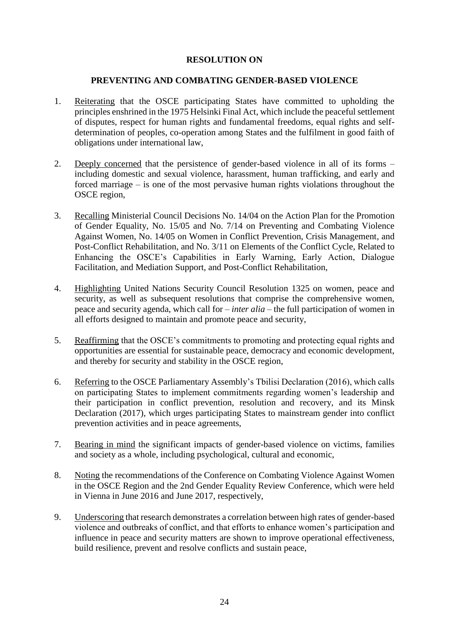#### **RESOLUTION ON**

#### **PREVENTING AND COMBATING GENDER-BASED VIOLENCE**

- <span id="page-25-1"></span><span id="page-25-0"></span>1. Reiterating that the OSCE participating States have committed to upholding the principles enshrined in the 1975 Helsinki Final Act, which include the peaceful settlement of disputes, respect for human rights and fundamental freedoms, equal rights and selfdetermination of peoples, co-operation among States and the fulfilment in good faith of obligations under international law,
- 2. Deeply concerned that the persistence of gender-based violence in all of its forms including domestic and sexual violence, harassment, human trafficking, and early and forced marriage – is one of the most pervasive human rights violations throughout the OSCE region,
- 3. Recalling Ministerial Council Decisions No. 14/04 on the Action Plan for the Promotion of Gender Equality, No. 15/05 and No. 7/14 on Preventing and Combating Violence Against Women, No. 14/05 on Women in Conflict Prevention, Crisis Management, and Post-Conflict Rehabilitation, and No. 3/11 on Elements of the Conflict Cycle, Related to Enhancing the OSCE's Capabilities in Early Warning, Early Action, Dialogue Facilitation, and Mediation Support, and Post-Conflict Rehabilitation,
- 4. Highlighting United Nations Security Council Resolution 1325 on women, peace and security, as well as subsequent resolutions that comprise the comprehensive women, peace and security agenda, which call for – *inter alia* – the full participation of women in all efforts designed to maintain and promote peace and security,
- 5. Reaffirming that the OSCE's commitments to promoting and protecting equal rights and opportunities are essential for sustainable peace, democracy and economic development, and thereby for security and stability in the OSCE region,
- 6. Referring to the OSCE Parliamentary Assembly's Tbilisi Declaration (2016), which calls on participating States to implement commitments regarding women's leadership and their participation in conflict prevention, resolution and recovery, and its Minsk Declaration (2017), which urges participating States to mainstream gender into conflict prevention activities and in peace agreements,
- 7. Bearing in mind the significant impacts of gender-based violence on victims, families and society as a whole, including psychological, cultural and economic,
- 8. Noting the recommendations of the Conference on Combating Violence Against Women in the OSCE Region and the 2nd Gender Equality Review Conference, which were held in Vienna in June 2016 and June 2017, respectively,
- 9. Underscoring that research demonstrates a correlation between high rates of gender-based violence and outbreaks of conflict, and that efforts to enhance women's participation and influence in peace and security matters are shown to improve operational effectiveness, build resilience, prevent and resolve conflicts and sustain peace,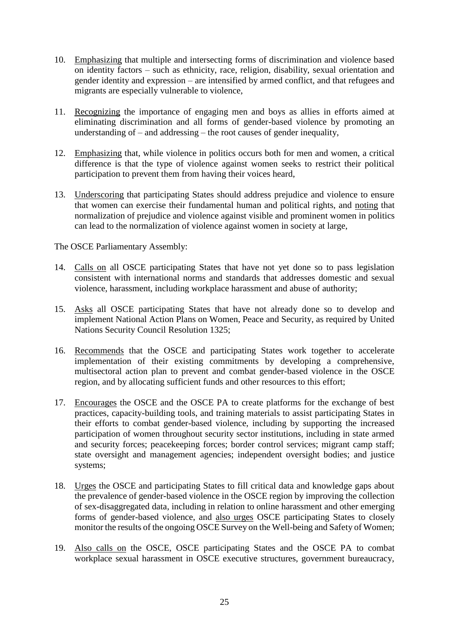- 10. Emphasizing that multiple and intersecting forms of discrimination and violence based on identity factors – such as ethnicity, race, religion, disability, sexual orientation and gender identity and expression – are intensified by armed conflict, and that refugees and migrants are especially vulnerable to violence,
- 11. Recognizing the importance of engaging men and boys as allies in efforts aimed at eliminating discrimination and all forms of gender-based violence by promoting an understanding of  $-$  and addressing  $-$  the root causes of gender inequality,
- 12. Emphasizing that, while violence in politics occurs both for men and women, a critical difference is that the type of violence against women seeks to restrict their political participation to prevent them from having their voices heard,
- 13. Underscoring that participating States should address prejudice and violence to ensure that women can exercise their fundamental human and political rights, and noting that normalization of prejudice and violence against visible and prominent women in politics can lead to the normalization of violence against women in society at large,

- 14. Calls on all OSCE participating States that have not yet done so to pass legislation consistent with international norms and standards that addresses domestic and sexual violence, harassment, including workplace harassment and abuse of authority;
- 15. Asks all OSCE participating States that have not already done so to develop and implement National Action Plans on Women, Peace and Security, as required by United Nations Security Council Resolution 1325;
- 16. Recommends that the OSCE and participating States work together to accelerate implementation of their existing commitments by developing a comprehensive, multisectoral action plan to prevent and combat gender-based violence in the OSCE region, and by allocating sufficient funds and other resources to this effort;
- 17. Encourages the OSCE and the OSCE PA to create platforms for the exchange of best practices, capacity-building tools, and training materials to assist participating States in their efforts to combat gender-based violence, including by supporting the increased participation of women throughout security sector institutions, including in state armed and security forces; peacekeeping forces; border control services; migrant camp staff; state oversight and management agencies; independent oversight bodies; and justice systems;
- 18. Urges the OSCE and participating States to fill critical data and knowledge gaps about the prevalence of gender-based violence in the OSCE region by improving the collection of sex-disaggregated data, including in relation to online harassment and other emerging forms of gender-based violence, and also urges OSCE participating States to closely monitor the results of the ongoing OSCE Survey on the Well-being and Safety of Women;
- 19. Also calls on the OSCE, OSCE participating States and the OSCE PA to combat workplace sexual harassment in OSCE executive structures, government bureaucracy,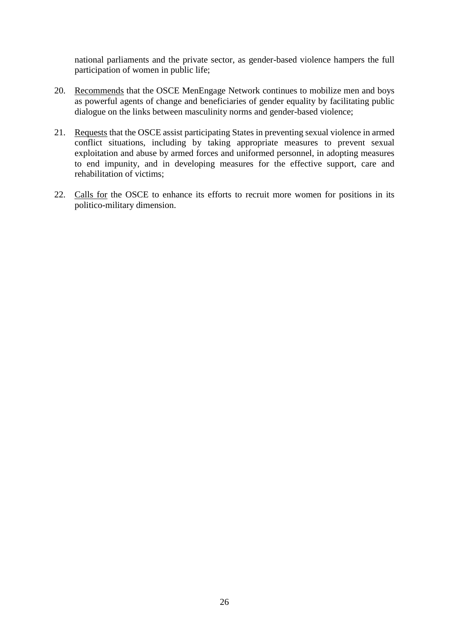national parliaments and the private sector, as gender-based violence hampers the full participation of women in public life;

- 20. Recommends that the OSCE MenEngage Network continues to mobilize men and boys as powerful agents of change and beneficiaries of gender equality by facilitating public dialogue on the links between masculinity norms and gender-based violence;
- 21. Requests that the OSCE assist participating States in preventing sexual violence in armed conflict situations, including by taking appropriate measures to prevent sexual exploitation and abuse by armed forces and uniformed personnel, in adopting measures to end impunity, and in developing measures for the effective support, care and rehabilitation of victims;
- 22. Calls for the OSCE to enhance its efforts to recruit more women for positions in its politico-military dimension.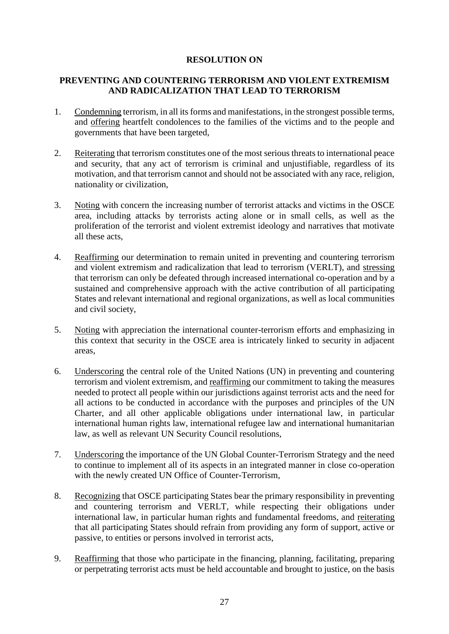#### **RESOLUTION ON**

#### <span id="page-28-2"></span><span id="page-28-1"></span><span id="page-28-0"></span>**PREVENTING AND COUNTERING TERRORISM AND VIOLENT EXTREMISM AND RADICALIZATION THAT LEAD TO TERRORISM**

- 1. Condemning terrorism, in all its forms and manifestations, in the strongest possible terms, and offering heartfelt condolences to the families of the victims and to the people and governments that have been targeted,
- 2. Reiterating that terrorism constitutes one of the most serious threats to international peace and security, that any act of terrorism is criminal and unjustifiable, regardless of its motivation, and that terrorism cannot and should not be associated with any race, religion, nationality or civilization,
- 3. Noting with concern the increasing number of terrorist attacks and victims in the OSCE area, including attacks by terrorists acting alone or in small cells, as well as the proliferation of the terrorist and violent extremist ideology and narratives that motivate all these acts,
- 4. Reaffirming our determination to remain united in preventing and countering terrorism and violent extremism and radicalization that lead to terrorism (VERLT), and stressing that terrorism can only be defeated through increased international co-operation and by a sustained and comprehensive approach with the active contribution of all participating States and relevant international and regional organizations, as well as local communities and civil society,
- 5. Noting with appreciation the international counter-terrorism efforts and emphasizing in this context that security in the OSCE area is intricately linked to security in adjacent areas,
- 6. Underscoring the central role of the United Nations (UN) in preventing and countering terrorism and violent extremism, and reaffirming our commitment to taking the measures needed to protect all people within our jurisdictions against terrorist acts and the need for all actions to be conducted in accordance with the purposes and principles of the UN Charter, and all other applicable obligations under international law, in particular international human rights law, international refugee law and international humanitarian law, as well as relevant UN Security Council resolutions,
- 7. Underscoring the importance of the UN Global Counter-Terrorism Strategy and the need to continue to implement all of its aspects in an integrated manner in close co-operation with the newly created UN Office of Counter-Terrorism.
- 8. Recognizing that OSCE participating States bear the primary responsibility in preventing and countering terrorism and VERLT, while respecting their obligations under international law, in particular human rights and fundamental freedoms, and reiterating that all participating States should refrain from providing any form of support, active or passive, to entities or persons involved in terrorist acts,
- 9. Reaffirming that those who participate in the financing, planning, facilitating, preparing or perpetrating terrorist acts must be held accountable and brought to justice, on the basis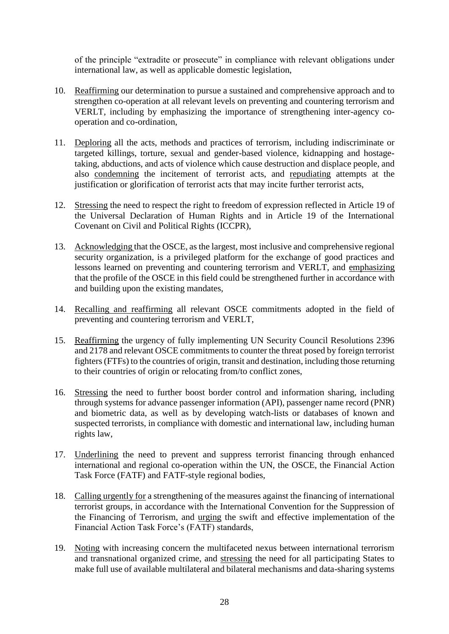of the principle "extradite or prosecute" in compliance with relevant obligations under international law, as well as applicable domestic legislation,

- 10. Reaffirming our determination to pursue a sustained and comprehensive approach and to strengthen co-operation at all relevant levels on preventing and countering terrorism and VERLT, including by emphasizing the importance of strengthening inter-agency cooperation and co-ordination,
- 11. Deploring all the acts, methods and practices of terrorism, including indiscriminate or targeted killings, torture, sexual and gender-based violence, kidnapping and hostagetaking, abductions, and acts of violence which cause destruction and displace people, and also condemning the incitement of terrorist acts, and repudiating attempts at the justification or glorification of terrorist acts that may incite further terrorist acts,
- 12. Stressing the need to respect the right to freedom of expression reflected in Article 19 of the Universal Declaration of Human Rights and in Article 19 of the International Covenant on Civil and Political Rights (ICCPR),
- 13. Acknowledging that the OSCE, as the largest, most inclusive and comprehensive regional security organization, is a privileged platform for the exchange of good practices and lessons learned on preventing and countering terrorism and VERLT, and emphasizing that the profile of the OSCE in this field could be strengthened further in accordance with and building upon the existing mandates,
- 14. Recalling and reaffirming all relevant OSCE commitments adopted in the field of preventing and countering terrorism and VERLT,
- 15. Reaffirming the urgency of fully implementing UN Security Council Resolutions 2396 and 2178 and relevant OSCE commitments to counter the threat posed by foreign terrorist fighters (FTFs) to the countries of origin, transit and destination, including those returning to their countries of origin or relocating from/to conflict zones,
- 16. Stressing the need to further boost border control and information sharing, including through systems for advance passenger information (API), passenger name record (PNR) and biometric data, as well as by developing watch-lists or databases of known and suspected terrorists, in compliance with domestic and international law, including human rights law,
- 17. Underlining the need to prevent and suppress terrorist financing through enhanced international and regional co-operation within the UN, the OSCE, the Financial Action Task Force (FATF) and FATF-style regional bodies,
- 18. Calling urgently for a strengthening of the measures against the financing of international terrorist groups, in accordance with the International Convention for the Suppression of the Financing of Terrorism, and urging the swift and effective implementation of the Financial Action Task Force's (FATF) standards,
- 19. Noting with increasing concern the multifaceted nexus between international terrorism and transnational organized crime, and stressing the need for all participating States to make full use of available multilateral and bilateral mechanisms and data-sharing systems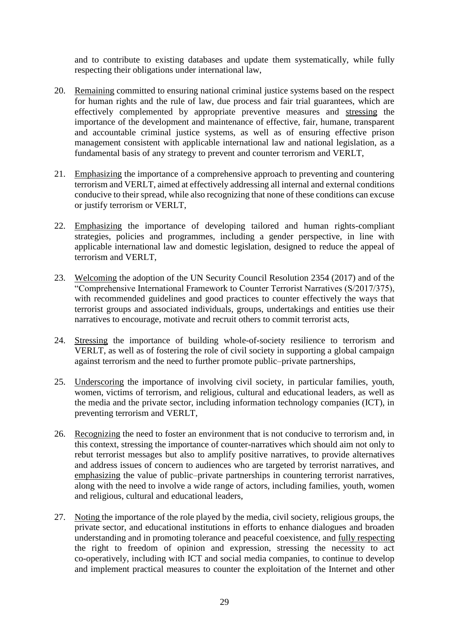and to contribute to existing databases and update them systematically, while fully respecting their obligations under international law,

- 20. Remaining committed to ensuring national criminal justice systems based on the respect for human rights and the rule of law, due process and fair trial guarantees, which are effectively complemented by appropriate preventive measures and stressing the importance of the development and maintenance of effective, fair, humane, transparent and accountable criminal justice systems, as well as of ensuring effective prison management consistent with applicable international law and national legislation, as a fundamental basis of any strategy to prevent and counter terrorism and VERLT,
- 21. Emphasizing the importance of a comprehensive approach to preventing and countering terrorism and VERLT, aimed at effectively addressing all internal and external conditions conducive to their spread, while also recognizing that none of these conditions can excuse or justify terrorism or VERLT,
- 22. Emphasizing the importance of developing tailored and human rights-compliant strategies, policies and programmes, including a gender perspective, in line with applicable international law and domestic legislation, designed to reduce the appeal of terrorism and VERLT,
- 23. Welcoming the adoption of the UN Security Council Resolution 2354 (2017) and of the "Comprehensive International Framework to Counter Terrorist Narratives (S/2017/375), with recommended guidelines and good practices to counter effectively the ways that terrorist groups and associated individuals, groups, undertakings and entities use their narratives to encourage, motivate and recruit others to commit terrorist acts,
- 24. Stressing the importance of building whole-of-society resilience to terrorism and VERLT, as well as of fostering the role of civil society in supporting a global campaign against terrorism and the need to further promote public–private partnerships,
- 25. Underscoring the importance of involving civil society, in particular families, youth, women, victims of terrorism, and religious, cultural and educational leaders, as well as the media and the private sector, including information technology companies (ICT), in preventing terrorism and VERLT,
- 26. Recognizing the need to foster an environment that is not conducive to terrorism and, in this context, stressing the importance of counter-narratives which should aim not only to rebut terrorist messages but also to amplify positive narratives, to provide alternatives and address issues of concern to audiences who are targeted by terrorist narratives, and emphasizing the value of public–private partnerships in countering terrorist narratives, along with the need to involve a wide range of actors, including families, youth, women and religious, cultural and educational leaders,
- 27. Noting the importance of the role played by the media, civil society, religious groups, the private sector, and educational institutions in efforts to enhance dialogues and broaden understanding and in promoting tolerance and peaceful coexistence, and fully respecting the right to freedom of opinion and expression, stressing the necessity to act co-operatively, including with ICT and social media companies, to continue to develop and implement practical measures to counter the exploitation of the Internet and other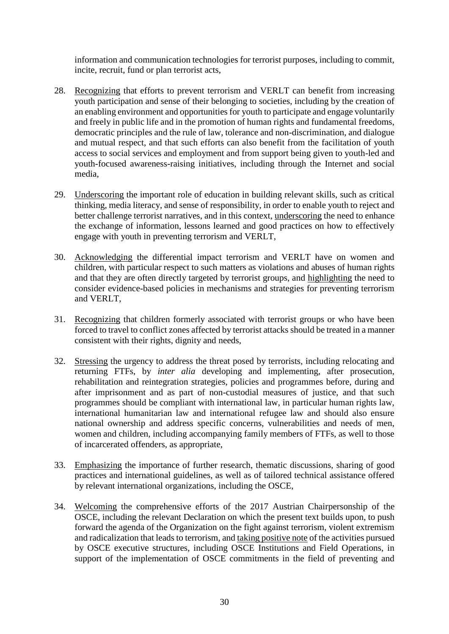information and communication technologies for terrorist purposes, including to commit, incite, recruit, fund or plan terrorist acts,

- 28. Recognizing that efforts to prevent terrorism and VERLT can benefit from increasing youth participation and sense of their belonging to societies, including by the creation of an enabling environment and opportunities for youth to participate and engage voluntarily and freely in public life and in the promotion of human rights and fundamental freedoms, democratic principles and the rule of law, tolerance and non-discrimination, and dialogue and mutual respect, and that such efforts can also benefit from the facilitation of youth access to social services and employment and from support being given to youth-led and youth-focused awareness-raising initiatives, including through the Internet and social media,
- 29. Underscoring the important role of education in building relevant skills, such as critical thinking, media literacy, and sense of responsibility, in order to enable youth to reject and better challenge terrorist narratives, and in this context, underscoring the need to enhance the exchange of information, lessons learned and good practices on how to effectively engage with youth in preventing terrorism and VERLT,
- 30. Acknowledging the differential impact terrorism and VERLT have on women and children, with particular respect to such matters as violations and abuses of human rights and that they are often directly targeted by terrorist groups, and highlighting the need to consider evidence-based policies in mechanisms and strategies for preventing terrorism and VERLT,
- 31. Recognizing that children formerly associated with terrorist groups or who have been forced to travel to conflict zones affected by terrorist attacks should be treated in a manner consistent with their rights, dignity and needs,
- 32. Stressing the urgency to address the threat posed by terrorists, including relocating and returning FTFs, by *inter alia* developing and implementing, after prosecution, rehabilitation and reintegration strategies, policies and programmes before, during and after imprisonment and as part of non-custodial measures of justice, and that such programmes should be compliant with international law, in particular human rights law, international humanitarian law and international refugee law and should also ensure national ownership and address specific concerns, vulnerabilities and needs of men, women and children, including accompanying family members of FTFs, as well to those of incarcerated offenders, as appropriate,
- 33. Emphasizing the importance of further research, thematic discussions, sharing of good practices and international guidelines, as well as of tailored technical assistance offered by relevant international organizations, including the OSCE,
- 34. Welcoming the comprehensive efforts of the 2017 Austrian Chairpersonship of the OSCE, including the relevant Declaration on which the present text builds upon, to push forward the agenda of the Organization on the fight against terrorism, violent extremism and radicalization that leads to terrorism, and taking positive note of the activities pursued by OSCE executive structures, including OSCE Institutions and Field Operations, in support of the implementation of OSCE commitments in the field of preventing and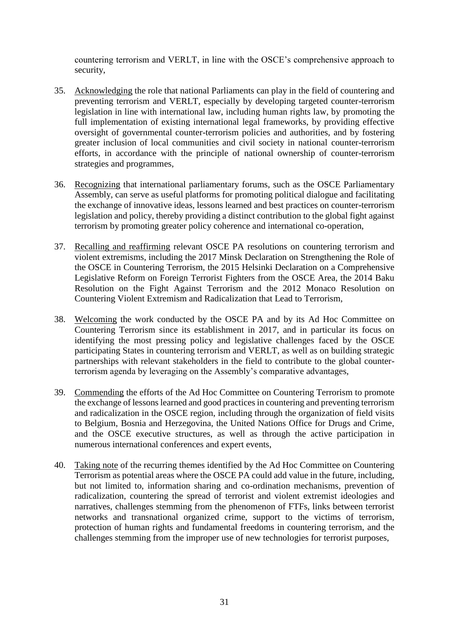countering terrorism and VERLT, in line with the OSCE's comprehensive approach to security,

- 35. Acknowledging the role that national Parliaments can play in the field of countering and preventing terrorism and VERLT, especially by developing targeted counter-terrorism legislation in line with international law, including human rights law, by promoting the full implementation of existing international legal frameworks, by providing effective oversight of governmental counter-terrorism policies and authorities, and by fostering greater inclusion of local communities and civil society in national counter-terrorism efforts, in accordance with the principle of national ownership of counter-terrorism strategies and programmes,
- 36. Recognizing that international parliamentary forums, such as the OSCE Parliamentary Assembly, can serve as useful platforms for promoting political dialogue and facilitating the exchange of innovative ideas, lessons learned and best practices on counter-terrorism legislation and policy, thereby providing a distinct contribution to the global fight against terrorism by promoting greater policy coherence and international co-operation,
- 37. Recalling and reaffirming relevant OSCE PA resolutions on countering terrorism and violent extremisms, including the 2017 Minsk Declaration on Strengthening the Role of the OSCE in Countering Terrorism, the 2015 Helsinki Declaration on a Comprehensive Legislative Reform on Foreign Terrorist Fighters from the OSCE Area, the 2014 Baku Resolution on the Fight Against Terrorism and the 2012 Monaco Resolution on Countering Violent Extremism and Radicalization that Lead to Terrorism,
- 38. Welcoming the work conducted by the OSCE PA and by its Ad Hoc Committee on Countering Terrorism since its establishment in 2017, and in particular its focus on identifying the most pressing policy and legislative challenges faced by the OSCE participating States in countering terrorism and VERLT, as well as on building strategic partnerships with relevant stakeholders in the field to contribute to the global counterterrorism agenda by leveraging on the Assembly's comparative advantages,
- 39. Commending the efforts of the Ad Hoc Committee on Countering Terrorism to promote the exchange of lessons learned and good practices in countering and preventing terrorism and radicalization in the OSCE region, including through the organization of field visits to Belgium, Bosnia and Herzegovina, the United Nations Office for Drugs and Crime, and the OSCE executive structures, as well as through the active participation in numerous international conferences and expert events,
- 40. Taking note of the recurring themes identified by the Ad Hoc Committee on Countering Terrorism as potential areas where the OSCE PA could add value in the future, including, but not limited to, information sharing and co-ordination mechanisms, prevention of radicalization, countering the spread of terrorist and violent extremist ideologies and narratives, challenges stemming from the phenomenon of FTFs, links between terrorist networks and transnational organized crime, support to the victims of terrorism, protection of human rights and fundamental freedoms in countering terrorism, and the challenges stemming from the improper use of new technologies for terrorist purposes,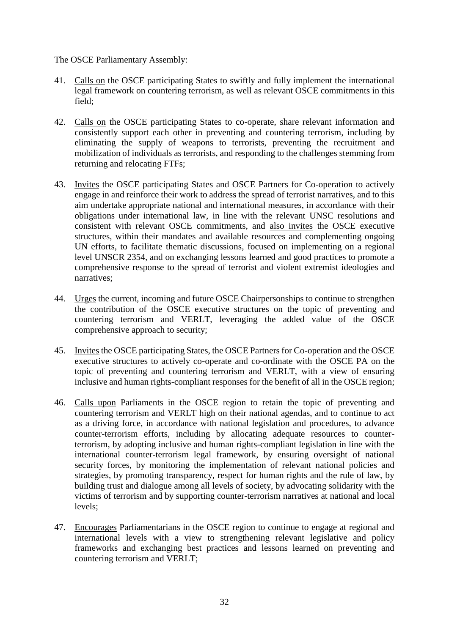- 41. Calls on the OSCE participating States to swiftly and fully implement the international legal framework on countering terrorism, as well as relevant OSCE commitments in this field;
- 42. Calls on the OSCE participating States to co-operate, share relevant information and consistently support each other in preventing and countering terrorism, including by eliminating the supply of weapons to terrorists, preventing the recruitment and mobilization of individuals as terrorists, and responding to the challenges stemming from returning and relocating FTFs;
- 43. Invites the OSCE participating States and OSCE Partners for Co-operation to actively engage in and reinforce their work to address the spread of terrorist narratives, and to this aim undertake appropriate national and international measures, in accordance with their obligations under international law, in line with the relevant UNSC resolutions and consistent with relevant OSCE commitments, and also invites the OSCE executive structures, within their mandates and available resources and complementing ongoing UN efforts, to facilitate thematic discussions, focused on implementing on a regional level UNSCR 2354, and on exchanging lessons learned and good practices to promote a comprehensive response to the spread of terrorist and violent extremist ideologies and narratives;
- 44. Urges the current, incoming and future OSCE Chairpersonships to continue to strengthen the contribution of the OSCE executive structures on the topic of preventing and countering terrorism and VERLT, leveraging the added value of the OSCE comprehensive approach to security;
- 45. Invites the OSCE participating States, the OSCE Partners for Co-operation and the OSCE executive structures to actively co-operate and co-ordinate with the OSCE PA on the topic of preventing and countering terrorism and VERLT, with a view of ensuring inclusive and human rights-compliant responses for the benefit of all in the OSCE region;
- 46. Calls upon Parliaments in the OSCE region to retain the topic of preventing and countering terrorism and VERLT high on their national agendas, and to continue to act as a driving force, in accordance with national legislation and procedures, to advance counter-terrorism efforts, including by allocating adequate resources to counterterrorism, by adopting inclusive and human rights-compliant legislation in line with the international counter-terrorism legal framework, by ensuring oversight of national security forces, by monitoring the implementation of relevant national policies and strategies, by promoting transparency, respect for human rights and the rule of law, by building trust and dialogue among all levels of society, by advocating solidarity with the victims of terrorism and by supporting counter-terrorism narratives at national and local levels;
- 47. Encourages Parliamentarians in the OSCE region to continue to engage at regional and international levels with a view to strengthening relevant legislative and policy frameworks and exchanging best practices and lessons learned on preventing and countering terrorism and VERLT;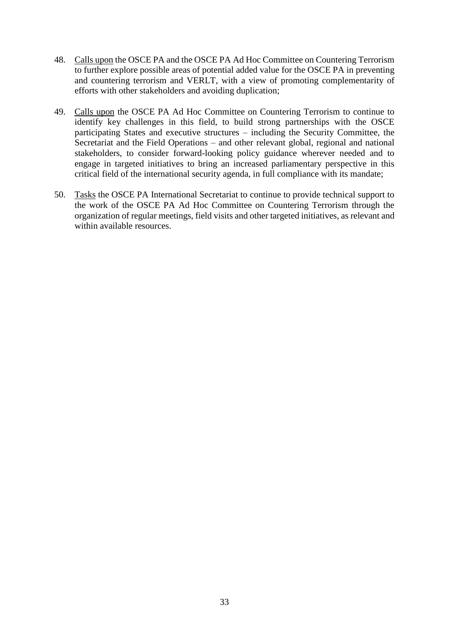- 48. Calls upon the OSCE PA and the OSCE PA Ad Hoc Committee on Countering Terrorism to further explore possible areas of potential added value for the OSCE PA in preventing and countering terrorism and VERLT, with a view of promoting complementarity of efforts with other stakeholders and avoiding duplication;
- 49. Calls upon the OSCE PA Ad Hoc Committee on Countering Terrorism to continue to identify key challenges in this field, to build strong partnerships with the OSCE participating States and executive structures – including the Security Committee, the Secretariat and the Field Operations – and other relevant global, regional and national stakeholders, to consider forward-looking policy guidance wherever needed and to engage in targeted initiatives to bring an increased parliamentary perspective in this critical field of the international security agenda, in full compliance with its mandate;
- 50. Tasks the OSCE PA International Secretariat to continue to provide technical support to the work of the OSCE PA Ad Hoc Committee on Countering Terrorism through the organization of regular meetings, field visits and other targeted initiatives, as relevant and within available resources.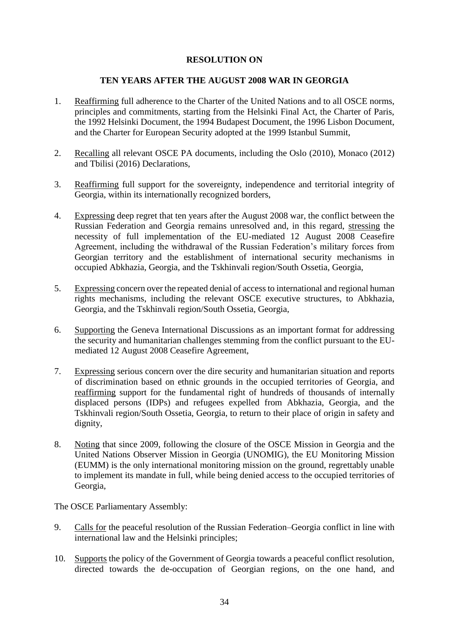#### **RESOLUTION ON**

#### **TEN YEARS AFTER THE AUGUST 2008 WAR IN GEORGIA**

- <span id="page-35-1"></span><span id="page-35-0"></span>1. Reaffirming full adherence to the Charter of the United Nations and to all OSCE norms, principles and commitments, starting from the Helsinki Final Act, the Charter of Paris, the 1992 Helsinki Document, the 1994 Budapest Document, the 1996 Lisbon Document, and the Charter for European Security adopted at the 1999 Istanbul Summit,
- 2. Recalling all relevant OSCE PA documents, including the Oslo (2010), Monaco (2012) and Tbilisi (2016) Declarations,
- 3. Reaffirming full support for the sovereignty, independence and territorial integrity of Georgia, within its internationally recognized borders,
- 4. Expressing deep regret that ten years after the August 2008 war, the conflict between the Russian Federation and Georgia remains unresolved and, in this regard, stressing the necessity of full implementation of the EU-mediated 12 August 2008 Ceasefire Agreement, including the withdrawal of the Russian Federation's military forces from Georgian territory and the establishment of international security mechanisms in occupied Abkhazia, Georgia, and the Tskhinvali region/South Ossetia, Georgia,
- 5. Expressing concern over the repeated denial of access to international and regional human rights mechanisms, including the relevant OSCE executive structures, to Abkhazia, Georgia, and the Tskhinvali region/South Ossetia, Georgia,
- 6. Supporting the Geneva International Discussions as an important format for addressing the security and humanitarian challenges stemming from the conflict pursuant to the EUmediated 12 August 2008 Ceasefire Agreement,
- 7. Expressing serious concern over the dire security and humanitarian situation and reports of discrimination based on ethnic grounds in the occupied territories of Georgia, and reaffirming support for the fundamental right of hundreds of thousands of internally displaced persons (IDPs) and refugees expelled from Abkhazia, Georgia, and the Tskhinvali region/South Ossetia, Georgia, to return to their place of origin in safety and dignity,
- 8. Noting that since 2009, following the closure of the OSCE Mission in Georgia and the United Nations Observer Mission in Georgia (UNOMIG), the EU Monitoring Mission (EUMM) is the only international monitoring mission on the ground, regrettably unable to implement its mandate in full, while being denied access to the occupied territories of Georgia,

- 9. Calls for the peaceful resolution of the Russian Federation–Georgia conflict in line with international law and the Helsinki principles;
- 10. Supports the policy of the Government of Georgia towards a peaceful conflict resolution, directed towards the de-occupation of Georgian regions, on the one hand, and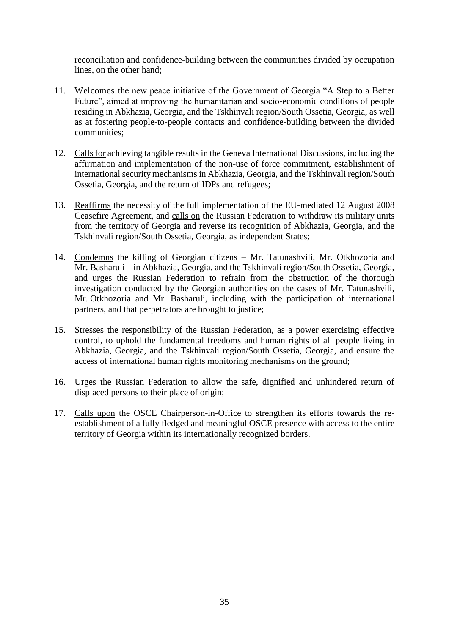reconciliation and confidence-building between the communities divided by occupation lines, on the other hand;

- 11. Welcomes the new peace initiative of the Government of Georgia "A Step to a Better Future", aimed at improving the humanitarian and socio-economic conditions of people residing in Abkhazia, Georgia, and the Tskhinvali region/South Ossetia, Georgia, as well as at fostering people-to-people contacts and confidence-building between the divided communities;
- 12. Calls for achieving tangible results in the Geneva International Discussions, including the affirmation and implementation of the non-use of force commitment, establishment of international security mechanisms in Abkhazia, Georgia, and the Tskhinvali region/South Ossetia, Georgia, and the return of IDPs and refugees;
- 13. Reaffirms the necessity of the full implementation of the EU-mediated 12 August 2008 Ceasefire Agreement, and calls on the Russian Federation to withdraw its military units from the territory of Georgia and reverse its recognition of Abkhazia, Georgia, and the Tskhinvali region/South Ossetia, Georgia, as independent States;
- 14. Condemns the killing of Georgian citizens Mr. Tatunashvili, Mr. Otkhozoria and Mr. Basharuli – in Abkhazia, Georgia, and the Tskhinvali region/South Ossetia, Georgia, and urges the Russian Federation to refrain from the obstruction of the thorough investigation conducted by the Georgian authorities on the cases of Mr. Tatunashvili, Mr. Otkhozoria and Mr. Basharuli, including with the participation of international partners, and that perpetrators are brought to justice;
- 15. Stresses the responsibility of the Russian Federation, as a power exercising effective control, to uphold the fundamental freedoms and human rights of all people living in Abkhazia, Georgia, and the Tskhinvali region/South Ossetia, Georgia, and ensure the access of international human rights monitoring mechanisms on the ground;
- 16. Urges the Russian Federation to allow the safe, dignified and unhindered return of displaced persons to their place of origin;
- 17. Calls upon the OSCE Chairperson-in-Office to strengthen its efforts towards the reestablishment of a fully fledged and meaningful OSCE presence with access to the entire territory of Georgia within its internationally recognized borders.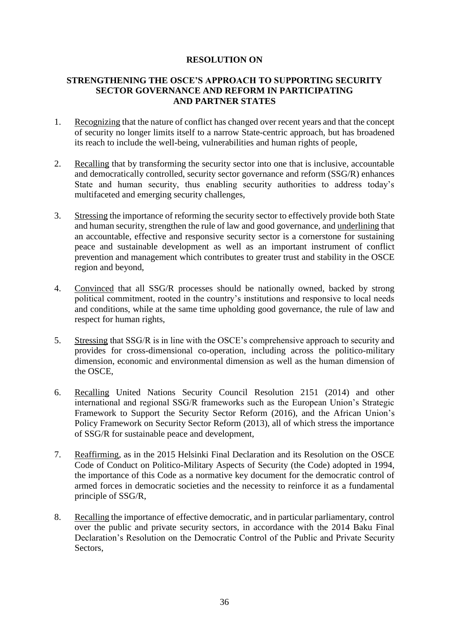# **STRENGTHENING THE OSCE'S APPROACH TO SUPPORTING SECURITY SECTOR GOVERNANCE AND REFORM IN PARTICIPATING AND PARTNER STATES**

- 1. Recognizing that the nature of conflict has changed over recent years and that the concept of security no longer limits itself to a narrow State-centric approach, but has broadened its reach to include the well-being, vulnerabilities and human rights of people,
- 2. Recalling that by transforming the security sector into one that is inclusive, accountable and democratically controlled, security sector governance and reform (SSG/R) enhances State and human security, thus enabling security authorities to address today's multifaceted and emerging security challenges,
- 3. Stressing the importance of reforming the security sector to effectively provide both State and human security, strengthen the rule of law and good governance, and underlining that an accountable, effective and responsive security sector is a cornerstone for sustaining peace and sustainable development as well as an important instrument of conflict prevention and management which contributes to greater trust and stability in the OSCE region and beyond,
- 4. Convinced that all SSG/R processes should be nationally owned, backed by strong political commitment, rooted in the country's institutions and responsive to local needs and conditions, while at the same time upholding good governance, the rule of law and respect for human rights,
- 5. Stressing that SSG/R is in line with the OSCE's comprehensive approach to security and provides for cross-dimensional co-operation, including across the politico-military dimension, economic and environmental dimension as well as the human dimension of the OSCE,
- 6. Recalling United Nations Security Council Resolution 2151 (2014) and other international and regional SSG/R frameworks such as the European Union's Strategic Framework to Support the Security Sector Reform (2016), and the African Union's Policy Framework on Security Sector Reform (2013), all of which stress the importance of SSG/R for sustainable peace and development,
- 7. Reaffirming, as in the 2015 Helsinki Final Declaration and its Resolution on the OSCE Code of Conduct on Politico-Military Aspects of Security (the Code) adopted in 1994, the importance of this Code as a normative key document for the democratic control of armed forces in democratic societies and the necessity to reinforce it as a fundamental principle of SSG/R,
- 8. Recalling the importance of effective democratic, and in particular parliamentary, control over the public and private security sectors, in accordance with the 2014 Baku Final Declaration's Resolution on the Democratic Control of the Public and Private Security Sectors,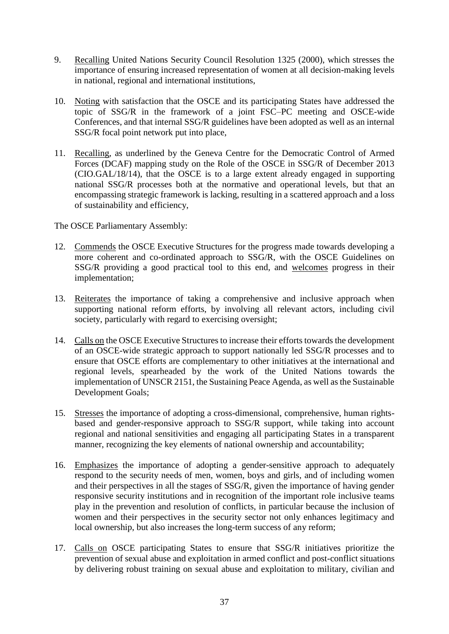- 9. Recalling United Nations Security Council Resolution 1325 (2000), which stresses the importance of ensuring increased representation of women at all decision-making levels in national, regional and international institutions,
- 10. Noting with satisfaction that the OSCE and its participating States have addressed the topic of SSG/R in the framework of a joint FSC–PC meeting and OSCE-wide Conferences, and that internal SSG/R guidelines have been adopted as well as an internal SSG/R focal point network put into place,
- 11. Recalling, as underlined by the Geneva Centre for the Democratic Control of Armed Forces (DCAF) mapping study on the Role of the OSCE in SSG/R of December 2013 (CIO.GAL/18/14), that the OSCE is to a large extent already engaged in supporting national SSG/R processes both at the normative and operational levels, but that an encompassing strategic framework is lacking, resulting in a scattered approach and a loss of sustainability and efficiency,

- 12. Commends the OSCE Executive Structures for the progress made towards developing a more coherent and co-ordinated approach to SSG/R, with the OSCE Guidelines on SSG/R providing a good practical tool to this end, and welcomes progress in their implementation;
- 13. Reiterates the importance of taking a comprehensive and inclusive approach when supporting national reform efforts, by involving all relevant actors, including civil society, particularly with regard to exercising oversight;
- 14. Calls on the OSCE Executive Structures to increase their efforts towards the development of an OSCE-wide strategic approach to support nationally led SSG/R processes and to ensure that OSCE efforts are complementary to other initiatives at the international and regional levels, spearheaded by the work of the United Nations towards the implementation of UNSCR 2151, the Sustaining Peace Agenda, as well as the Sustainable Development Goals;
- 15. Stresses the importance of adopting a cross-dimensional, comprehensive, human rightsbased and gender-responsive approach to SSG/R support, while taking into account regional and national sensitivities and engaging all participating States in a transparent manner, recognizing the key elements of national ownership and accountability;
- 16. Emphasizes the importance of adopting a gender-sensitive approach to adequately respond to the security needs of men, women, boys and girls, and of including women and their perspectives in all the stages of SSG/R, given the importance of having gender responsive security institutions and in recognition of the important role inclusive teams play in the prevention and resolution of conflicts, in particular because the inclusion of women and their perspectives in the security sector not only enhances legitimacy and local ownership, but also increases the long-term success of any reform;
- 17. Calls on OSCE participating States to ensure that SSG/R initiatives prioritize the prevention of sexual abuse and exploitation in armed conflict and post-conflict situations by delivering robust training on sexual abuse and exploitation to military, civilian and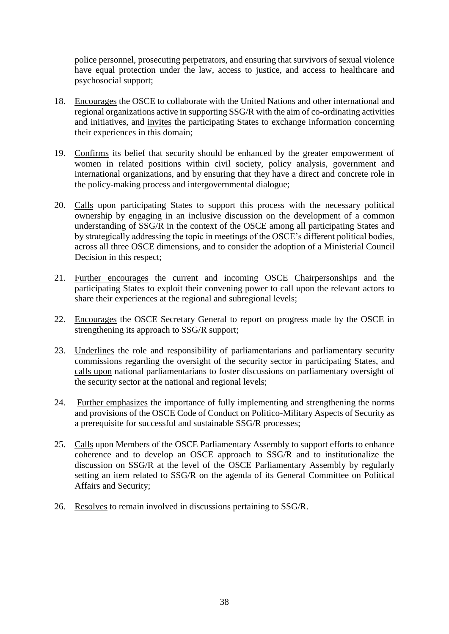police personnel, prosecuting perpetrators, and ensuring that survivors of sexual violence have equal protection under the law, access to justice, and access to healthcare and psychosocial support;

- 18. Encourages the OSCE to collaborate with the United Nations and other international and regional organizations active in supporting SSG/R with the aim of co-ordinating activities and initiatives, and invites the participating States to exchange information concerning their experiences in this domain;
- 19. Confirms its belief that security should be enhanced by the greater empowerment of women in related positions within civil society, policy analysis, government and international organizations, and by ensuring that they have a direct and concrete role in the policy-making process and intergovernmental dialogue;
- 20. Calls upon participating States to support this process with the necessary political ownership by engaging in an inclusive discussion on the development of a common understanding of SSG/R in the context of the OSCE among all participating States and by strategically addressing the topic in meetings of the OSCE's different political bodies, across all three OSCE dimensions, and to consider the adoption of a Ministerial Council Decision in this respect;
- 21. Further encourages the current and incoming OSCE Chairpersonships and the participating States to exploit their convening power to call upon the relevant actors to share their experiences at the regional and subregional levels;
- 22. Encourages the OSCE Secretary General to report on progress made by the OSCE in strengthening its approach to SSG/R support;
- 23. Underlines the role and responsibility of parliamentarians and parliamentary security commissions regarding the oversight of the security sector in participating States, and calls upon national parliamentarians to foster discussions on parliamentary oversight of the security sector at the national and regional levels;
- 24. Further emphasizes the importance of fully implementing and strengthening the norms and provisions of the OSCE Code of Conduct on Politico-Military Aspects of Security as a prerequisite for successful and sustainable SSG/R processes;
- 25. Calls upon Members of the OSCE Parliamentary Assembly to support efforts to enhance coherence and to develop an OSCE approach to SSG/R and to institutionalize the discussion on SSG/R at the level of the OSCE Parliamentary Assembly by regularly setting an item related to SSG/R on the agenda of its General Committee on Political Affairs and Security;
- 26. Resolves to remain involved in discussions pertaining to SSG/R.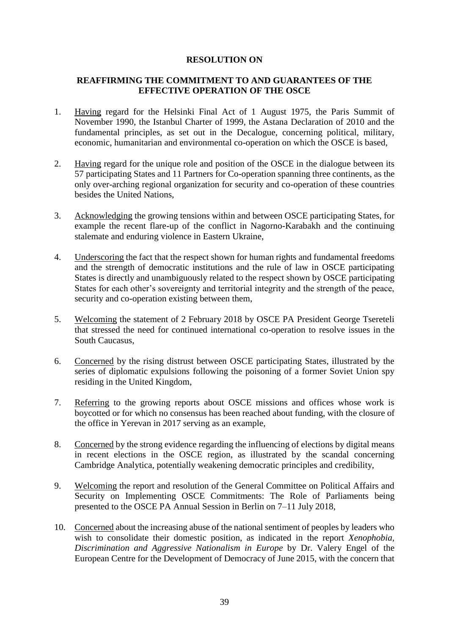## **REAFFIRMING THE COMMITMENT TO AND GUARANTEES OF THE EFFECTIVE OPERATION OF THE OSCE**

- 1. Having regard for the Helsinki Final Act of 1 August 1975, the Paris Summit of November 1990, the Istanbul Charter of 1999, the Astana Declaration of 2010 and the fundamental principles, as set out in the Decalogue, concerning political, military, economic, humanitarian and environmental co-operation on which the OSCE is based,
- 2. Having regard for the unique role and position of the OSCE in the dialogue between its 57 participating States and 11 Partners for Co-operation spanning three continents, as the only over-arching regional organization for security and co-operation of these countries besides the United Nations,
- 3. Acknowledging the growing tensions within and between OSCE participating States, for example the recent flare-up of the conflict in Nagorno-Karabakh and the continuing stalemate and enduring violence in Eastern Ukraine,
- 4. Underscoring the fact that the respect shown for human rights and fundamental freedoms and the strength of democratic institutions and the rule of law in OSCE participating States is directly and unambiguously related to the respect shown by OSCE participating States for each other's sovereignty and territorial integrity and the strength of the peace, security and co-operation existing between them,
- 5. Welcoming the statement of 2 February 2018 by OSCE PA President George Tsereteli that stressed the need for continued international co-operation to resolve issues in the South Caucasus,
- 6. Concerned by the rising distrust between OSCE participating States, illustrated by the series of diplomatic expulsions following the poisoning of a former Soviet Union spy residing in the United Kingdom,
- 7. Referring to the growing reports about OSCE missions and offices whose work is boycotted or for which no consensus has been reached about funding, with the closure of the office in Yerevan in 2017 serving as an example,
- 8. Concerned by the strong evidence regarding the influencing of elections by digital means in recent elections in the OSCE region, as illustrated by the scandal concerning Cambridge Analytica, potentially weakening democratic principles and credibility,
- 9. Welcoming the report and resolution of the General Committee on Political Affairs and Security on Implementing OSCE Commitments: The Role of Parliaments being presented to the OSCE PA Annual Session in Berlin on 7–11 July 2018,
- 10. Concerned about the increasing abuse of the national sentiment of peoples by leaders who wish to consolidate their domestic position, as indicated in the report *Xenophobia, Discrimination and Aggressive Nationalism in Europe* by Dr. Valery Engel of the European Centre for the Development of Democracy of June 2015, with the concern that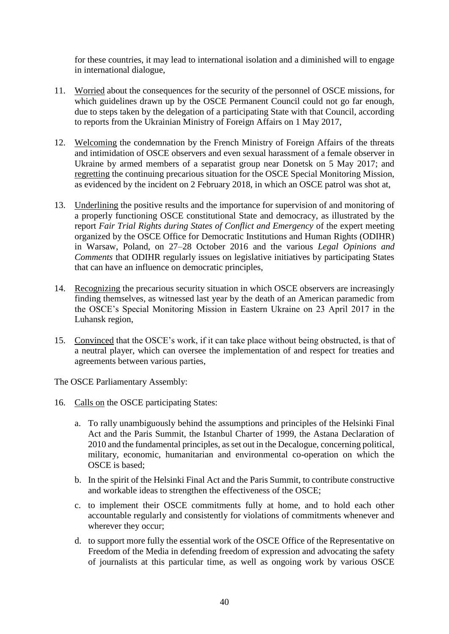for these countries, it may lead to international isolation and a diminished will to engage in international dialogue,

- 11. Worried about the consequences for the security of the personnel of OSCE missions, for which guidelines drawn up by the OSCE Permanent Council could not go far enough, due to steps taken by the delegation of a participating State with that Council, according to reports from the Ukrainian Ministry of Foreign Affairs on 1 May 2017,
- 12. Welcoming the condemnation by the French Ministry of Foreign Affairs of the threats and intimidation of OSCE observers and even sexual harassment of a female observer in Ukraine by armed members of a separatist group near Donetsk on 5 May 2017; and regretting the continuing precarious situation for the OSCE Special Monitoring Mission, as evidenced by the incident on 2 February 2018, in which an OSCE patrol was shot at,
- 13. Underlining the positive results and the importance for supervision of and monitoring of a properly functioning OSCE constitutional State and democracy, as illustrated by the report *Fair Trial Rights during States of Conflict and Emergency* of the expert meeting organized by the OSCE Office for Democratic Institutions and Human Rights (ODIHR) in Warsaw, Poland, on 27–28 October 2016 and the various *Legal Opinions and Comments* that ODIHR regularly issues on legislative initiatives by participating States that can have an influence on democratic principles,
- 14. Recognizing the precarious security situation in which OSCE observers are increasingly finding themselves, as witnessed last year by the death of an American paramedic from the OSCE's Special Monitoring Mission in Eastern Ukraine on 23 April 2017 in the Luhansk region,
- 15. Convinced that the OSCE's work, if it can take place without being obstructed, is that of a neutral player, which can oversee the implementation of and respect for treaties and agreements between various parties,

- 16. Calls on the OSCE participating States:
	- a. To rally unambiguously behind the assumptions and principles of the Helsinki Final Act and the Paris Summit, the Istanbul Charter of 1999, the Astana Declaration of 2010 and the fundamental principles, as set out in the Decalogue, concerning political, military, economic, humanitarian and environmental co-operation on which the OSCE is based;
	- b. In the spirit of the Helsinki Final Act and the Paris Summit, to contribute constructive and workable ideas to strengthen the effectiveness of the OSCE;
	- c. to implement their OSCE commitments fully at home, and to hold each other accountable regularly and consistently for violations of commitments whenever and wherever they occur;
	- d. to support more fully the essential work of the OSCE Office of the Representative on Freedom of the Media in defending freedom of expression and advocating the safety of journalists at this particular time, as well as ongoing work by various OSCE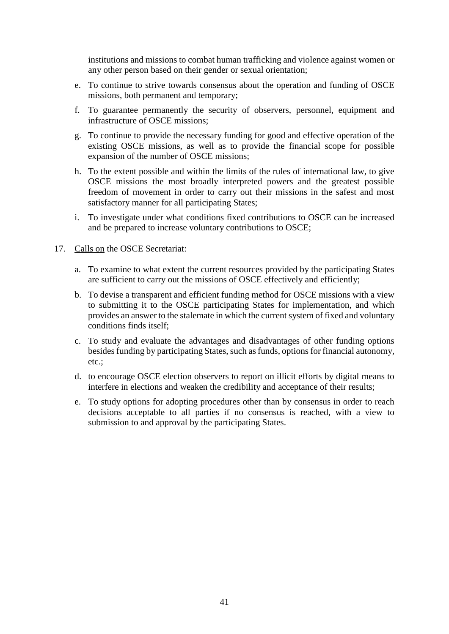institutions and missions to combat human trafficking and violence against women or any other person based on their gender or sexual orientation;

- e. To continue to strive towards consensus about the operation and funding of OSCE missions, both permanent and temporary;
- f. To guarantee permanently the security of observers, personnel, equipment and infrastructure of OSCE missions;
- g. To continue to provide the necessary funding for good and effective operation of the existing OSCE missions, as well as to provide the financial scope for possible expansion of the number of OSCE missions;
- h. To the extent possible and within the limits of the rules of international law, to give OSCE missions the most broadly interpreted powers and the greatest possible freedom of movement in order to carry out their missions in the safest and most satisfactory manner for all participating States;
- i. To investigate under what conditions fixed contributions to OSCE can be increased and be prepared to increase voluntary contributions to OSCE;
- 17. Calls on the OSCE Secretariat:
	- a. To examine to what extent the current resources provided by the participating States are sufficient to carry out the missions of OSCE effectively and efficiently;
	- b. To devise a transparent and efficient funding method for OSCE missions with a view to submitting it to the OSCE participating States for implementation, and which provides an answer to the stalemate in which the current system of fixed and voluntary conditions finds itself;
	- c. To study and evaluate the advantages and disadvantages of other funding options besides funding by participating States, such as funds, options for financial autonomy, etc.;
	- d. to encourage OSCE election observers to report on illicit efforts by digital means to interfere in elections and weaken the credibility and acceptance of their results;
	- e. To study options for adopting procedures other than by consensus in order to reach decisions acceptable to all parties if no consensus is reached, with a view to submission to and approval by the participating States.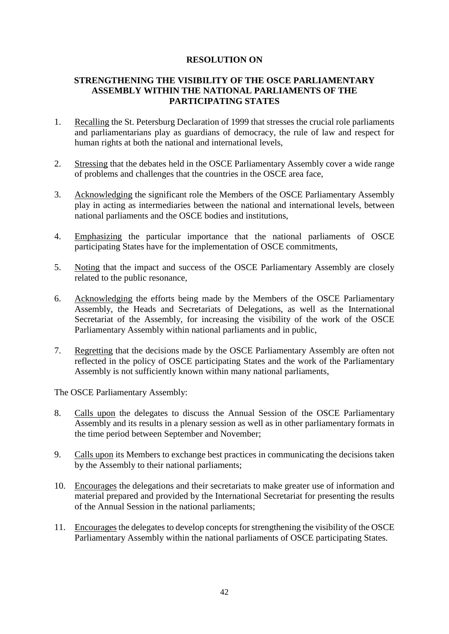# **STRENGTHENING THE VISIBILITY OF THE OSCE PARLIAMENTARY ASSEMBLY WITHIN THE NATIONAL PARLIAMENTS OF THE PARTICIPATING STATES**

- 1. Recalling the St. Petersburg Declaration of 1999 that stresses the crucial role parliaments and parliamentarians play as guardians of democracy, the rule of law and respect for human rights at both the national and international levels,
- 2. Stressing that the debates held in the OSCE Parliamentary Assembly cover a wide range of problems and challenges that the countries in the OSCE area face,
- 3. Acknowledging the significant role the Members of the OSCE Parliamentary Assembly play in acting as intermediaries between the national and international levels, between national parliaments and the OSCE bodies and institutions,
- 4. Emphasizing the particular importance that the national parliaments of OSCE participating States have for the implementation of OSCE commitments,
- 5. Noting that the impact and success of the OSCE Parliamentary Assembly are closely related to the public resonance,
- 6. Acknowledging the efforts being made by the Members of the OSCE Parliamentary Assembly, the Heads and Secretariats of Delegations, as well as the International Secretariat of the Assembly, for increasing the visibility of the work of the OSCE Parliamentary Assembly within national parliaments and in public,
- 7. Regretting that the decisions made by the OSCE Parliamentary Assembly are often not reflected in the policy of OSCE participating States and the work of the Parliamentary Assembly is not sufficiently known within many national parliaments,

- 8. Calls upon the delegates to discuss the Annual Session of the OSCE Parliamentary Assembly and its results in a plenary session as well as in other parliamentary formats in the time period between September and November;
- 9. Calls upon its Members to exchange best practices in communicating the decisions taken by the Assembly to their national parliaments;
- 10. Encourages the delegations and their secretariats to make greater use of information and material prepared and provided by the International Secretariat for presenting the results of the Annual Session in the national parliaments;
- 11. Encouragesthe delegates to develop concepts for strengthening the visibility of the OSCE Parliamentary Assembly within the national parliaments of OSCE participating States.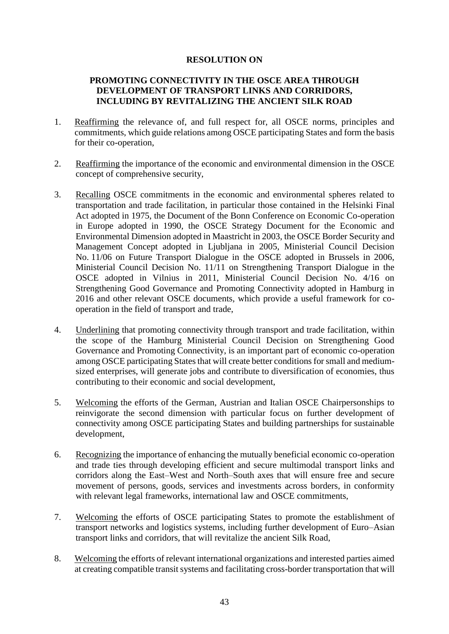# **PROMOTING CONNECTIVITY IN THE OSCE AREA THROUGH DEVELOPMENT OF TRANSPORT LINKS AND CORRIDORS, INCLUDING BY REVITALIZING THE ANCIENT SILK ROAD**

- 1. Reaffirming the relevance of, and full respect for, all OSCE norms, principles and commitments, which guide relations among OSCE participating States and form the basis for their co-operation,
- 2. Reaffirming the importance of the economic and environmental dimension in the OSCE concept of comprehensive security,
- 3. Recalling OSCE commitments in the economic and environmental spheres related to transportation and trade facilitation, in particular those contained in the Helsinki Final Act adopted in 1975, the Document of the Bonn Conference on Economic Co-operation in Europe adopted in 1990, the OSCE Strategy Document for the Economic and Environmental Dimension adopted in Maastricht in 2003, the OSCE Border Security and Management Concept adopted in Ljubljana in 2005, Ministerial Council Decision No. 11/06 on Future Transport Dialogue in the OSCE adopted in Brussels in 2006, Ministerial Council Decision No. 11/11 on Strengthening Transport Dialogue in the OSCE adopted in Vilnius in 2011, Ministerial Council Decision No. 4/16 on Strengthening Good Governance and Promoting Connectivity adopted in Hamburg in 2016 and other relevant OSCE documents, which provide a useful framework for cooperation in the field of transport and trade,
- 4. Underlining that promoting connectivity through transport and trade facilitation, within the scope of the Hamburg Ministerial Council Decision on Strengthening Good Governance and Promoting Connectivity, is an important part of economic co-operation among OSCE participating States that will create better conditions for small and mediumsized enterprises, will generate jobs and contribute to diversification of economies, thus contributing to their economic and social development,
- 5. Welcoming the efforts of the German, Austrian and Italian OSCE Chairpersonships to reinvigorate the second dimension with particular focus on further development of connectivity among OSCE participating States and building partnerships for sustainable development,
- 6. Recognizing the importance of enhancing the mutually beneficial economic co-operation and trade ties through developing efficient and secure multimodal transport links and corridors along the East–West and North–South axes that will ensure free and secure movement of persons, goods, services and investments across borders, in conformity with relevant legal frameworks, international law and OSCE commitments,
- 7. Welcoming the efforts of OSCE participating States to promote the establishment of transport networks and logistics systems, including further development of Euro–Asian transport links and corridors, that will revitalize the ancient Silk Road,
- 8. Welcoming the efforts of relevant international organizations and interested parties aimed at creating compatible transit systems and facilitating cross-border transportation that will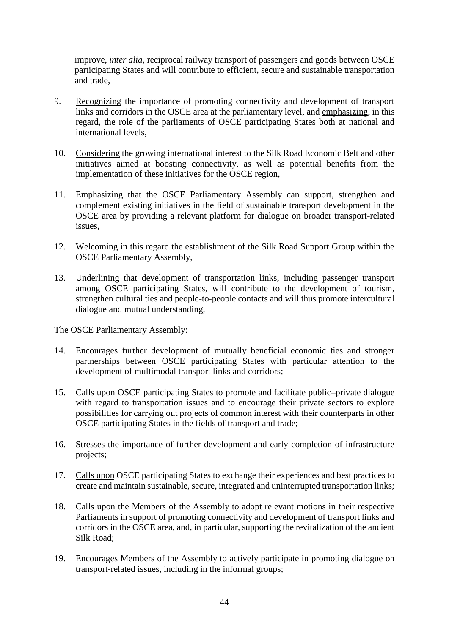improve, *inter alia*, reciprocal railway transport of passengers and goods between OSCE participating States and will contribute to efficient, secure and sustainable transportation and trade,

- 9. Recognizing the importance of promoting connectivity and development of transport links and corridors in the OSCE area at the parliamentary level, and emphasizing, in this regard, the role of the parliaments of OSCE participating States both at national and international levels,
- 10. Considering the growing international interest to the Silk Road Economic Belt and other initiatives aimed at boosting connectivity, as well as potential benefits from the implementation of these initiatives for the OSCE region,
- 11. Emphasizing that the OSCE Parliamentary Assembly can support, strengthen and complement existing initiatives in the field of sustainable transport development in the OSCE area by providing a relevant platform for dialogue on broader transport-related issues,
- 12. Welcoming in this regard the establishment of the Silk Road Support Group within the OSCE Parliamentary Assembly,
- 13. Underlining that development of transportation links, including passenger transport among OSCE participating States, will contribute to the development of tourism, strengthen cultural ties and people-to-people contacts and will thus promote intercultural dialogue and mutual understanding,

- 14. Encourages further development of mutually beneficial economic ties and stronger partnerships between OSCE participating States with particular attention to the development of multimodal transport links and corridors;
- 15. Calls upon OSCE participating States to promote and facilitate public–private dialogue with regard to transportation issues and to encourage their private sectors to explore possibilities for carrying out projects of common interest with their counterparts in other OSCE participating States in the fields of transport and trade;
- 16. Stresses the importance of further development and early completion of infrastructure projects;
- 17. Calls upon OSCE participating States to exchange their experiences and best practices to create and maintain sustainable, secure, integrated and uninterrupted transportation links;
- 18. Calls upon the Members of the Assembly to adopt relevant motions in their respective Parliaments in support of promoting connectivity and development of transport links and corridors in the OSCE area, and, in particular, supporting the revitalization of the ancient Silk Road;
- 19. Encourages Members of the Assembly to actively participate in promoting dialogue on transport-related issues, including in the informal groups;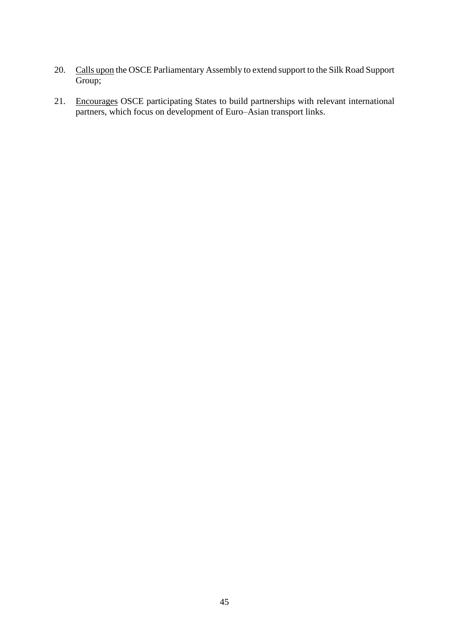- 20. Calls upon the OSCE Parliamentary Assembly to extend support to the Silk Road Support Group;
- 21. Encourages OSCE participating States to build partnerships with relevant international partners, which focus on development of Euro–Asian transport links.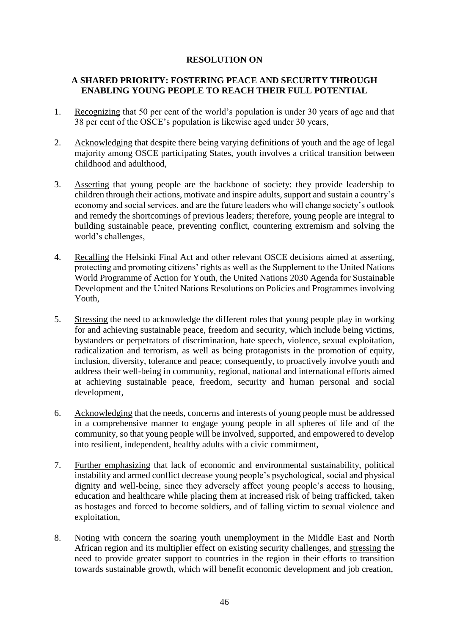# **A SHARED PRIORITY: FOSTERING PEACE AND SECURITY THROUGH ENABLING YOUNG PEOPLE TO REACH THEIR FULL POTENTIAL**

- 1. Recognizing that 50 per cent of the world's population is under 30 years of age and that 38 per cent of the OSCE's population is likewise aged under 30 years,
- 2. Acknowledging that despite there being varying definitions of youth and the age of legal majority among OSCE participating States, youth involves a critical transition between childhood and adulthood,
- 3. Asserting that young people are the backbone of society: they provide leadership to children through their actions, motivate and inspire adults, support and sustain a country's economy and social services, and are the future leaders who will change society's outlook and remedy the shortcomings of previous leaders; therefore, young people are integral to building sustainable peace, preventing conflict, countering extremism and solving the world's challenges,
- 4. Recalling the Helsinki Final Act and other relevant OSCE decisions aimed at asserting, protecting and promoting citizens' rights as well as the Supplement to the United Nations World Programme of Action for Youth, the United Nations 2030 Agenda for Sustainable Development and the United Nations Resolutions on Policies and Programmes involving Youth,
- 5. Stressing the need to acknowledge the different roles that young people play in working for and achieving sustainable peace, freedom and security, which include being victims, bystanders or perpetrators of discrimination, hate speech, violence, sexual exploitation, radicalization and terrorism, as well as being protagonists in the promotion of equity, inclusion, diversity, tolerance and peace; consequently, to proactively involve youth and address their well-being in community, regional, national and international efforts aimed at achieving sustainable peace, freedom, security and human personal and social development,
- 6. Acknowledging that the needs, concerns and interests of young people must be addressed in a comprehensive manner to engage young people in all spheres of life and of the community, so that young people will be involved, supported, and empowered to develop into resilient, independent, healthy adults with a civic commitment,
- 7. Further emphasizing that lack of economic and environmental sustainability, political instability and armed conflict decrease young people's psychological, social and physical dignity and well-being, since they adversely affect young people's access to housing, education and healthcare while placing them at increased risk of being trafficked, taken as hostages and forced to become soldiers, and of falling victim to sexual violence and exploitation,
- 8. Noting with concern the soaring youth unemployment in the Middle East and North African region and its multiplier effect on existing security challenges, and stressing the need to provide greater support to countries in the region in their efforts to transition towards sustainable growth, which will benefit economic development and job creation,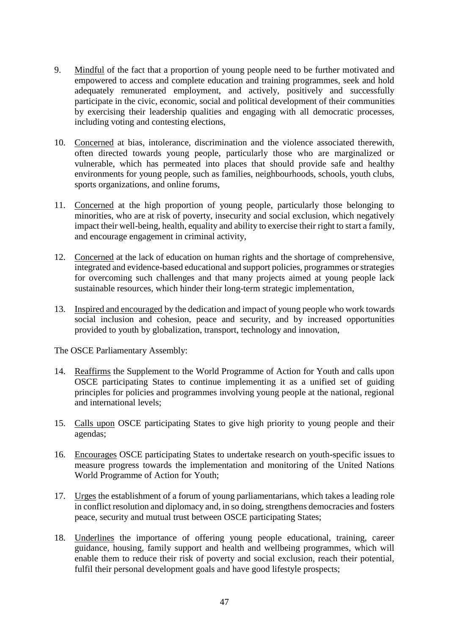- 9. Mindful of the fact that a proportion of young people need to be further motivated and empowered to access and complete education and training programmes, seek and hold adequately remunerated employment, and actively, positively and successfully participate in the civic, economic, social and political development of their communities by exercising their leadership qualities and engaging with all democratic processes, including voting and contesting elections,
- 10. Concerned at bias, intolerance, discrimination and the violence associated therewith, often directed towards young people, particularly those who are marginalized or vulnerable, which has permeated into places that should provide safe and healthy environments for young people, such as families, neighbourhoods, schools, youth clubs, sports organizations, and online forums,
- 11. Concerned at the high proportion of young people, particularly those belonging to minorities, who are at risk of poverty, insecurity and social exclusion, which negatively impact their well-being, health, equality and ability to exercise their right to start a family, and encourage engagement in criminal activity,
- 12. Concerned at the lack of education on human rights and the shortage of comprehensive, integrated and evidence-based educational and support policies, programmes or strategies for overcoming such challenges and that many projects aimed at young people lack sustainable resources, which hinder their long-term strategic implementation,
- 13. Inspired and encouraged by the dedication and impact of young people who work towards social inclusion and cohesion, peace and security, and by increased opportunities provided to youth by globalization, transport, technology and innovation,

- 14. Reaffirms the Supplement to the World Programme of Action for Youth and calls upon OSCE participating States to continue implementing it as a unified set of guiding principles for policies and programmes involving young people at the national, regional and international levels;
- 15. Calls upon OSCE participating States to give high priority to young people and their agendas;
- 16. Encourages OSCE participating States to undertake research on youth-specific issues to measure progress towards the implementation and monitoring of the United Nations World Programme of Action for Youth;
- 17. Urges the establishment of a forum of young parliamentarians, which takes a leading role in conflict resolution and diplomacy and, in so doing, strengthens democracies and fosters peace, security and mutual trust between OSCE participating States;
- 18. Underlines the importance of offering young people educational, training, career guidance, housing, family support and health and wellbeing programmes, which will enable them to reduce their risk of poverty and social exclusion, reach their potential, fulfil their personal development goals and have good lifestyle prospects;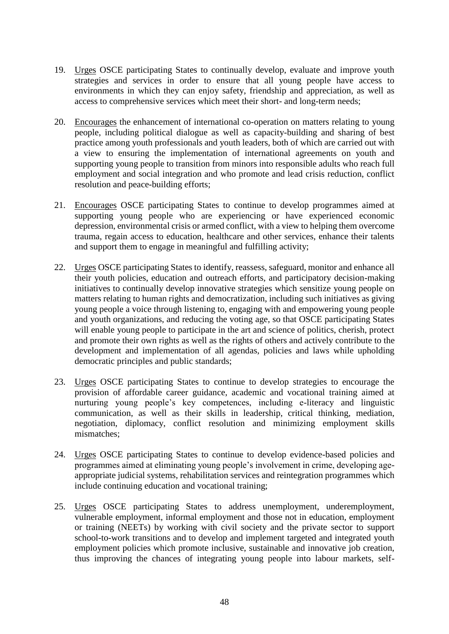- 19. Urges OSCE participating States to continually develop, evaluate and improve youth strategies and services in order to ensure that all young people have access to environments in which they can enjoy safety, friendship and appreciation, as well as access to comprehensive services which meet their short- and long-term needs;
- 20. Encourages the enhancement of international co-operation on matters relating to young people, including political dialogue as well as capacity-building and sharing of best practice among youth professionals and youth leaders, both of which are carried out with a view to ensuring the implementation of international agreements on youth and supporting young people to transition from minors into responsible adults who reach full employment and social integration and who promote and lead crisis reduction, conflict resolution and peace-building efforts;
- 21. Encourages OSCE participating States to continue to develop programmes aimed at supporting young people who are experiencing or have experienced economic depression, environmental crisis or armed conflict, with a view to helping them overcome trauma, regain access to education, healthcare and other services, enhance their talents and support them to engage in meaningful and fulfilling activity;
- 22. Urges OSCE participating States to identify, reassess, safeguard, monitor and enhance all their youth policies, education and outreach efforts, and participatory decision-making initiatives to continually develop innovative strategies which sensitize young people on matters relating to human rights and democratization, including such initiatives as giving young people a voice through listening to, engaging with and empowering young people and youth organizations, and reducing the voting age, so that OSCE participating States will enable young people to participate in the art and science of politics, cherish, protect and promote their own rights as well as the rights of others and actively contribute to the development and implementation of all agendas, policies and laws while upholding democratic principles and public standards;
- 23. Urges OSCE participating States to continue to develop strategies to encourage the provision of affordable career guidance, academic and vocational training aimed at nurturing young people's key competences, including e-literacy and linguistic communication, as well as their skills in leadership, critical thinking, mediation, negotiation, diplomacy, conflict resolution and minimizing employment skills mismatches;
- 24. Urges OSCE participating States to continue to develop evidence-based policies and programmes aimed at eliminating young people's involvement in crime, developing ageappropriate judicial systems, rehabilitation services and reintegration programmes which include continuing education and vocational training;
- 25. Urges OSCE participating States to address unemployment, underemployment, vulnerable employment, informal employment and those not in education, employment or training (NEETs) by working with civil society and the private sector to support school-to-work transitions and to develop and implement targeted and integrated youth employment policies which promote inclusive, sustainable and innovative job creation, thus improving the chances of integrating young people into labour markets, self-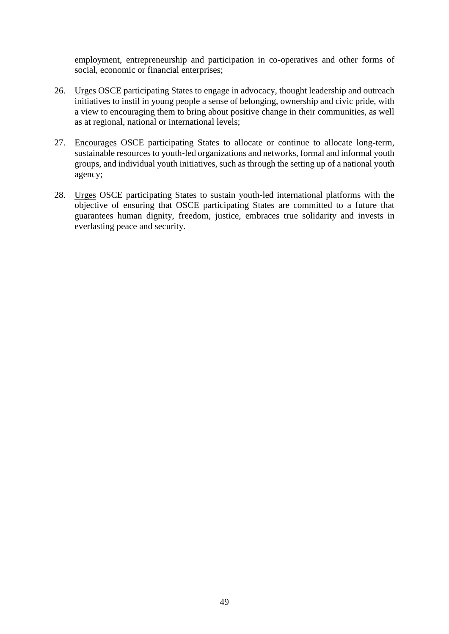employment, entrepreneurship and participation in co-operatives and other forms of social, economic or financial enterprises;

- 26. Urges OSCE participating States to engage in advocacy, thought leadership and outreach initiatives to instil in young people a sense of belonging, ownership and civic pride, with a view to encouraging them to bring about positive change in their communities, as well as at regional, national or international levels;
- 27. Encourages OSCE participating States to allocate or continue to allocate long-term, sustainable resources to youth‐led organizations and networks, formal and informal youth groups, and individual youth initiatives, such as through the setting up of a national youth agency;
- 28. Urges OSCE participating States to sustain youth-led international platforms with the objective of ensuring that OSCE participating States are committed to a future that guarantees human dignity, freedom, justice, embraces true solidarity and invests in everlasting peace and security.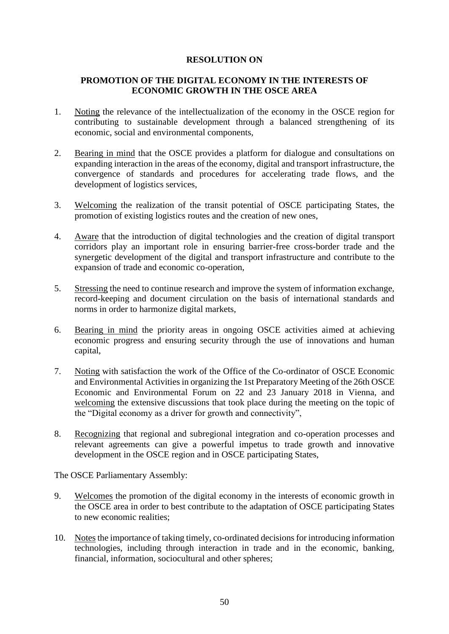## **PROMOTION OF THE DIGITAL ECONOMY IN THE INTERESTS OF ECONOMIC GROWTH IN THE OSCE AREA**

- 1. Noting the relevance of the intellectualization of the economy in the OSCE region for contributing to sustainable development through a balanced strengthening of its economic, social and environmental components,
- 2. Bearing in mind that the OSCE provides a platform for dialogue and consultations on expanding interaction in the areas of the economy, digital and transport infrastructure, the convergence of standards and procedures for accelerating trade flows, and the development of logistics services,
- 3. Welcoming the realization of the transit potential of OSCE participating States, the promotion of existing logistics routes and the creation of new ones,
- 4. Aware that the introduction of digital technologies and the creation of digital transport corridors play an important role in ensuring barrier-free cross-border trade and the synergetic development of the digital and transport infrastructure and contribute to the expansion of trade and economic co-operation,
- 5. Stressing the need to continue research and improve the system of information exchange, record-keeping and document circulation on the basis of international standards and norms in order to harmonize digital markets,
- 6. Bearing in mind the priority areas in ongoing OSCE activities aimed at achieving economic progress and ensuring security through the use of innovations and human capital,
- 7. Noting with satisfaction the work of the Office of the Co-ordinator of OSCE Economic and Environmental Activities in organizing the 1st Preparatory Meeting of the 26th OSCE Economic and Environmental Forum on 22 and 23 January 2018 in Vienna, and welcoming the extensive discussions that took place during the meeting on the topic of the "Digital economy as a driver for growth and connectivity",
- 8. Recognizing that regional and subregional integration and co-operation processes and relevant agreements can give a powerful impetus to trade growth and innovative development in the OSCE region and in OSCE participating States,

- 9. Welcomes the promotion of the digital economy in the interests of economic growth in the OSCE area in order to best contribute to the adaptation of OSCE participating States to new economic realities;
- 10. Notesthe importance of taking timely, co-ordinated decisions for introducing information technologies, including through interaction in trade and in the economic, banking, financial, information, sociocultural and other spheres;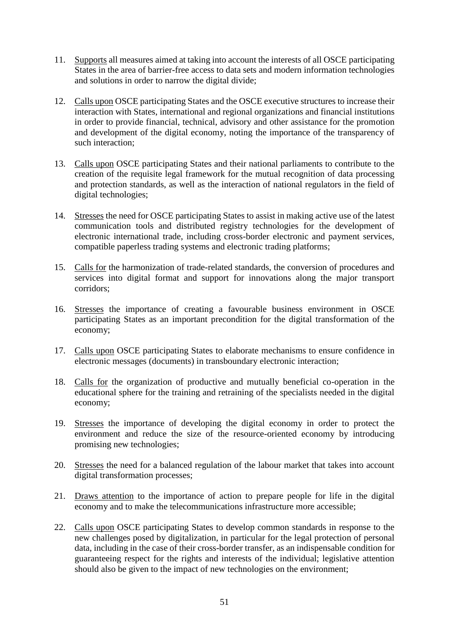- 11. Supports all measures aimed at taking into account the interests of all OSCE participating States in the area of barrier-free access to data sets and modern information technologies and solutions in order to narrow the digital divide;
- 12. Calls upon OSCE participating States and the OSCE executive structures to increase their interaction with States, international and regional organizations and financial institutions in order to provide financial, technical, advisory and other assistance for the promotion and development of the digital economy, noting the importance of the transparency of such interaction;
- 13. Calls upon OSCE participating States and their national parliaments to contribute to the creation of the requisite legal framework for the mutual recognition of data processing and protection standards, as well as the interaction of national regulators in the field of digital technologies:
- 14. Stresses the need for OSCE participating States to assist in making active use of the latest communication tools and distributed registry technologies for the development of electronic international trade, including cross-border electronic and payment services, compatible paperless trading systems and electronic trading platforms;
- 15. Calls for the harmonization of trade-related standards, the conversion of procedures and services into digital format and support for innovations along the major transport corridors;
- 16. Stresses the importance of creating a favourable business environment in OSCE participating States as an important precondition for the digital transformation of the economy;
- 17. Calls upon OSCE participating States to elaborate mechanisms to ensure confidence in electronic messages (documents) in transboundary electronic interaction;
- 18. Calls for the organization of productive and mutually beneficial co-operation in the educational sphere for the training and retraining of the specialists needed in the digital economy;
- 19. Stresses the importance of developing the digital economy in order to protect the environment and reduce the size of the resource-oriented economy by introducing promising new technologies;
- 20. Stresses the need for a balanced regulation of the labour market that takes into account digital transformation processes;
- 21. Draws attention to the importance of action to prepare people for life in the digital economy and to make the telecommunications infrastructure more accessible;
- 22. Calls upon OSCE participating States to develop common standards in response to the new challenges posed by digitalization, in particular for the legal protection of personal data, including in the case of their cross-border transfer, as an indispensable condition for guaranteeing respect for the rights and interests of the individual; legislative attention should also be given to the impact of new technologies on the environment;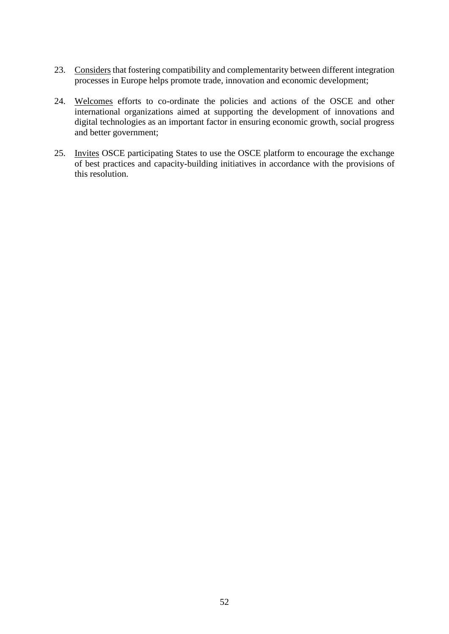- 23. Considers that fostering compatibility and complementarity between different integration processes in Europe helps promote trade, innovation and economic development;
- 24. Welcomes efforts to co-ordinate the policies and actions of the OSCE and other international organizations aimed at supporting the development of innovations and digital technologies as an important factor in ensuring economic growth, social progress and better government;
- 25. Invites OSCE participating States to use the OSCE platform to encourage the exchange of best practices and capacity-building initiatives in accordance with the provisions of this resolution.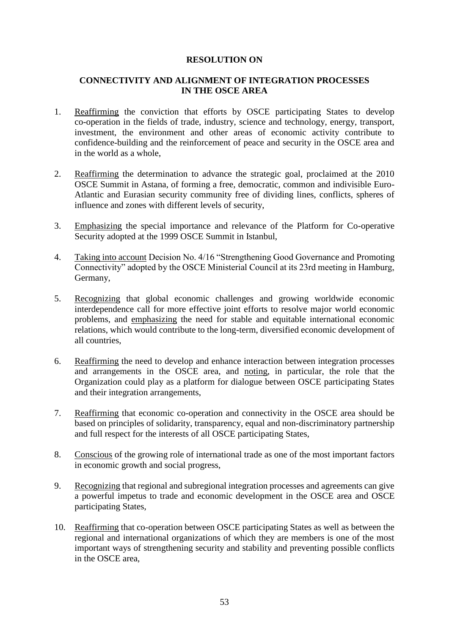## **CONNECTIVITY AND ALIGNMENT OF INTEGRATION PROCESSES IN THE OSCE AREA**

- 1. Reaffirming the conviction that efforts by OSCE participating States to develop co-operation in the fields of trade, industry, science and technology, energy, transport, investment, the environment and other areas of economic activity contribute to confidence-building and the reinforcement of peace and security in the OSCE area and in the world as a whole,
- 2. Reaffirming the determination to advance the strategic goal, proclaimed at the 2010 OSCE Summit in Astana, of forming a free, democratic, common and indivisible Euro-Atlantic and Eurasian security community free of dividing lines, conflicts, spheres of influence and zones with different levels of security,
- 3. Emphasizing the special importance and relevance of the Platform for Co-operative Security adopted at the 1999 OSCE Summit in Istanbul,
- 4. Taking into account Decision No. 4/16 "Strengthening Good Governance and Promoting Connectivity" adopted by the OSCE Ministerial Council at its 23rd meeting in Hamburg, Germany,
- 5. Recognizing that global economic challenges and growing worldwide economic interdependence call for more effective joint efforts to resolve major world economic problems, and emphasizing the need for stable and equitable international economic relations, which would contribute to the long-term, diversified economic development of all countries,
- 6. Reaffirming the need to develop and enhance interaction between integration processes and arrangements in the OSCE area, and noting, in particular, the role that the Organization could play as a platform for dialogue between OSCE participating States and their integration arrangements,
- 7. Reaffirming that economic co-operation and connectivity in the OSCE area should be based on principles of solidarity, transparency, equal and non-discriminatory partnership and full respect for the interests of all OSCE participating States,
- 8. Conscious of the growing role of international trade as one of the most important factors in economic growth and social progress,
- 9. Recognizing that regional and subregional integration processes and agreements can give a powerful impetus to trade and economic development in the OSCE area and OSCE participating States,
- 10. Reaffirming that co-operation between OSCE participating States as well as between the regional and international organizations of which they are members is one of the most important ways of strengthening security and stability and preventing possible conflicts in the OSCE area,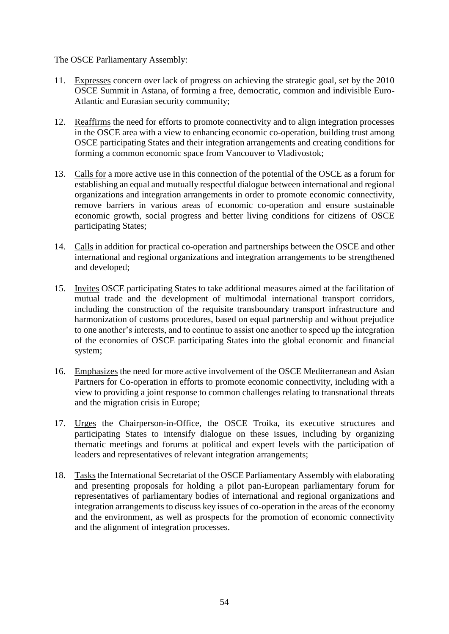- 11. Expresses concern over lack of progress on achieving the strategic goal, set by the 2010 OSCE Summit in Astana, of forming a free, democratic, common and indivisible Euro-Atlantic and Eurasian security community;
- 12. Reaffirms the need for efforts to promote connectivity and to align integration processes in the OSCE area with a view to enhancing economic co-operation, building trust among OSCE participating States and their integration arrangements and creating conditions for forming a common economic space from Vancouver to Vladivostok;
- 13. Calls for a more active use in this connection of the potential of the OSCE as a forum for establishing an equal and mutually respectful dialogue between international and regional organizations and integration arrangements in order to promote economic connectivity, remove barriers in various areas of economic co-operation and ensure sustainable economic growth, social progress and better living conditions for citizens of OSCE participating States;
- 14. Calls in addition for practical co-operation and partnerships between the OSCE and other international and regional organizations and integration arrangements to be strengthened and developed;
- 15. Invites OSCE participating States to take additional measures aimed at the facilitation of mutual trade and the development of multimodal international transport corridors, including the construction of the requisite transboundary transport infrastructure and harmonization of customs procedures, based on equal partnership and without prejudice to one another's interests, and to continue to assist one another to speed up the integration of the economies of OSCE participating States into the global economic and financial system;
- 16. Emphasizes the need for more active involvement of the OSCE Mediterranean and Asian Partners for Co-operation in efforts to promote economic connectivity, including with a view to providing a joint response to common challenges relating to transnational threats and the migration crisis in Europe;
- 17. Urges the Chairperson-in-Office, the OSCE Troika, its executive structures and participating States to intensify dialogue on these issues, including by organizing thematic meetings and forums at political and expert levels with the participation of leaders and representatives of relevant integration arrangements;
- 18. Tasksthe International Secretariat of the OSCE Parliamentary Assembly with elaborating and presenting proposals for holding a pilot pan-European parliamentary forum for representatives of parliamentary bodies of international and regional organizations and integration arrangements to discuss key issues of co-operation in the areas of the economy and the environment, as well as prospects for the promotion of economic connectivity and the alignment of integration processes.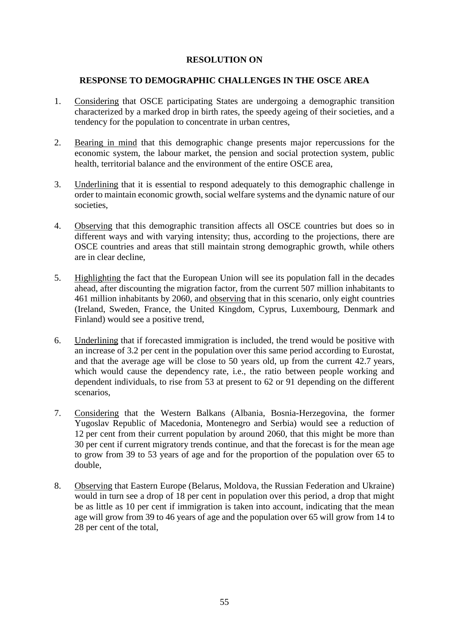#### **RESPONSE TO DEMOGRAPHIC CHALLENGES IN THE OSCE AREA**

- 1. Considering that OSCE participating States are undergoing a demographic transition characterized by a marked drop in birth rates, the speedy ageing of their societies, and a tendency for the population to concentrate in urban centres,
- 2. Bearing in mind that this demographic change presents major repercussions for the economic system, the labour market, the pension and social protection system, public health, territorial balance and the environment of the entire OSCE area,
- 3. Underlining that it is essential to respond adequately to this demographic challenge in order to maintain economic growth, social welfare systems and the dynamic nature of our societies,
- 4. Observing that this demographic transition affects all OSCE countries but does so in different ways and with varying intensity; thus, according to the projections, there are OSCE countries and areas that still maintain strong demographic growth, while others are in clear decline,
- 5. Highlighting the fact that the European Union will see its population fall in the decades ahead, after discounting the migration factor, from the current 507 million inhabitants to 461 million inhabitants by 2060, and observing that in this scenario, only eight countries (Ireland, Sweden, France, the United Kingdom, Cyprus, Luxembourg, Denmark and Finland) would see a positive trend,
- 6. Underlining that if forecasted immigration is included, the trend would be positive with an increase of 3.2 per cent in the population over this same period according to Eurostat, and that the average age will be close to 50 years old, up from the current 42.7 years, which would cause the dependency rate, i.e., the ratio between people working and dependent individuals, to rise from 53 at present to 62 or 91 depending on the different scenarios,
- 7. Considering that the Western Balkans (Albania, Bosnia-Herzegovina, the former Yugoslav Republic of Macedonia, Montenegro and Serbia) would see a reduction of 12 per cent from their current population by around 2060, that this might be more than 30 per cent if current migratory trends continue, and that the forecast is for the mean age to grow from 39 to 53 years of age and for the proportion of the population over 65 to double,
- 8. Observing that Eastern Europe (Belarus, Moldova, the Russian Federation and Ukraine) would in turn see a drop of 18 per cent in population over this period, a drop that might be as little as 10 per cent if immigration is taken into account, indicating that the mean age will grow from 39 to 46 years of age and the population over 65 will grow from 14 to 28 per cent of the total,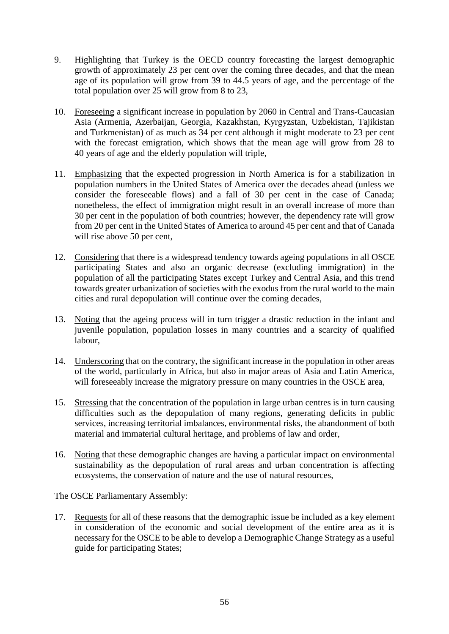- 9. Highlighting that Turkey is the OECD country forecasting the largest demographic growth of approximately 23 per cent over the coming three decades, and that the mean age of its population will grow from 39 to 44.5 years of age, and the percentage of the total population over 25 will grow from 8 to 23,
- 10. Foreseeing a significant increase in population by 2060 in Central and Trans-Caucasian Asia (Armenia, Azerbaijan, Georgia, Kazakhstan, Kyrgyzstan, Uzbekistan, Tajikistan and Turkmenistan) of as much as 34 per cent although it might moderate to 23 per cent with the forecast emigration, which shows that the mean age will grow from 28 to 40 years of age and the elderly population will triple,
- 11. Emphasizing that the expected progression in North America is for a stabilization in population numbers in the United States of America over the decades ahead (unless we consider the foreseeable flows) and a fall of 30 per cent in the case of Canada; nonetheless, the effect of immigration might result in an overall increase of more than 30 per cent in the population of both countries; however, the dependency rate will grow from 20 per cent in the United States of America to around 45 per cent and that of Canada will rise above 50 per cent,
- 12. Considering that there is a widespread tendency towards ageing populations in all OSCE participating States and also an organic decrease (excluding immigration) in the population of all the participating States except Turkey and Central Asia, and this trend towards greater urbanization of societies with the exodus from the rural world to the main cities and rural depopulation will continue over the coming decades,
- 13. Noting that the ageing process will in turn trigger a drastic reduction in the infant and juvenile population, population losses in many countries and a scarcity of qualified labour,
- 14. Underscoring that on the contrary, the significant increase in the population in other areas of the world, particularly in Africa, but also in major areas of Asia and Latin America, will foreseeably increase the migratory pressure on many countries in the OSCE area,
- 15. Stressing that the concentration of the population in large urban centres is in turn causing difficulties such as the depopulation of many regions, generating deficits in public services, increasing territorial imbalances, environmental risks, the abandonment of both material and immaterial cultural heritage, and problems of law and order,
- 16. Noting that these demographic changes are having a particular impact on environmental sustainability as the depopulation of rural areas and urban concentration is affecting ecosystems, the conservation of nature and the use of natural resources,

17. Requests for all of these reasons that the demographic issue be included as a key element in consideration of the economic and social development of the entire area as it is necessary for the OSCE to be able to develop a Demographic Change Strategy as a useful guide for participating States;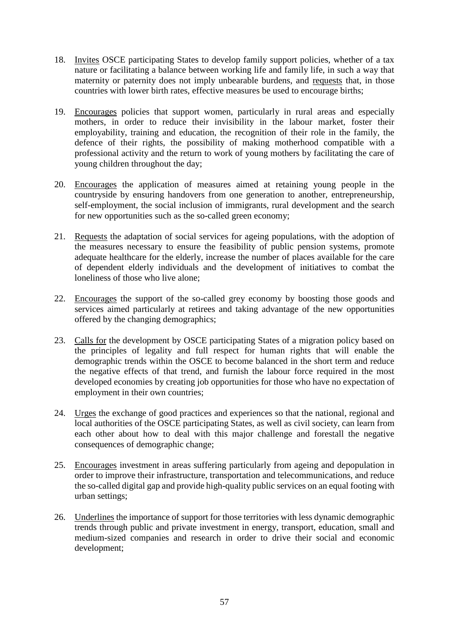- 18. Invites OSCE participating States to develop family support policies, whether of a tax nature or facilitating a balance between working life and family life, in such a way that maternity or paternity does not imply unbearable burdens, and requests that, in those countries with lower birth rates, effective measures be used to encourage births;
- 19. Encourages policies that support women, particularly in rural areas and especially mothers, in order to reduce their invisibility in the labour market, foster their employability, training and education, the recognition of their role in the family, the defence of their rights, the possibility of making motherhood compatible with a professional activity and the return to work of young mothers by facilitating the care of young children throughout the day;
- 20. Encourages the application of measures aimed at retaining young people in the countryside by ensuring handovers from one generation to another, entrepreneurship, self-employment, the social inclusion of immigrants, rural development and the search for new opportunities such as the so-called green economy;
- 21. Requests the adaptation of social services for ageing populations, with the adoption of the measures necessary to ensure the feasibility of public pension systems, promote adequate healthcare for the elderly, increase the number of places available for the care of dependent elderly individuals and the development of initiatives to combat the loneliness of those who live alone;
- 22. Encourages the support of the so-called grey economy by boosting those goods and services aimed particularly at retirees and taking advantage of the new opportunities offered by the changing demographics;
- 23. Calls for the development by OSCE participating States of a migration policy based on the principles of legality and full respect for human rights that will enable the demographic trends within the OSCE to become balanced in the short term and reduce the negative effects of that trend, and furnish the labour force required in the most developed economies by creating job opportunities for those who have no expectation of employment in their own countries;
- 24. Urges the exchange of good practices and experiences so that the national, regional and local authorities of the OSCE participating States, as well as civil society, can learn from each other about how to deal with this major challenge and forestall the negative consequences of demographic change;
- 25. Encourages investment in areas suffering particularly from ageing and depopulation in order to improve their infrastructure, transportation and telecommunications, and reduce the so-called digital gap and provide high-quality public services on an equal footing with urban settings;
- 26. Underlines the importance of support for those territories with less dynamic demographic trends through public and private investment in energy, transport, education, small and medium-sized companies and research in order to drive their social and economic development;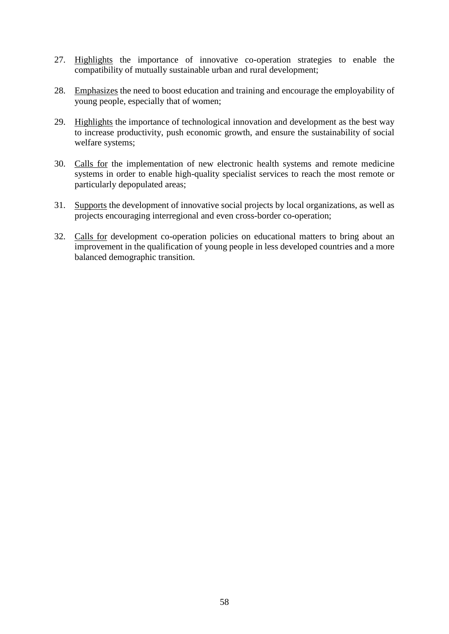- 27. Highlights the importance of innovative co-operation strategies to enable the compatibility of mutually sustainable urban and rural development;
- 28. Emphasizes the need to boost education and training and encourage the employability of young people, especially that of women;
- 29. Highlights the importance of technological innovation and development as the best way to increase productivity, push economic growth, and ensure the sustainability of social welfare systems;
- 30. Calls for the implementation of new electronic health systems and remote medicine systems in order to enable high-quality specialist services to reach the most remote or particularly depopulated areas;
- 31. Supports the development of innovative social projects by local organizations, as well as projects encouraging interregional and even cross-border co-operation;
- 32. Calls for development co-operation policies on educational matters to bring about an improvement in the qualification of young people in less developed countries and a more balanced demographic transition.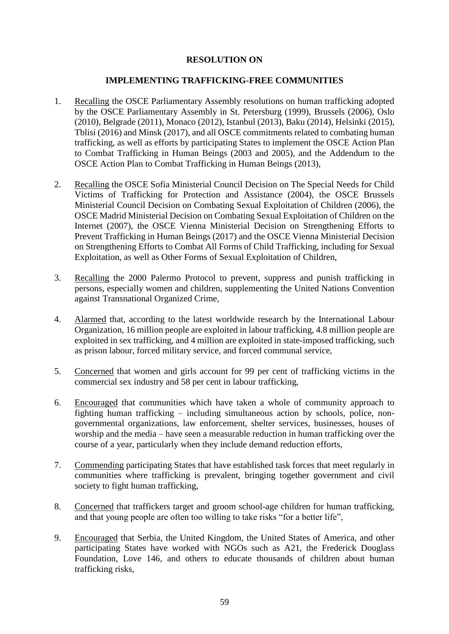#### **IMPLEMENTING TRAFFICKING-FREE COMMUNITIES**

- 1. Recalling the OSCE Parliamentary Assembly resolutions on human trafficking adopted by the OSCE Parliamentary Assembly in St. Petersburg (1999), Brussels (2006), Oslo (2010), Belgrade (2011), Monaco (2012), Istanbul (2013), Baku (2014), Helsinki (2015), Tblisi (2016) and Minsk (2017), and all OSCE commitments related to combating human trafficking, as well as efforts by participating States to implement the OSCE Action Plan to Combat Trafficking in Human Beings (2003 and 2005), and the Addendum to the OSCE Action Plan to Combat Trafficking in Human Beings (2013),
- 2. Recalling the OSCE Sofia Ministerial Council Decision on The Special Needs for Child Victims of Trafficking for Protection and Assistance (2004), the OSCE Brussels Ministerial Council Decision on Combating Sexual Exploitation of Children (2006), the OSCE Madrid Ministerial Decision on Combating Sexual Exploitation of Children on the Internet (2007), the OSCE Vienna Ministerial Decision on Strengthening Efforts to Prevent Trafficking in Human Beings (2017) and the OSCE Vienna Ministerial Decision on Strengthening Efforts to Combat All Forms of Child Trafficking, including for Sexual Exploitation, as well as Other Forms of Sexual Exploitation of Children,
- 3. Recalling the 2000 Palermo Protocol to prevent, suppress and punish trafficking in persons, especially women and children, supplementing the United Nations Convention against Transnational Organized Crime,
- 4. Alarmed that, according to the latest worldwide research by the International Labour Organization, 16 million people are exploited in labour trafficking, 4.8 million people are exploited in sex trafficking, and 4 million are exploited in state-imposed trafficking, such as prison labour, forced military service, and forced communal service,
- 5. Concerned that women and girls account for 99 per cent of trafficking victims in the commercial sex industry and 58 per cent in labour trafficking,
- 6. Encouraged that communities which have taken a whole of community approach to fighting human trafficking – including simultaneous action by schools, police, nongovernmental organizations, law enforcement, shelter services, businesses, houses of worship and the media – have seen a measurable reduction in human trafficking over the course of a year, particularly when they include demand reduction efforts,
- 7. Commending participating States that have established task forces that meet regularly in communities where trafficking is prevalent, bringing together government and civil society to fight human trafficking,
- 8. Concerned that traffickers target and groom school-age children for human trafficking, and that young people are often too willing to take risks "for a better life",
- 9. Encouraged that Serbia, the United Kingdom, the United States of America, and other participating States have worked with NGOs such as A21, the Frederick Douglass Foundation, Love 146, and others to educate thousands of children about human trafficking risks,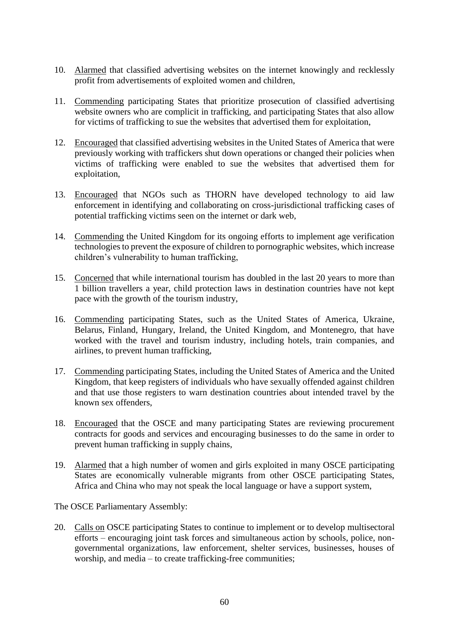- 10. Alarmed that classified advertising websites on the internet knowingly and recklessly profit from advertisements of exploited women and children,
- 11. Commending participating States that prioritize prosecution of classified advertising website owners who are complicit in trafficking, and participating States that also allow for victims of trafficking to sue the websites that advertised them for exploitation,
- 12. Encouraged that classified advertising websites in the United States of America that were previously working with traffickers shut down operations or changed their policies when victims of trafficking were enabled to sue the websites that advertised them for exploitation,
- 13. Encouraged that NGOs such as THORN have developed technology to aid law enforcement in identifying and collaborating on cross-jurisdictional trafficking cases of potential trafficking victims seen on the internet or dark web,
- 14. Commending the United Kingdom for its ongoing efforts to implement age verification technologies to prevent the exposure of children to pornographic websites, which increase children's vulnerability to human trafficking,
- 15. Concerned that while international tourism has doubled in the last 20 years to more than 1 billion travellers a year, child protection laws in destination countries have not kept pace with the growth of the tourism industry,
- 16. Commending participating States, such as the United States of America, Ukraine, Belarus, Finland, Hungary, Ireland, the United Kingdom, and Montenegro, that have worked with the travel and tourism industry, including hotels, train companies, and airlines, to prevent human trafficking,
- 17. Commending participating States, including the United States of America and the United Kingdom, that keep registers of individuals who have sexually offended against children and that use those registers to warn destination countries about intended travel by the known sex offenders,
- 18. Encouraged that the OSCE and many participating States are reviewing procurement contracts for goods and services and encouraging businesses to do the same in order to prevent human trafficking in supply chains,
- 19. Alarmed that a high number of women and girls exploited in many OSCE participating States are economically vulnerable migrants from other OSCE participating States, Africa and China who may not speak the local language or have a support system,

20. Calls on OSCE participating States to continue to implement or to develop multisectoral efforts – encouraging joint task forces and simultaneous action by schools, police, nongovernmental organizations, law enforcement, shelter services, businesses, houses of worship, and media – to create trafficking-free communities;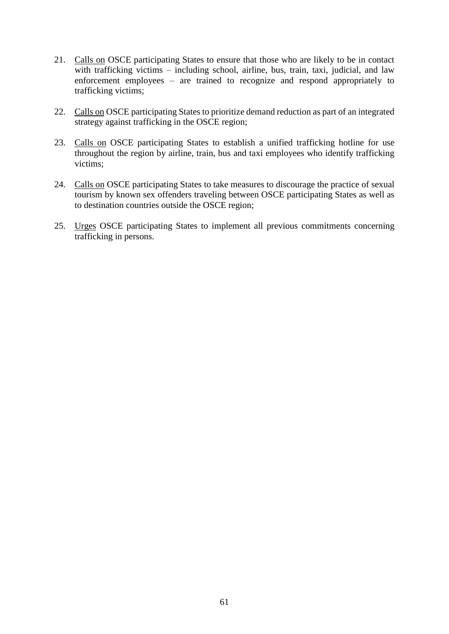- 21. Calls on OSCE participating States to ensure that those who are likely to be in contact with trafficking victims – including school, airline, bus, train, taxi, judicial, and law enforcement employees – are trained to recognize and respond appropriately to trafficking victims;
- 22. Calls on OSCE participating States to prioritize demand reduction as part of an integrated strategy against trafficking in the OSCE region;
- 23. Calls on OSCE participating States to establish a unified trafficking hotline for use throughout the region by airline, train, bus and taxi employees who identify trafficking victims;
- 24. Calls on OSCE participating States to take measures to discourage the practice of sexual tourism by known sex offenders traveling between OSCE participating States as well as to destination countries outside the OSCE region;
- 25. Urges OSCE participating States to implement all previous commitments concerning trafficking in persons.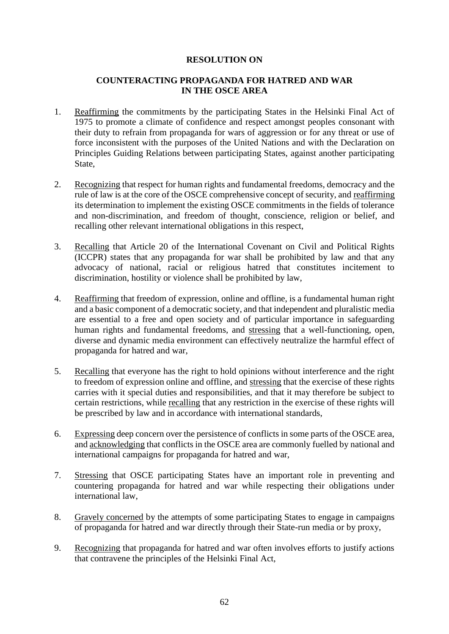## **COUNTERACTING PROPAGANDA FOR HATRED AND WAR IN THE OSCE AREA**

- 1. Reaffirming the commitments by the participating States in the Helsinki Final Act of 1975 to promote a climate of confidence and respect amongst peoples consonant with their duty to refrain from propaganda for wars of aggression or for any threat or use of force inconsistent with the purposes of the United Nations and with the Declaration on Principles Guiding Relations between participating States, against another participating State,
- 2. Recognizing that respect for human rights and fundamental freedoms, democracy and the rule of law is at the core of the OSCE comprehensive concept of security, and reaffirming its determination to implement the existing OSCE commitments in the fields of tolerance and non-discrimination, and freedom of thought, conscience, religion or belief, and recalling other relevant international obligations in this respect,
- 3. Recalling that Article 20 of the International Covenant on Civil and Political Rights (ICCPR) states that any propaganda for war shall be prohibited by law and that any advocacy of national, racial or religious hatred that constitutes incitement to discrimination, hostility or violence shall be prohibited by law,
- 4. Reaffirming that freedom of expression, online and offline, is a fundamental human right and a basic component of a democratic society, and that independent and pluralistic media are essential to a free and open society and of particular importance in safeguarding human rights and fundamental freedoms, and stressing that a well-functioning, open, diverse and dynamic media environment can effectively neutralize the harmful effect of propaganda for hatred and war,
- 5. Recalling that everyone has the right to hold opinions without interference and the right to freedom of expression online and offline, and stressing that the exercise of these rights carries with it special duties and responsibilities, and that it may therefore be subject to certain restrictions, while recalling that any restriction in the exercise of these rights will be prescribed by law and in accordance with international standards,
- 6. Expressing deep concern over the persistence of conflicts in some parts of the OSCE area, and acknowledging that conflicts in the OSCE area are commonly fuelled by national and international campaigns for propaganda for hatred and war,
- 7. Stressing that OSCE participating States have an important role in preventing and countering propaganda for hatred and war while respecting their obligations under international law,
- 8. Gravely concerned by the attempts of some participating States to engage in campaigns of propaganda for hatred and war directly through their State-run media or by proxy,
- 9. Recognizing that propaganda for hatred and war often involves efforts to justify actions that contravene the principles of the Helsinki Final Act,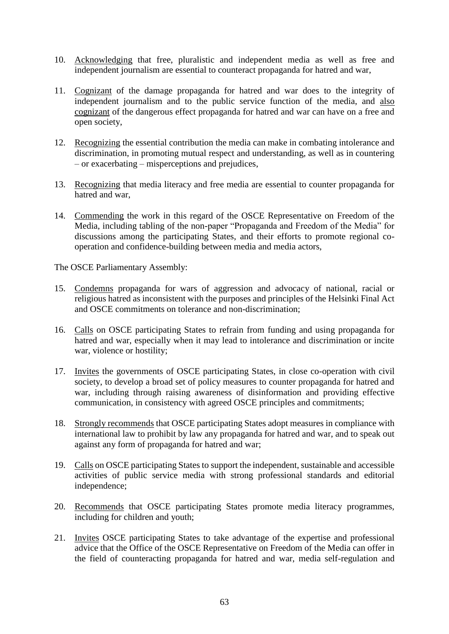- 10. Acknowledging that free, pluralistic and independent media as well as free and independent journalism are essential to counteract propaganda for hatred and war,
- 11. Cognizant of the damage propaganda for hatred and war does to the integrity of independent journalism and to the public service function of the media, and also cognizant of the dangerous effect propaganda for hatred and war can have on a free and open society,
- 12. Recognizing the essential contribution the media can make in combating intolerance and discrimination, in promoting mutual respect and understanding, as well as in countering – or exacerbating – misperceptions and prejudices,
- 13. Recognizing that media literacy and free media are essential to counter propaganda for hatred and war,
- 14. Commending the work in this regard of the OSCE Representative on Freedom of the Media, including tabling of the non-paper "Propaganda and Freedom of the Media" for discussions among the participating States, and their efforts to promote regional cooperation and confidence-building between media and media actors,

- 15. Condemns propaganda for wars of aggression and advocacy of national, racial or religious hatred as inconsistent with the purposes and principles of the Helsinki Final Act and OSCE commitments on tolerance and non-discrimination;
- 16. Calls on OSCE participating States to refrain from funding and using propaganda for hatred and war, especially when it may lead to intolerance and discrimination or incite war, violence or hostility;
- 17. Invites the governments of OSCE participating States, in close co-operation with civil society, to develop a broad set of policy measures to counter propaganda for hatred and war, including through raising awareness of disinformation and providing effective communication, in consistency with agreed OSCE principles and commitments;
- 18. Strongly recommends that OSCE participating States adopt measures in compliance with international law to prohibit by law any propaganda for hatred and war, and to speak out against any form of propaganda for hatred and war;
- 19. Calls on OSCE participating States to support the independent, sustainable and accessible activities of public service media with strong professional standards and editorial independence;
- 20. Recommends that OSCE participating States promote media literacy programmes, including for children and youth;
- 21. Invites OSCE participating States to take advantage of the expertise and professional advice that the Office of the OSCE Representative on Freedom of the Media can offer in the field of counteracting propaganda for hatred and war, media self-regulation and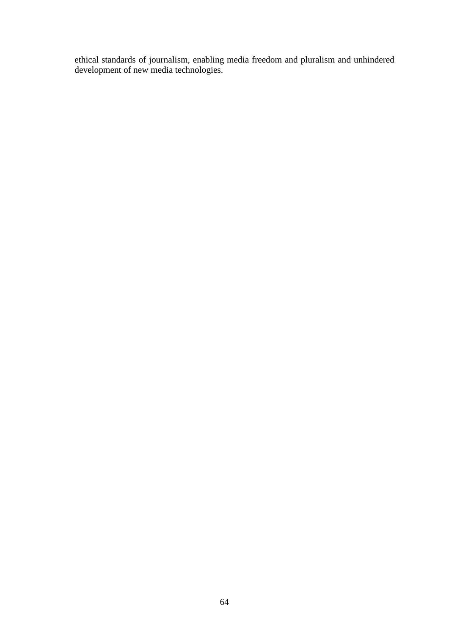ethical standards of journalism, enabling media freedom and pluralism and unhindered development of new media technologies.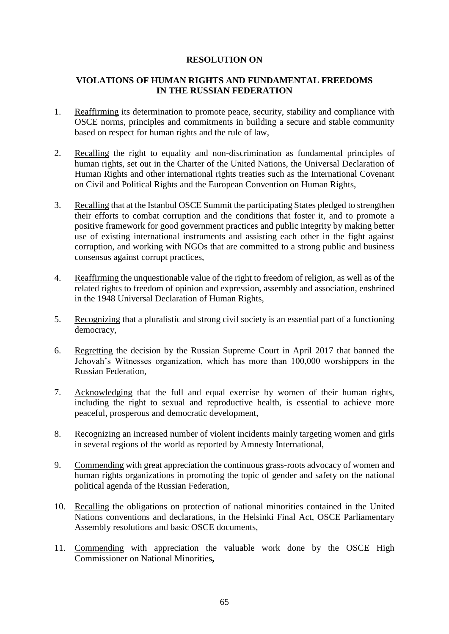## **VIOLATIONS OF HUMAN RIGHTS AND FUNDAMENTAL FREEDOMS IN THE RUSSIAN FEDERATION**

- 1. Reaffirming its determination to promote peace, security, stability and compliance with OSCE norms, principles and commitments in building a secure and stable community based on respect for human rights and the rule of law,
- 2. Recalling the right to equality and non-discrimination as fundamental principles of human rights, set out in the Charter of the United Nations, the Universal Declaration of Human Rights and other international rights treaties such as the International Covenant on Civil and Political Rights and the European Convention on Human Rights,
- 3. Recalling that at the Istanbul OSCE Summit the participating States pledged to strengthen their efforts to combat corruption and the conditions that foster it, and to promote a positive framework for good government practices and public integrity by making better use of existing international instruments and assisting each other in the fight against corruption, and working with NGOs that are committed to a strong public and business consensus against corrupt practices,
- 4. Reaffirming the unquestionable value of the right to freedom of religion, as well as of the related rights to freedom of opinion and expression, assembly and association, enshrined in the 1948 Universal Declaration of Human Rights,
- 5. Recognizing that a pluralistic and strong civil society is an essential part of a functioning democracy,
- 6. Regretting the decision by the Russian Supreme Court in April 2017 that banned the Jehovah's Witnesses organization, which has more than 100,000 worshippers in the Russian Federation,
- 7. Acknowledging that the full and equal exercise by women of their human rights, including the right to sexual and reproductive health, is essential to achieve more peaceful, prosperous and democratic development,
- 8. Recognizing an increased number of violent incidents mainly targeting women and girls in several regions of the world as reported by Amnesty International,
- 9. Commending with great appreciation the continuous grass-roots advocacy of women and human rights organizations in promoting the topic of gender and safety on the national political agenda of the Russian Federation,
- 10. Recalling the obligations on protection of national minorities contained in the United Nations conventions and declarations, in the Helsinki Final Act, OSCE Parliamentary Assembly resolutions and basic OSCE documents,
- 11. Commending with appreciation the valuable work done by the OSCE High Commissioner on National Minorities**,**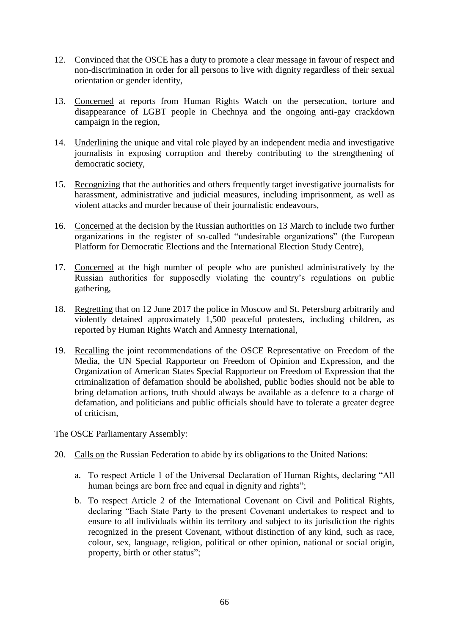- 12. Convinced that the OSCE has a duty to promote a clear message in favour of respect and non-discrimination in order for all persons to live with dignity regardless of their sexual orientation or gender identity,
- 13. Concerned at reports from Human Rights Watch on the persecution, torture and disappearance of LGBT people in Chechnya and the ongoing anti-gay crackdown campaign in the region,
- 14. Underlining the unique and vital role played by an independent media and investigative journalists in exposing corruption and thereby contributing to the strengthening of democratic society,
- 15. Recognizing that the authorities and others frequently target investigative journalists for harassment, administrative and judicial measures, including imprisonment, as well as violent attacks and murder because of their journalistic endeavours,
- 16. Concerned at the decision by the Russian authorities on 13 March to include two further organizations in the register of so-called "undesirable organizations" (the European Platform for Democratic Elections and the International Election Study Centre),
- 17. Concerned at the high number of people who are punished administratively by the Russian authorities for supposedly violating the country's regulations on public gathering,
- 18. Regretting that on 12 June 2017 the police in Moscow and St. Petersburg arbitrarily and violently detained approximately 1,500 peaceful protesters, including children, as reported by Human Rights Watch and Amnesty International,
- 19. Recalling the joint recommendations of the OSCE Representative on Freedom of the Media, the UN Special Rapporteur on Freedom of Opinion and Expression, and the Organization of American States Special Rapporteur on Freedom of Expression that the criminalization of defamation should be abolished, public bodies should not be able to bring defamation actions, truth should always be available as a defence to a charge of defamation, and politicians and public officials should have to tolerate a greater degree of criticism,

- 20. Calls on the Russian Federation to abide by its obligations to the United Nations:
	- a. To respect Article 1 of the Universal Declaration of Human Rights, declaring "All human beings are born free and equal in dignity and rights";
	- b. To respect Article 2 of the International Covenant on Civil and Political Rights, declaring "Each State Party to the present Covenant undertakes to respect and to ensure to all individuals within its territory and subject to its jurisdiction the rights recognized in the present Covenant, without distinction of any kind, such as race, colour, sex, language, religion, political or other opinion, national or social origin, property, birth or other status";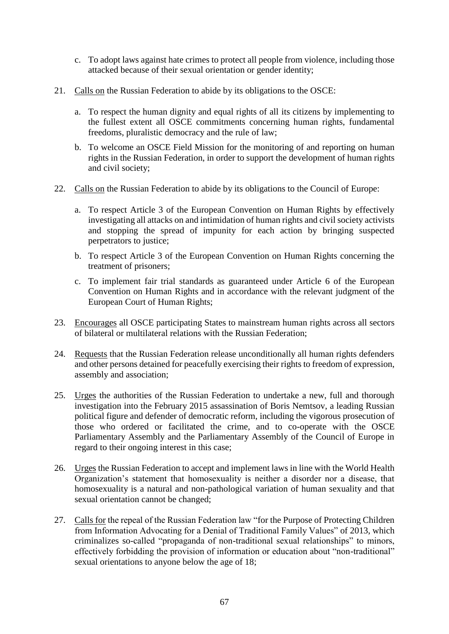- c. To adopt laws against hate crimes to protect all people from violence, including those attacked because of their sexual orientation or gender identity;
- 21. Calls on the Russian Federation to abide by its obligations to the OSCE:
	- a. To respect the human dignity and equal rights of all its citizens by implementing to the fullest extent all OSCE commitments concerning human rights, fundamental freedoms, pluralistic democracy and the rule of law;
	- b. To welcome an OSCE Field Mission for the monitoring of and reporting on human rights in the Russian Federation, in order to support the development of human rights and civil society;
- 22. Calls on the Russian Federation to abide by its obligations to the Council of Europe:
	- a. To respect Article 3 of the European Convention on Human Rights by effectively investigating all attacks on and intimidation of human rights and civil society activists and stopping the spread of impunity for each action by bringing suspected perpetrators to justice;
	- b. To respect Article 3 of the European Convention on Human Rights concerning the treatment of prisoners;
	- c. To implement fair trial standards as guaranteed under Article 6 of the European Convention on Human Rights and in accordance with the relevant judgment of the European Court of Human Rights;
- 23. Encourages all OSCE participating States to mainstream human rights across all sectors of bilateral or multilateral relations with the Russian Federation;
- 24. Requests that the Russian Federation release unconditionally all human rights defenders and other persons detained for peacefully exercising their rights to freedom of expression, assembly and association;
- 25. Urges the authorities of the Russian Federation to undertake a new, full and thorough investigation into the February 2015 assassination of Boris Nemtsov, a leading Russian political figure and defender of democratic reform, including the vigorous prosecution of those who ordered or facilitated the crime, and to co-operate with the OSCE Parliamentary Assembly and the Parliamentary Assembly of the Council of Europe in regard to their ongoing interest in this case;
- 26. Urges the Russian Federation to accept and implement laws in line with the World Health Organization's statement that homosexuality is neither a disorder nor a disease, that homosexuality is a natural and non-pathological variation of human sexuality and that sexual orientation cannot be changed;
- 27. Calls for the repeal of the Russian Federation law "for the Purpose of Protecting Children from Information Advocating for a Denial of Traditional Family Values" of 2013, which criminalizes so-called "propaganda of non-traditional sexual relationships" to minors, effectively forbidding the provision of information or education about "non-traditional" sexual orientations to anyone below the age of 18;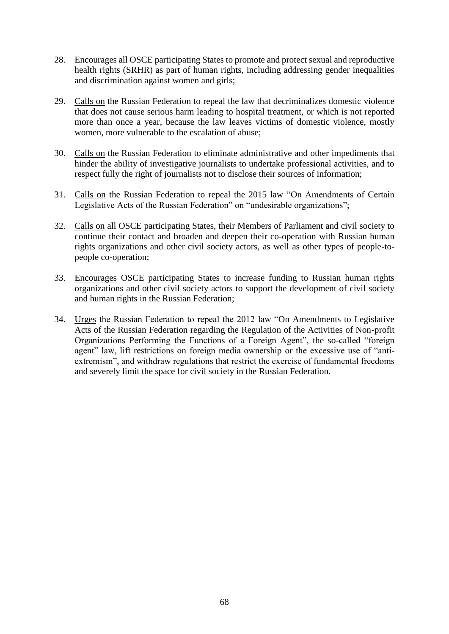- 28. Encourages all OSCE participating States to promote and protect sexual and reproductive health rights (SRHR) as part of human rights, including addressing gender inequalities and discrimination against women and girls;
- 29. Calls on the Russian Federation to repeal the law that decriminalizes domestic violence that does not cause serious harm leading to hospital treatment, or which is not reported more than once a year, because the law leaves victims of domestic violence, mostly women, more vulnerable to the escalation of abuse;
- 30. Calls on the Russian Federation to eliminate administrative and other impediments that hinder the ability of investigative journalists to undertake professional activities, and to respect fully the right of journalists not to disclose their sources of information;
- 31. Calls on the Russian Federation to repeal the 2015 law "On Amendments of Certain Legislative Acts of the Russian Federation" on "undesirable organizations";
- 32. Calls on all OSCE participating States, their Members of Parliament and civil society to continue their contact and broaden and deepen their co-operation with Russian human rights organizations and other civil society actors, as well as other types of people-topeople co-operation;
- 33. Encourages OSCE participating States to increase funding to Russian human rights organizations and other civil society actors to support the development of civil society and human rights in the Russian Federation;
- 34. Urges the Russian Federation to repeal the 2012 law "On Amendments to Legislative Acts of the Russian Federation regarding the Regulation of the Activities of Non-profit Organizations Performing the Functions of a Foreign Agent", the so-called "foreign agent" law, lift restrictions on foreign media ownership or the excessive use of "antiextremism", and withdraw regulations that restrict the exercise of fundamental freedoms and severely limit the space for civil society in the Russian Federation.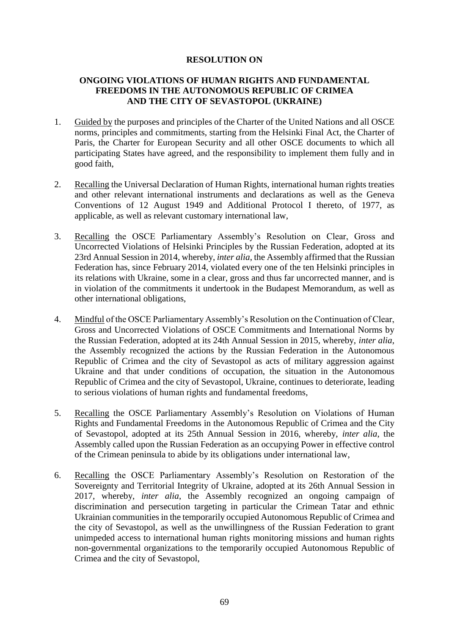# **ONGOING VIOLATIONS OF HUMAN RIGHTS AND FUNDAMENTAL FREEDOMS IN THE AUTONOMOUS REPUBLIC OF CRIMEA AND THE CITY OF SEVASTOPOL (UKRAINE)**

- 1. Guided by the purposes and principles of the Charter of the United Nations and all OSCE norms, principles and commitments, starting from the Helsinki Final Act, the Charter of Paris, the Charter for European Security and all other OSCE documents to which all participating States have agreed, and the responsibility to implement them fully and in good faith,
- 2. Recalling the Universal Declaration of Human Rights, international human rights treaties and other relevant international instruments and declarations as well as the Geneva Conventions of 12 August 1949 and Additional Protocol I thereto, of 1977, as applicable, as well as relevant customary international law,
- 3. Recalling the OSCE Parliamentary Assembly's Resolution on Clear, Gross and Uncorrected Violations of Helsinki Principles by the Russian Federation, adopted at its 23rd Annual Session in 2014, whereby, *inter alia*, the Assembly affirmed that the Russian Federation has, since February 2014, violated every one of the ten Helsinki principles in its relations with Ukraine, some in a clear, gross and thus far uncorrected manner, and is in violation of the commitments it undertook in the Budapest Memorandum, as well as other international obligations,
- 4. Mindful of the OSCE Parliamentary Assembly's Resolution on the Continuation of Clear, Gross and Uncorrected Violations of OSCE Commitments and International Norms by the Russian Federation, adopted at its 24th Annual Session in 2015, whereby, *inter alia*, the Assembly recognized the actions by the Russian Federation in the Autonomous Republic of Crimea and the city of Sevastopol as acts of military aggression against Ukraine and that under conditions of occupation, the situation in the Autonomous Republic of Crimea and the city of Sevastopol, Ukraine, continues to deteriorate, leading to serious violations of human rights and fundamental freedoms,
- 5. Recalling the OSCE Parliamentary Assembly's Resolution on Violations of Human Rights and Fundamental Freedoms in the Autonomous Republic of Crimea and the City of Sevastopol, adopted at its 25th Annual Session in 2016, whereby, *inter alia*, the Assembly called upon the Russian Federation as an occupying Power in effective control of the Crimean peninsula to abide by its obligations under international law,
- 6. Recalling the OSCE Parliamentary Assembly's Resolution on Restoration of the Sovereignty and Territorial Integrity of Ukraine, adopted at its 26th Annual Session in 2017, whereby, *inter alia*, the Assembly recognized an ongoing campaign of discrimination and persecution targeting in particular the Crimean Tatar and ethnic Ukrainian communities in the temporarily occupied Autonomous Republic of Crimea and the city of Sevastopol, as well as the unwillingness of the Russian Federation to grant unimpeded access to international human rights monitoring missions and human rights non-governmental organizations to the temporarily occupied Autonomous Republic of Crimea and the city of Sevastopol,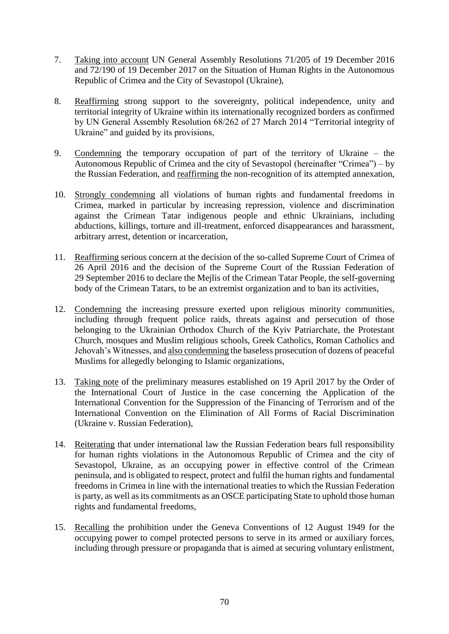- 7. Taking into account UN General Assembly Resolutions 71/205 of 19 December 2016 and 72/190 of 19 December 2017 on the Situation of Human Rights in the Autonomous Republic of Crimea and the City of Sevastopol (Ukraine),
- 8. Reaffirming strong support to the sovereignty, political independence, unity and territorial integrity of Ukraine within its internationally recognized borders as confirmed by UN General Assembly Resolution 68/262 of 27 March 2014 "Territorial integrity of Ukraine" and guided by its provisions,
- 9. Condemning the temporary occupation of part of the territory of Ukraine the Autonomous Republic of Crimea and the city of Sevastopol (hereinafter "Crimea") – by the Russian Federation, and reaffirming the non-recognition of its attempted annexation,
- 10. Strongly condemning all violations of human rights and fundamental freedoms in Crimea, marked in particular by increasing repression, violence and discrimination against the Crimean Tatar indigenous people and ethnic Ukrainians, including abductions, killings, torture and ill-treatment, enforced disappearances and harassment, arbitrary arrest, detention or incarceration,
- 11. Reaffirming serious concern at the decision of the so-called Supreme Court of Crimea of 26 April 2016 and the decision of the Supreme Court of the Russian Federation of 29 September 2016 to declare the Mejlis of the Crimean Tatar People, the self-governing body of the Crimean Tatars, to be an extremist organization and to ban its activities,
- 12. Condemning the increasing pressure exerted upon religious minority communities, including through frequent police raids, threats against and persecution of those belonging to the Ukrainian Orthodox Church of the Kyiv Patriarchate, the Protestant Church, mosques and Muslim religious schools, Greek Catholics, Roman Catholics and Jehovah's Witnesses, and also condemning the baseless prosecution of dozens of peaceful Muslims for allegedly belonging to Islamic organizations,
- 13. Taking note of the preliminary measures established on 19 April 2017 by the Order of the International Court of Justice in the case concerning the Application of the International Convention for the Suppression of the Financing of Terrorism and of the International Convention on the Elimination of All Forms of Racial Discrimination (Ukraine v. Russian Federation),
- 14. Reiterating that under international law the Russian Federation bears full responsibility for human rights violations in the Autonomous Republic of Crimea and the city of Sevastopol, Ukraine, as an occupying power in effective control of the Crimean peninsula, and is obligated to respect, protect and fulfil the human rights and fundamental freedoms in Crimea in line with the international treaties to which the Russian Federation is party, as well as its commitments as an OSCE participating State to uphold those human rights and fundamental freedoms,
- 15. Recalling the prohibition under the Geneva Conventions of 12 August 1949 for the occupying power to compel protected persons to serve in its armed or auxiliary forces, including through pressure or propaganda that is aimed at securing voluntary enlistment,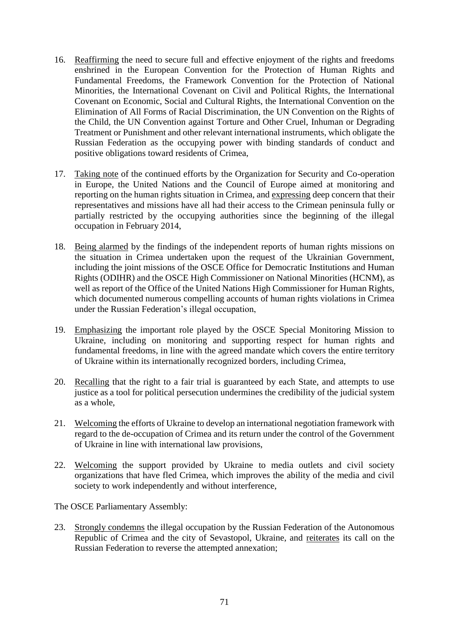- 16. Reaffirming the need to secure full and effective enjoyment of the rights and freedoms enshrined in the European Convention for the Protection of Human Rights and Fundamental Freedoms, the Framework Convention for the Protection of National Minorities, the International Covenant on Civil and Political Rights, the International Covenant on Economic, Social and Cultural Rights, the International Convention on the Elimination of All Forms of Racial Discrimination, the UN Convention on the Rights of the Child, the UN Convention against Torture and Other Cruel, Inhuman or Degrading Treatment or Punishment and other relevant international instruments, which obligate the Russian Federation as the occupying power with binding standards of conduct and positive obligations toward residents of Crimea,
- 17. Taking note of the continued efforts by the Organization for Security and Co-operation in Europe, the United Nations and the Council of Europe aimed at monitoring and reporting on the human rights situation in Crimea, and expressing deep concern that their representatives and missions have all had their access to the Crimean peninsula fully or partially restricted by the occupying authorities since the beginning of the illegal occupation in February 2014,
- 18. Being alarmed by the findings of the independent reports of human rights missions on the situation in Crimea undertaken upon the request of the Ukrainian Government, including the joint missions of the OSCE Office for Democratic Institutions and Human Rights (ODIHR) and the OSCE High Commissioner on National Minorities (HCNM), as well as report of the Office of the United Nations High Commissioner for Human Rights, which documented numerous compelling accounts of human rights violations in Crimea under the Russian Federation's illegal occupation,
- 19. Emphasizing the important role played by the OSCE Special Monitoring Mission to Ukraine, including on monitoring and supporting respect for human rights and fundamental freedoms, in line with the agreed mandate which covers the entire territory of Ukraine within its internationally recognized borders, including Crimea,
- 20. Recalling that the right to a fair trial is guaranteed by each State, and attempts to use justice as a tool for political persecution undermines the credibility of the judicial system as a whole,
- 21. Welcoming the efforts of Ukraine to develop an international negotiation framework with regard to the de-occupation of Crimea and its return under the control of the Government of Ukraine in line with international law provisions,
- 22. Welcoming the support provided by Ukraine to media outlets and civil society organizations that have fled Crimea, which improves the ability of the media and civil society to work independently and without interference,

The OSCE Parliamentary Assembly:

23. Strongly condemns the illegal occupation by the Russian Federation of the Autonomous Republic of Crimea and the city of Sevastopol, Ukraine, and reiterates its call on the Russian Federation to reverse the attempted annexation;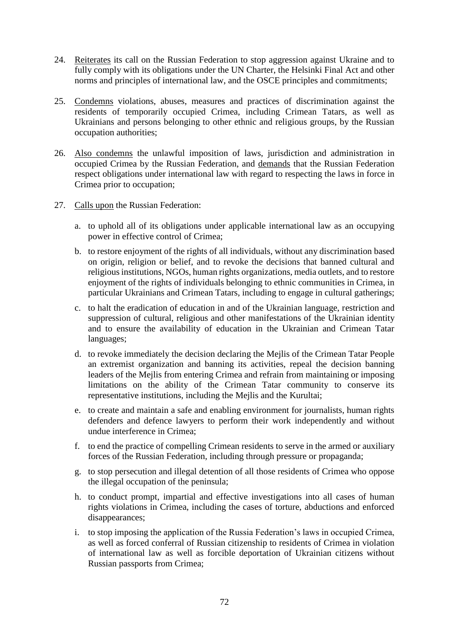- 24. Reiterates its call on the Russian Federation to stop aggression against Ukraine and to fully comply with its obligations under the UN Charter, the Helsinki Final Act and other norms and principles of international law, and the OSCE principles and commitments;
- 25. Condemns violations, abuses, measures and practices of discrimination against the residents of temporarily occupied Crimea, including Crimean Tatars, as well as Ukrainians and persons belonging to other ethnic and religious groups, by the Russian occupation authorities;
- 26. Also condemns the unlawful imposition of laws, jurisdiction and administration in occupied Crimea by the Russian Federation, and demands that the Russian Federation respect obligations under international law with regard to respecting the laws in force in Crimea prior to occupation;
- 27. Calls upon the Russian Federation:
	- a. to uphold all of its obligations under applicable international law as an occupying power in effective control of Crimea;
	- b. to restore enjoyment of the rights of all individuals, without any discrimination based on origin, religion or belief, and to revoke the decisions that banned cultural and religious institutions, NGOs, human rights organizations, media outlets, and to restore enjoyment of the rights of individuals belonging to ethnic communities in Crimea, in particular Ukrainians and Crimean Tatars, including to engage in cultural gatherings;
	- c. to halt the eradication of education in and of the Ukrainian language, restriction and suppression of cultural, religious and other manifestations of the Ukrainian identity and to ensure the availability of education in the Ukrainian and Crimean Tatar languages;
	- d. to revoke immediately the decision declaring the Mejlis of the Crimean Tatar People an extremist organization and banning its activities, repeal the decision banning leaders of the Mejlis from entering Crimea and refrain from maintaining or imposing limitations on the ability of the Crimean Tatar community to conserve its representative institutions, including the Mejlis and the Kurultai;
	- e. to create and maintain a safe and enabling environment for journalists, human rights defenders and defence lawyers to perform their work independently and without undue interference in Crimea;
	- f. to end the practice of compelling Crimean residents to serve in the armed or auxiliary forces of the Russian Federation, including through pressure or propaganda;
	- g. to stop persecution and illegal detention of all those residents of Crimea who oppose the illegal occupation of the peninsula;
	- h. to conduct prompt, impartial and effective investigations into all cases of human rights violations in Crimea, including the cases of torture, abductions and enforced disappearances;
	- i. to stop imposing the application of the Russia Federation's laws in occupied Crimea, as well as forced conferral of Russian citizenship to residents of Crimea in violation of international law as well as forcible deportation of Ukrainian citizens without Russian passports from Crimea;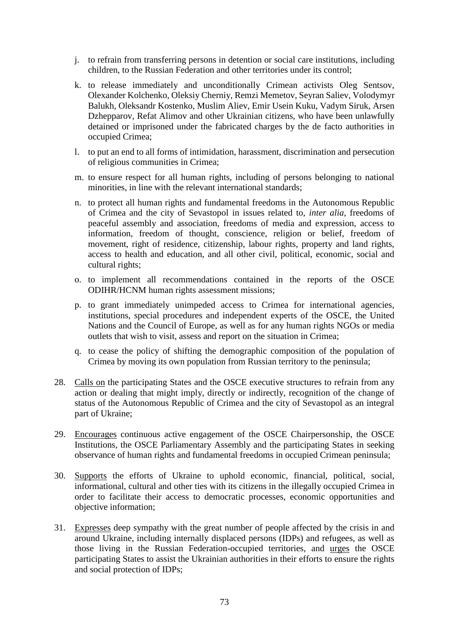- j. to refrain from transferring persons in detention or social care institutions, including children, to the Russian Federation and other territories under its control;
- k. to release immediately and unconditionally Crimean activists Oleg Sentsov, Olexander Kolchenko, Oleksiy Cherniy, Remzi Memetov, Seyran Saliev, Volodymyr Balukh, Oleksandr Kostenko, Muslim Aliev, Emir Usein Kuku, Vadym Siruk, Arsen Dzhepparov, Refat Alimov and other Ukrainian citizens, who have been unlawfully detained or imprisoned under the fabricated charges by the de facto authorities in occupied Crimea;
- l. to put an end to all forms of intimidation, harassment, discrimination and persecution of religious communities in Crimea;
- m. to ensure respect for all human rights, including of persons belonging to national minorities, in line with the relevant international standards;
- n. to protect all human rights and fundamental freedoms in the Autonomous Republic of Crimea and the city of Sevastopol in issues related to, *inter alia*, freedoms of peaceful assembly and association, freedoms of media and expression, access to information, freedom of thought, conscience, religion or belief, freedom of movement, right of residence, citizenship, labour rights, property and land rights, access to health and education, and all other civil, political, economic, social and cultural rights;
- o. to implement all recommendations contained in the reports of the OSCE ODIHR/HCNM human rights assessment missions;
- p. to grant immediately unimpeded access to Crimea for international agencies, institutions, special procedures and independent experts of the OSCE, the United Nations and the Council of Europe, as well as for any human rights NGOs or media outlets that wish to visit, assess and report on the situation in Crimea;
- q. to cease the policy of shifting the demographic composition of the population of Crimea by moving its own population from Russian territory to the peninsula;
- 28. Calls on the participating States and the OSCE executive structures to refrain from any action or dealing that might imply, directly or indirectly, recognition of the change of status of the Autonomous Republic of Crimea and the city of Sevastopol as an integral part of Ukraine;
- 29. Encourages continuous active engagement of the OSCE Chairpersonship, the OSCE Institutions, the OSCE Parliamentary Assembly and the participating States in seeking observance of human rights and fundamental freedoms in occupied Crimean peninsula;
- 30. Supports the efforts of Ukraine to uphold economic, financial, political, social, informational, cultural and other ties with its citizens in the illegally occupied Crimea in order to facilitate their access to democratic processes, economic opportunities and objective information;
- 31. Expresses deep sympathy with the great number of people affected by the crisis in and around Ukraine, including internally displaced persons (IDPs) and refugees, as well as those living in the Russian Federation-occupied territories, and urges the OSCE participating States to assist the Ukrainian authorities in their efforts to ensure the rights and social protection of IDPs;